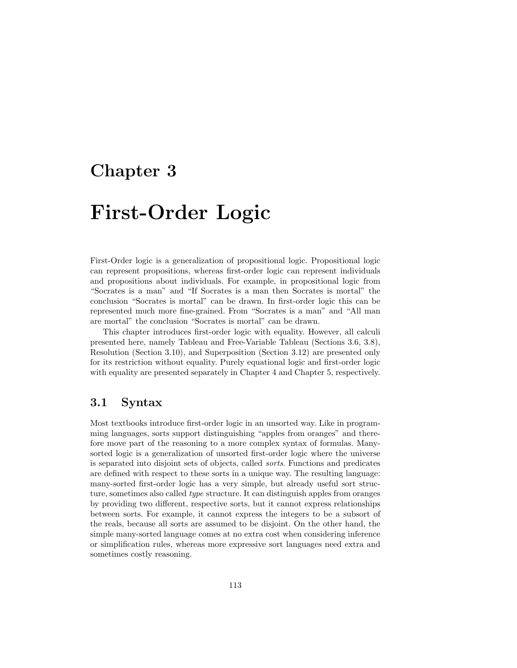## Chapter 3

# First-Order Logic

First-Order logic is a generalization of propositional logic. Propositional logic can represent propositions, whereas first-order logic can represent individuals and propositions about individuals. For example, in propositional logic from "Socrates is a man" and "If Socrates is a man then Socrates is mortal" the conclusion "Socrates is mortal" can be drawn. In first-order logic this can be represented much more fine-grained. From "Socrates is a man" and "All man are mortal" the conclusion "Socrates is mortal" can be drawn.

This chapter introduces first-order logic with equality. However, all calculi presented here, namely Tableau and Free-Variable Tableau (Sections 3.6, 3.8), Resolution (Section 3.10), and Superposition (Section 3.12) are presented only for its restriction without equality. Purely equational logic and first-order logic with equality are presented separately in Chapter 4 and Chapter 5, respectively.

## 3.1 Syntax

Most textbooks introduce first-order logic in an unsorted way. Like in programming languages, sorts support distinguishing "apples from oranges" and therefore move part of the reasoning to a more complex syntax of formulas. Manysorted logic is a generalization of unsorted first-order logic where the universe is separated into disjoint sets of objects, called sorts. Functions and predicates are defined with respect to these sorts in a unique way. The resulting language: many-sorted first-order logic has a very simple, but already useful sort structure, sometimes also called type structure. It can distinguish apples from oranges by providing two different, respective sorts, but it cannot express relationships between sorts. For example, it cannot express the integers to be a subsort of the reals, because all sorts are assumed to be disjoint. On the other hand, the simple many-sorted language comes at no extra cost when considering inference or simplification rules, whereas more expressive sort languages need extra and sometimes costly reasoning.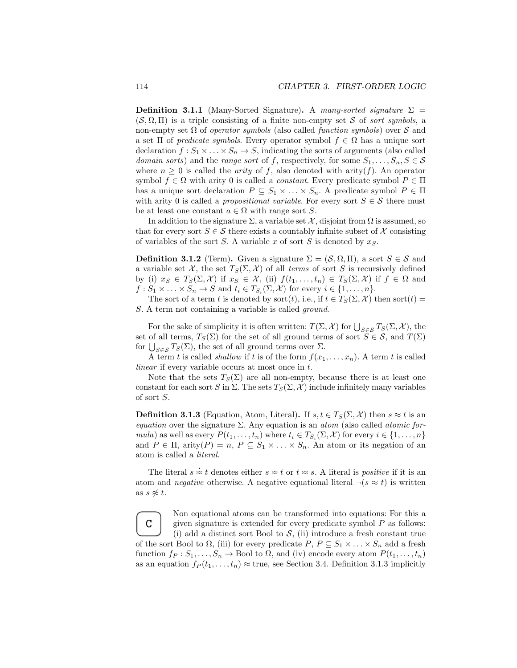**Definition 3.1.1** (Many-Sorted Signature). A many-sorted signature  $\Sigma$  =  $(S, \Omega, \Pi)$  is a triple consisting of a finite non-empty set S of sort symbols, a non-empty set  $\Omega$  of *operator symbols* (also called *function symbols*) over  $S$  and a set  $\Pi$  of *predicate symbols*. Every operator symbol  $f \in \Omega$  has a unique sort declaration  $f: S_1 \times \ldots \times S_n \to S$ , indicating the sorts of arguments (also called domain sorts) and the range sort of f, respectively, for some  $S_1, \ldots, S_n, S \in \mathcal{S}$ where  $n \geq 0$  is called the *arity* of f, also denoted with arity(f). An operator symbol  $f \in \Omega$  with arity 0 is called a *constant*. Every predicate symbol  $P \in \Pi$ has a unique sort declaration  $P \subseteq S_1 \times \ldots \times S_n$ . A predicate symbol  $P \in \Pi$ with arity 0 is called a *propositional variable*. For every sort  $S \in \mathcal{S}$  there must be at least one constant  $a \in \Omega$  with range sort S.

In addition to the signature  $\Sigma$ , a variable set  $\mathcal{X}$ , disjoint from  $\Omega$  is assumed, so that for every sort  $S \in \mathcal{S}$  there exists a countably infinite subset of X consisting of variables of the sort  $S$ . A variable  $x$  of sort  $S$  is denoted by  $x_S$ .

**Definition 3.1.2** (Term). Given a signature  $\Sigma = (\mathcal{S}, \Omega, \Pi)$ , a sort  $S \in \mathcal{S}$  and a variable set X, the set  $T_S(\Sigma, \mathcal{X})$  of all terms of sort S is recursively defined by (i)  $x_S \in T_S(\Sigma, \mathcal{X})$  if  $x_S \in \mathcal{X}$ , (ii)  $f(t_1, \ldots, t_n) \in T_S(\Sigma, \mathcal{X})$  if  $f \in \Omega$  and  $f: S_1 \times \ldots \times S_n \to S$  and  $t_i \in T_{S_i}(\Sigma, \mathcal{X})$  for every  $i \in \{1, \ldots, n\}.$ 

The sort of a term t is denoted by sort(t), i.e., if  $t \in T_S(\Sigma, \mathcal{X})$  then sort(t) = S. A term not containing a variable is called *ground*.

For the sake of simplicity it is often written:  $T(\Sigma, \mathcal{X})$  for  $\bigcup_{S \in \mathcal{S}} T_S(\Sigma, \mathcal{X})$ , the set of all terms,  $T_S(\Sigma)$  for the set of all ground terms of sort  $\overline{S} \in \mathcal{S}$ , and  $T(\Sigma)$ for  $\bigcup_{S \in \mathcal{S}} T_S(\Sigma)$ , the set of all ground terms over  $\Sigma$ .

A term t is called *shallow* if t is of the form  $f(x_1, \ldots, x_n)$ . A term t is called linear if every variable occurs at most once in t.

Note that the sets  $T_S(\Sigma)$  are all non-empty, because there is at least one constant for each sort S in  $\Sigma$ . The sets  $T_S(\Sigma, \mathcal{X})$  include infinitely many variables of sort S.

**Definition 3.1.3** (Equation, Atom, Literal). If  $s, t \in T_S(\Sigma, \mathcal{X})$  then  $s \approx t$  is an equation over the signature  $\Sigma$ . Any equation is an atom (also called atomic formula) as well as every  $P(t_1, \ldots, t_n)$  where  $t_i \in T_{S_i}(\Sigma, \mathcal{X})$  for every  $i \in \{1, \ldots, n\}$ and  $P \in \Pi$ , arity $(P) = n$ ,  $P \subseteq S_1 \times ... \times S_n$ . An atom or its negation of an atom is called a literal.

The literal  $s \approx t$  denotes either  $s \approx t$  or  $t \approx s$ . A literal is *positive* if it is an atom and *negative* otherwise. A negative equational literal  $\neg(s \approx t)$  is written as  $s \not\approx t$ .

C Non equational atoms can be transformed into equations: For this a given signature is extended for every predicate symbol  $P$  as follows: (i) add a distinct sort Bool to  $S$ , (ii) introduce a fresh constant true of the sort Bool to  $\Omega$ , (iii) for every predicate  $P, P \subseteq S_1 \times \ldots \times S_n$  add a fresh function  $f_P : S_1, \ldots, S_n \to \text{Bool}$  to  $\Omega$ , and (iv) encode every atom  $P(t_1, \ldots, t_n)$ as an equation  $f_P(t_1,\ldots,t_n) \approx$  true, see Section 3.4. Definition 3.1.3 implicitly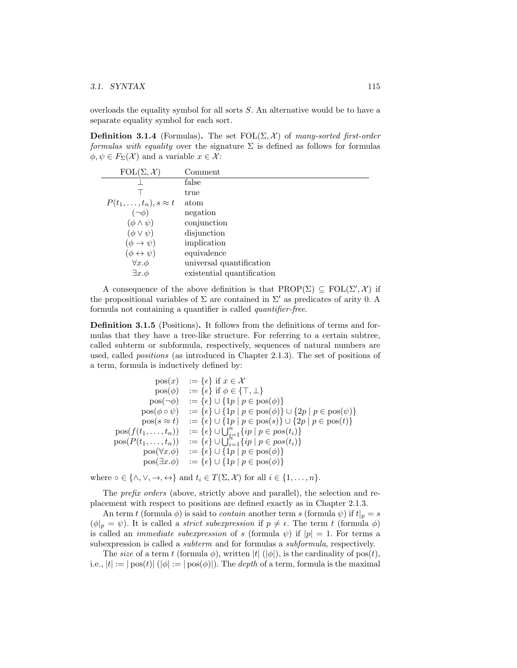### 3.1. SYNTAX 115

overloads the equality symbol for all sorts S. An alternative would be to have a separate equality symbol for each sort.

**Definition 3.1.4** (Formulas). The set  $FOL(\Sigma, \mathcal{X})$  of many-sorted first-order formulas with equality over the signature  $\Sigma$  is defined as follows for formulas  $\phi, \psi \in F_{\Sigma}(\mathcal{X})$  and a variable  $x \in \mathcal{X}$ :

| $\text{FOL}(\Sigma, \mathcal{X})$ | Comment                    |
|-----------------------------------|----------------------------|
|                                   | false                      |
|                                   | true                       |
| $P(t_1,\ldots,t_n), s \approx t$  | atom                       |
| $(\neg \phi)$                     | negation                   |
| $(\phi \wedge \psi)$              | conjunction                |
| $(\phi \vee \psi)$                | disjunction                |
| $(\phi \rightarrow \psi)$         | implication                |
| $(\phi \leftrightarrow \psi)$     | equivalence                |
| $\forall x.\phi$                  | universal quantification   |
| $\exists x.\phi$                  | existential quantification |

A consequence of the above definition is that  $\text{PROP}(\Sigma) \subseteq \text{FOL}(\Sigma', \mathcal{X})$  if the propositional variables of  $\Sigma$  are contained in  $\Sigma'$  as predicates of arity 0. A formula not containing a quantifier is called quantifier-free.

Definition 3.1.5 (Positions). It follows from the definitions of terms and formulas that they have a tree-like structure. For referring to a certain subtree, called subterm or subformula, respectively, sequences of natural numbers are used, called positions (as introduced in Chapter 2.1.3). The set of positions of a term, formula is inductively defined by:

$$
\begin{array}{rcl}\n\operatorname{pos}(x) & := \{\epsilon\} \text{ if } x \in \mathcal{X} \\
\operatorname{pos}(\phi) & := \{\epsilon\} \text{ if } \phi \in \{\top, \bot\} \\
\operatorname{pos}(\neg \phi) & := \{\epsilon\} \cup \{1p \mid p \in \operatorname{pos}(\phi)\} \\
\operatorname{pos}(\phi \circ \psi) & := \{\epsilon\} \cup \{1p \mid p \in \operatorname{pos}(\phi)\} \cup \{2p \mid p \in \operatorname{pos}(\psi)\} \\
\operatorname{pos}(s \approx t) & := \{\epsilon\} \cup \{1p \mid p \in \operatorname{pos}(s)\} \cup \{2p \mid p \in \operatorname{pos}(t)\} \\
\operatorname{pos}(f(t_1, \ldots, t_n)) & := \{\epsilon\} \cup \bigcup_{i=1}^n \{ip \mid p \in pos(t_i)\} \\
\operatorname{pos}(P(t_1, \ldots, t_n)) & := \{\epsilon\} \cup \bigcup_{i=1}^n \{ip \mid p \in pos(t_i)\} \\
\operatorname{pos}(\forall x \cdot \phi) & := \{\epsilon\} \cup \{1p \mid p \in \operatorname{pos}(\phi)\} \\
\operatorname{pos}(\exists x \cdot \phi) & := \{\epsilon\} \cup \{1p \mid p \in \operatorname{pos}(\phi)\}\n\end{array}
$$

where  $\circ \in \{\wedge, \vee, \rightarrow, \leftrightarrow\}$  and  $t_i \in T(\Sigma, \mathcal{X})$  for all  $i \in \{1, \dots, n\}.$ 

The *prefix orders* (above, strictly above and parallel), the selection and replacement with respect to positions are defined exactly as in Chapter 2.1.3.

An term t (formula  $\phi$ ) is said to *contain* another term s (formula  $\psi$ ) if  $t|_p = s$  $(\phi|_p = \psi)$ . It is called a *strict subexpression* if  $p \neq \epsilon$ . The term t (formula  $\phi$ ) is called an *immediate subexpression* of s (formula  $\psi$ ) if  $|p| = 1$ . For terms a subexpression is called a *subterm* and for formulas a *subformula*, respectively.

The size of a term t (formula  $\phi$ ), written  $|t|$  ( $|\phi|$ ), is the cardinality of pos(t), i.e.,  $|t| := |\text{pos}(t)| (|\phi| := |\text{pos}(\phi)|)$ . The *depth* of a term, formula is the maximal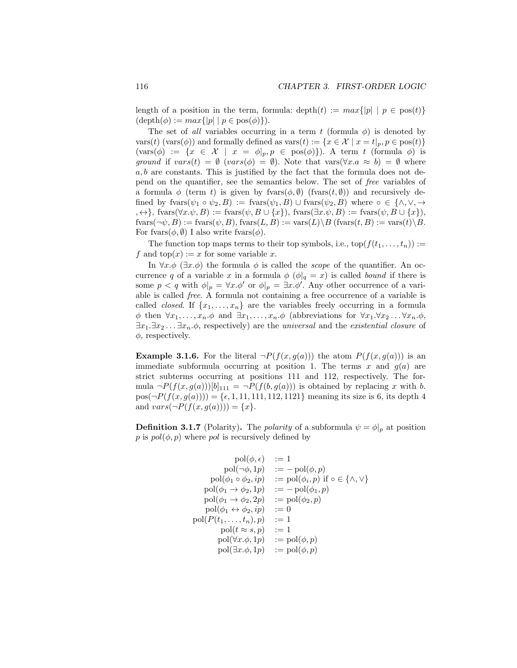length of a position in the term, formula:  $\text{depth}(t) := max\{|p| \mid p \in \text{pos}(t)\}\$  $(\text{depth}(\phi) := max\{|p| \mid p \in \text{pos}(\phi)\}).$ 

The set of all variables occurring in a term t (formula  $\phi$ ) is denoted by vars(t) (vars( $\phi$ )) and formally defined as vars(t) := { $x \in \mathcal{X} \mid x = t|_p, p \in \text{pos}(t)$ }  $(\text{vars}(\phi) := \{x \in \mathcal{X} \mid x = \phi|_p, p \in \text{pos}(\phi)\}).$  A term t (formula  $\phi$ ) is ground if  $vars(t) = \emptyset$  ( $vars(\phi) = \emptyset$ ). Note that  $vars(\forall x.a \approx b) = \emptyset$  where  $a, b$  are constants. This is justified by the fact that the formula does not depend on the quantifier, see the semantics below. The set of free variables of a formula  $\phi$  (term t) is given by frames  $(\phi, \emptyset)$  (frames  $(t, \emptyset)$ ) and recursively defined by fvars $(\psi_1 \circ \psi_2, B) := \text{fvars}(\psi_1, B) \cup \text{fvars}(\psi_2, B)$  where  $\circ \in \{\wedge, \vee, \rightarrow\}$  $, \leftrightarrow\}, \text{fvars}(\forall x.\psi, B) := \text{fvars}(\psi, B \cup \{x\}), \text{fvars}(\exists x.\psi, B) := \text{fvars}(\psi, B \cup \{x\}),$  $fvars(\neg \psi, B) := \text{fvars}(\psi, B)$ ,  $fvars(L, B) := vars(L) \backslash B$  ( $fvars(t, B) := vars(t) \backslash B$ . For fvars $(\phi, \emptyset)$  I also write fvars $(\phi)$ .

The function top maps terms to their top symbols, i.e.,  $top(f(t_1, \ldots, t_n)) :=$ f and  $top(x) := x$  for some variable x.

In  $\forall x.\phi \;(\exists x.\phi)$  the formula  $\phi$  is called the *scope* of the quantifier. An occurrence q of a variable x in a formula  $\phi$  ( $\phi|_q = x$ ) is called bound if there is some  $p < q$  with  $\phi|_p = \forall x \cdot \phi'$  or  $\phi|_p = \exists x \cdot \phi'$ . Any other occurrence of a variable is called free. A formula not containing a free occurrence of a variable is called *closed*. If  $\{x_1, \ldots, x_n\}$  are the variables freely occurring in a formula  $\phi$  then  $\forall x_1, \ldots, x_n. \phi$  and  $\exists x_1, \ldots, x_n. \phi$  (abbreviations for  $\forall x_1. \forall x_2 \ldots \forall x_n. \phi$ ,  $\exists x_1.\exists x_2 \ldots \exists x_n.\phi$ , respectively) are the universal and the existential closure of  $\phi$ , respectively.

**Example 3.1.6.** For the literal  $\neg P(f(x, g(a)))$  the atom  $P(f(x, g(a)))$  is an immediate subformula occurring at position 1. The terms x and  $g(a)$  are strict subterms occurring at positions 111 and 112, respectively. The formula  $\neg P(f(x, g(a)))[b]_{111} = \neg P(f(b, g(a)))$  is obtained by replacing x with b.  $pos(\neg P(f(x, g(a)))) = {\epsilon, 1, 11, 111, 112, 1121}$  meaning its size is 6, its depth 4 and  $vars(\neg P(f(x, g(a)))) = \{x\}.$ 

**Definition 3.1.7** (Polarity). The *polarity* of a subformula  $\psi = \phi|_p$  at position p is  $pol(\phi, p)$  where pol is recursively defined by

$$
\operatorname{pol}(\phi,\epsilon) \quad := 1\\ \operatorname{pol}(\neg\phi,1p) \quad := -\operatorname{pol}(\phi,p)\\ \operatorname{pol}(\phi_1 \circ \phi_2,ip) \quad := \operatorname{pol}(\phi_i,p) \text{ if } \circ \in \{\land,\lor\}\\ \operatorname{pol}(\phi_1 \to \phi_2,1p) \quad := -\operatorname{pol}(\phi_1,p)\\ \operatorname{pol}(\phi_1 \to \phi_2,2p) \quad := \operatorname{pol}(\phi_2,p)\\ \operatorname{pol}(\phi_1 \leftrightarrow \phi_2,ip) \quad := 0\\ \operatorname{pol}(P(t_1,\ldots,t_n),p) \quad := 1\\ \operatorname{pol}(t \approx s,p) \quad := 1\\ \operatorname{pol}(\forall x.\phi,1p) \quad := \operatorname{pol}(\phi,p)\\ \operatorname{pol}(\exists x.\phi,1p) \quad := \operatorname{pol}(\phi,p)
$$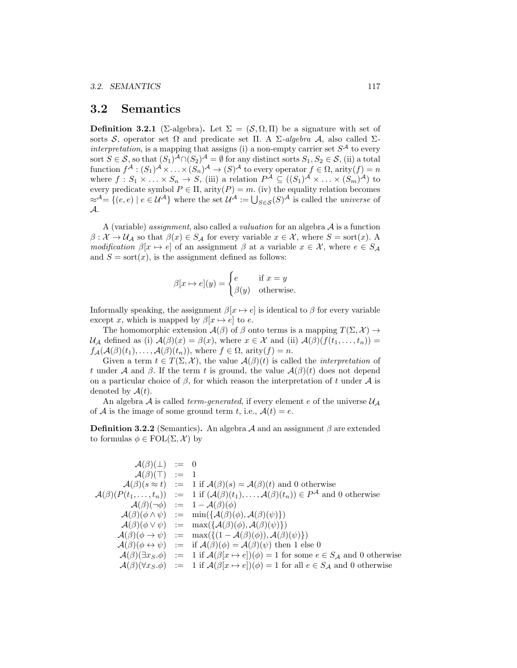## 3.2 Semantics

**Definition 3.2.1** (Σ-algebra). Let  $\Sigma = (\mathcal{S}, \Omega, \Pi)$  be a signature with set of sorts S, operator set  $\Omega$  and predicate set  $\Pi$ . A  $\Sigma$ -algebra A, also called  $\Sigma$ interpretation, is a mapping that assigns (i) a non-empty carrier set  $S^{\mathcal{A}}$  to every sort  $S \in \mathcal{S}$ , so that  $(S_1)^{\mathcal{A}} \cap (S_2)^{\mathcal{A}} = \emptyset$  for any distinct sorts  $S_1, S_2 \in \mathcal{S}$ , (ii) a total function  $f^{\mathcal{A}}:(S_1)^{\mathcal{A}}\times \ldots \times (S_n)^{\mathcal{A}}\to (S)^{\mathcal{A}}$  to every operator  $f\in \Omega$ , arity $(f)=n$ where  $f: S_1 \times \ldots \times S_n \to S$ , (iii) a relation  $P^{\mathcal{A}} \subseteq ((S_1)^{\mathcal{A}} \times \ldots \times (S_m)^{\mathcal{A}})$  to every predicate symbol  $P \in \Pi$ , arity $(P) = m$ . (iv) the equality relation becomes  $\approx^{\mathcal{A}} = \{(e, e) \mid e \in \mathcal{U}^{\mathcal{A}}\}$  where the set  $\mathcal{U}^{\mathcal{A}} := \bigcup_{S \in \mathcal{S}} (S)^{\mathcal{A}}$  is called the *universe* of A.

A (variable) *assignment*, also called a *valuation* for an algebra  $A$  is a function  $\beta: \mathcal{X} \to \mathcal{U}_{\mathcal{A}}$  so that  $\beta(x) \in S_{\mathcal{A}}$  for every variable  $x \in \mathcal{X}$ , where  $S = \text{sort}(x)$ . A modification  $\beta[x \mapsto e]$  of an assignment  $\beta$  at a variable  $x \in \mathcal{X}$ , where  $e \in S_{\mathcal{A}}$ and  $S = sort(x)$ , is the assignment defined as follows:

$$
\beta[x \mapsto e](y) = \begin{cases} e & \text{if } x = y \\ \beta(y) & \text{otherwise.} \end{cases}
$$

Informally speaking, the assignment  $\beta[x \mapsto e]$  is identical to  $\beta$  for every variable except x, which is mapped by  $\beta[x \mapsto e]$  to e.

The homomorphic extension  $\mathcal{A}(\beta)$  of  $\beta$  onto terms is a mapping  $T(\Sigma, \mathcal{X}) \to$  $\mathcal{U}_{\mathcal{A}}$  defined as (i)  $\mathcal{A}(\beta)(x) = \beta(x)$ , where  $x \in \mathcal{X}$  and (ii)  $\mathcal{A}(\beta)(f(t_1, \ldots, t_n)) =$  $f_{\mathcal{A}}(\mathcal{A}(\beta)(t_1),\ldots,\mathcal{A}(\beta)(t_n)),$  where  $f \in \Omega$ , arity $(f) = n$ .

Given a term  $t \in T(\Sigma, \mathcal{X})$ , the value  $\mathcal{A}(\beta)(t)$  is called the *interpretation* of t under A and  $\beta$ . If the term t is ground, the value  $\mathcal{A}(\beta)(t)$  does not depend on a particular choice of  $\beta$ , for which reason the interpretation of t under  $\mathcal A$  is denoted by  $\mathcal{A}(t)$ .

An algebra A is called *term-generated*, if every element e of the universe  $\mathcal{U}_{\mathcal{A}}$ of A is the image of some ground term t, i.e.,  $A(t) = e$ .

**Definition 3.2.2** (Semantics). An algebra A and an assignment  $\beta$  are extended to formulas  $\phi \in \text{FOL}(\Sigma, \mathcal{X})$  by

$$
\begin{array}{rcl}\nA(\beta)(\bot) & := & 0 \\
A(\beta)(\top) & := & 1 \\
A(\beta)(s \approx t) & := & 1 \text{ if } \mathcal{A}(\beta)(s) = \mathcal{A}(\beta)(t) \text{ and } 0 \text{ otherwise} \\
A(\beta)(P(t_1, \ldots, t_n)) & := & 1 \text{ if } (\mathcal{A}(\beta)(t_1), \ldots, \mathcal{A}(\beta)(t_n)) \in P^{\mathcal{A}} \text{ and } 0 \text{ otherwise} \\
A(\beta)(\neg \phi) & := & 1 - \mathcal{A}(\beta)(\phi) \\
A(\beta)(\phi \land \psi) & := & \min(\{\mathcal{A}(\beta)(\phi), \mathcal{A}(\beta)(\psi)\}\) \\
A(\beta)(\phi \lor \psi) & := & \max(\{\mathcal{A}(\beta)(\phi), \mathcal{A}(\beta)(\psi)\}\) \\
A(\beta)(\phi \rightarrow \psi) & := & \max(\{\mathcal{A}(\beta)(\phi), \mathcal{A}(\beta)(\psi)\}\) \\
A(\beta)(\phi \leftrightarrow \psi) & := & \text{if } \mathcal{A}(\beta)(\phi) = \mathcal{A}(\beta)(\psi) \text{ then } 1 \text{ else } 0 \\
A(\beta)(\exists x s \cdot \phi) & := & 1 \text{ if } \mathcal{A}(\beta(x \mapsto e)(\phi) = 1 \text{ for some } e \in S_{\mathcal{A}} \text{ and } 0 \text{ otherwise} \\
A(\beta)(\forall x s \cdot \phi) & := & 1 \text{ if } \mathcal{A}(\beta(x \mapsto e)(\phi) = 1 \text{ for all } e \in S_{\mathcal{A}} \text{ and } 0 \text{ otherwise}\n\end{array}
$$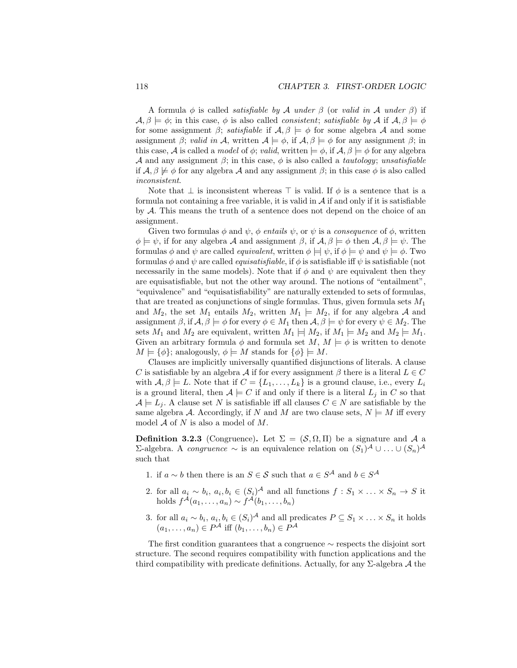A formula  $\phi$  is called *satisfiable by A under*  $\beta$  *(or valid in A under*  $\beta$ *)* if  $\mathcal{A}, \beta \models \phi$ ; in this case,  $\phi$  is also called *consistent*; *satisfiable by*  $\mathcal{A}$  if  $\mathcal{A}, \beta \models \phi$ for some assignment  $\beta$ ; *satisfiable* if  $\mathcal{A}, \beta \models \phi$  for some algebra  $\mathcal A$  and some assignment β; valid in A, written  $A \models \phi$ , if  $A, \beta \models \phi$  for any assignment β; in this case, A is called a model of  $\phi$ ; valid, written  $\models \phi$ , if  $\mathcal{A}, \beta \models \phi$  for any algebra A and any assignment  $\beta$ ; in this case,  $\phi$  is also called a *tautology*; unsatisfiable if  $\mathcal{A}, \beta \not\models \phi$  for any algebra  $\mathcal A$  and any assignment  $\beta$ ; in this case  $\phi$  is also called inconsistent.

Note that  $\perp$  is inconsistent whereas  $\top$  is valid. If  $\phi$  is a sentence that is a formula not containing a free variable, it is valid in  $A$  if and only if it is satisfiable by A. This means the truth of a sentence does not depend on the choice of an assignment.

Given two formulas  $\phi$  and  $\psi$ ,  $\phi$  entails  $\psi$ , or  $\psi$  is a consequence of  $\phi$ , written  $\phi \models \psi$ , if for any algebra A and assignment  $\beta$ , if  $\mathcal{A}, \beta \models \phi$  then  $\mathcal{A}, \beta \models \psi$ . The formulas  $\phi$  and  $\psi$  are called *equivalent*, written  $\phi \models \psi$ , if  $\phi \models \psi$  and  $\psi \models \phi$ . Two formulas  $\phi$  and  $\psi$  are called *equisatisfiable*, if  $\phi$  is satisfiable iff  $\psi$  is satisfiable (not necessarily in the same models). Note that if  $\phi$  and  $\psi$  are equivalent then they are equisatisfiable, but not the other way around. The notions of "entailment", "equivalence" and "equisatisfiability" are naturally extended to sets of formulas, that are treated as conjunctions of single formulas. Thus, given formula sets  $M_1$ and  $M_2$ , the set  $M_1$  entails  $M_2$ , written  $M_1 \models M_2$ , if for any algebra A and assignment  $\beta$ , if  $\mathcal{A}, \beta \models \phi$  for every  $\phi \in M_1$  then  $\mathcal{A}, \beta \models \psi$  for every  $\psi \in M_2$ . The sets  $M_1$  and  $M_2$  are equivalent, written  $M_1 \models M_2$ , if  $M_1 \models M_2$  and  $M_2 \models M_1$ . Given an arbitrary formula  $\phi$  and formula set  $M, M \models \phi$  is written to denote  $M \models {\phi}$ ; analogously,  $\phi \models M$  stands for  $\{\phi\} \models M$ .

Clauses are implicitly universally quantified disjunctions of literals. A clause C is satisfiable by an algebra A if for every assignment  $\beta$  there is a literal  $L \in C$ with  $\mathcal{A}, \beta \models L$ . Note that if  $C = \{L_1, \ldots, L_k\}$  is a ground clause, i.e., every  $L_i$ is a ground literal, then  $A \models C$  if and only if there is a literal  $L_j$  in C so that  $\mathcal{A} \models L_j$ . A clause set N is satisfiable iff all clauses  $C \in N$  are satisfiable by the same algebra A. Accordingly, if N and M are two clause sets,  $N \models M$  iff every model  $A$  of  $N$  is also a model of  $M$ .

**Definition 3.2.3** (Congruence). Let  $\Sigma = (\mathcal{S}, \Omega, \Pi)$  be a signature and A a Σ-algebra. A *congruence* ~ is an equivalence relation on  $(S_1)^{\mathcal{A}} \cup ... \cup (S_n)^{\mathcal{A}}$ such that

- 1. if  $a \sim b$  then there is an  $S \in \mathcal{S}$  such that  $a \in S^{\mathcal{A}}$  and  $b \in S^{\mathcal{A}}$
- 2. for all  $a_i \sim b_i$ ,  $a_i, b_i \in (S_i)^{\mathcal{A}}$  and all functions  $f : S_1 \times \ldots \times S_n \to S$  it holds  $f^{\mathcal{A}}(a_1,\ldots,a_n) \sim f^{\mathcal{A}}(b_1,\ldots,b_n)$
- 3. for all  $a_i \sim b_i$ ,  $a_i, b_i \in (S_i)^{\mathcal{A}}$  and all predicates  $P \subseteq S_1 \times \ldots \times S_n$  it holds  $(a_1, \ldots, a_n) \in P^{\mathcal{A}}$  iff  $(b_1, \ldots, b_n) \in P^{\mathcal{A}}$

The first condition guarantees that a congruence ∼ respects the disjoint sort structure. The second requires compatibility with function applications and the third compatibility with predicate definitions. Actually, for any  $\Sigma$ -algebra A the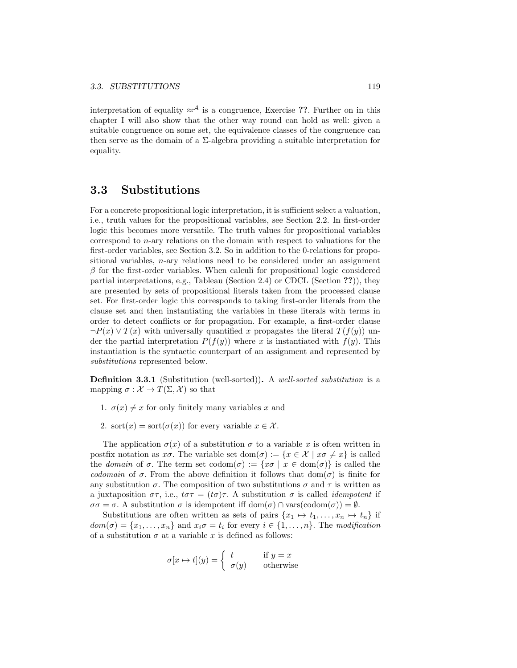interpretation of equality  $\approx^{\mathcal{A}}$  is a congruence, Exercise ??. Further on in this chapter I will also show that the other way round can hold as well: given a suitable congruence on some set, the equivalence classes of the congruence can then serve as the domain of a  $\Sigma$ -algebra providing a suitable interpretation for equality.

## 3.3 Substitutions

For a concrete propositional logic interpretation, it is sufficient select a valuation, i.e., truth values for the propositional variables, see Section 2.2. In first-order logic this becomes more versatile. The truth values for propositional variables correspond to n-ary relations on the domain with respect to valuations for the first-order variables, see Section 3.2. So in addition to the 0-relations for propositional variables,  $n$ -ary relations need to be considered under an assignment  $\beta$  for the first-order variables. When calculi for propositional logic considered partial interpretations, e.g., Tableau (Section 2.4) or CDCL (Section ??)), they are presented by sets of propositional literals taken from the processed clause set. For first-order logic this corresponds to taking first-order literals from the clause set and then instantiating the variables in these literals with terms in order to detect conflicts or for propagation. For example, a first-order clause  $\neg P(x) \vee T(x)$  with universally quantified x propagates the literal  $T(f(y))$  under the partial interpretation  $P(f(y))$  where x is instantiated with  $f(y)$ . This instantiation is the syntactic counterpart of an assignment and represented by substitutions represented below.

Definition 3.3.1 (Substitution (well-sorted)). A well-sorted substitution is a mapping  $\sigma : \mathcal{X} \to T(\Sigma, \mathcal{X})$  so that

- 1.  $\sigma(x) \neq x$  for only finitely many variables x and
- 2. sort $(x) = \text{sort}(\sigma(x))$  for every variable  $x \in \mathcal{X}$ .

The application  $\sigma(x)$  of a substitution  $\sigma$  to a variable x is often written in postfix notation as  $x\sigma$ . The variable set dom( $\sigma$ ) := { $x \in \mathcal{X} \mid x\sigma \neq x$ } is called the domain of  $\sigma$ . The term set  $\text{codom}(\sigma) := \{x\sigma \mid x \in \text{dom}(\sigma)\}\$ is called the codomain of  $\sigma$ . From the above definition it follows that  $dom(\sigma)$  is finite for any substitution  $\sigma$ . The composition of two substitutions  $\sigma$  and  $\tau$  is written as a juxtaposition  $\sigma\tau$ , i.e.,  $t\sigma\tau = (t\sigma)\tau$ . A substitution  $\sigma$  is called *idempotent* if  $\sigma\sigma = \sigma$ . A substitution  $\sigma$  is idempotent iff  $dom(\sigma) \cap \text{vars}(codom(\sigma)) = \emptyset$ .

Substitutions are often written as sets of pairs  $\{x_1 \mapsto t_1, \ldots, x_n \mapsto t_n\}$  if  $dom(\sigma) = \{x_1, \ldots, x_n\}$  and  $x_i \sigma = t_i$  for every  $i \in \{1, \ldots, n\}$ . The modification of a substitution  $\sigma$  at a variable x is defined as follows:

$$
\sigma[x \mapsto t](y) = \begin{cases} t & \text{if } y = x \\ \sigma(y) & \text{otherwise} \end{cases}
$$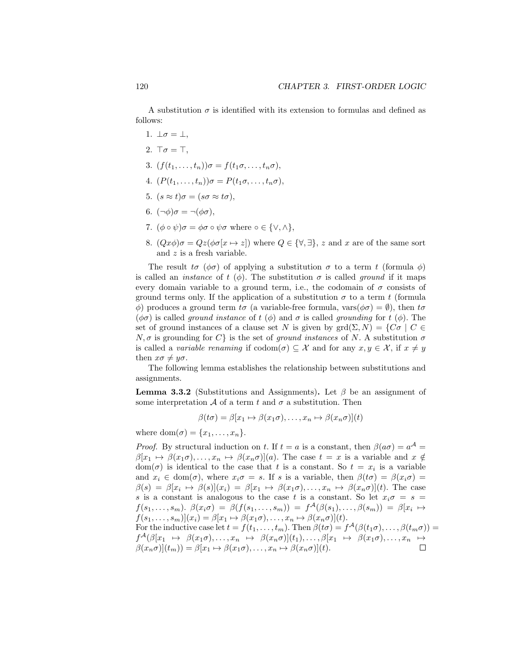A substitution  $\sigma$  is identified with its extension to formulas and defined as follows:

- 1.  $\bot \sigma = \bot$ ,
- 2.  $\top \sigma = \top$ .
- 3.  $(f(t_1,\ldots,t_n))\sigma = f(t_1\sigma,\ldots,t_n\sigma),$
- 4.  $(P(t_1,\ldots,t_n))\sigma = P(t_1\sigma,\ldots,t_n\sigma),$
- 5.  $(s \approx t)\sigma = (s\sigma \approx t\sigma),$
- 6.  $(\neg \phi) \sigma = \neg(\phi \sigma)$ ,
- 7.  $(\phi \circ \psi)\sigma = \phi\sigma \circ \psi\sigma$  where  $\circ \in \{\vee, \wedge\},\$
- 8.  $(Qx\phi)\sigma = Qz(\phi\sigma[x \mapsto z])$  where  $Q \in {\forall, \exists}$ , z and x are of the same sort and z is a fresh variable.

The result  $t\sigma$  ( $\phi\sigma$ ) of applying a substitution  $\sigma$  to a term t (formula  $\phi$ ) is called an *instance* of  $t(\phi)$ . The substitution  $\sigma$  is called ground if it maps every domain variable to a ground term, i.e., the codomain of  $\sigma$  consists of ground terms only. If the application of a substitution  $\sigma$  to a term t (formula  $\phi$ ) produces a ground term tσ (a variable-free formula, vars $(\phi \sigma) = \emptyset$ ), then tσ  $(\phi \sigma)$  is called ground instance of t  $(\phi)$  and  $\sigma$  is called grounding for t  $(\phi)$ . The set of ground instances of a clause set N is given by  $\text{grd}(\Sigma, N) = \{C\sigma \mid C \in$  $N, \sigma$  is grounding for  $C$  is the set of ground instances of N. A substitution  $\sigma$ is called a variable renaming if  $codom(\sigma) \subseteq \mathcal{X}$  and for any  $x, y \in \mathcal{X}$ , if  $x \neq y$ then  $x\sigma \neq y\sigma$ .

The following lemma establishes the relationship between substitutions and assignments.

**Lemma 3.3.2** (Substitutions and Assignments). Let  $\beta$  be an assignment of some interpretation  $A$  of a term t and  $\sigma$  a substitution. Then

$$
\beta(t\sigma) = \beta[x_1 \mapsto \beta(x_1\sigma), \dots, x_n \mapsto \beta(x_n\sigma)](t)
$$

where  $\text{dom}(\sigma) = \{x_1, \ldots, x_n\}.$ 

*Proof.* By structural induction on t. If  $t = a$  is a constant, then  $\beta(a\sigma) = a^{\mathcal{A}} =$  $\beta[x_1 \mapsto \beta(x_1\sigma), \ldots, x_n \mapsto \beta(x_n\sigma)](a)$ . The case  $t = x$  is a variable and  $x \notin \mathcal{C}$  $dom(\sigma)$  is identical to the case that t is a constant. So  $t = x_i$  is a variable and  $x_i \in \text{dom}(\sigma)$ , where  $x_i \sigma = s$ . If s is a variable, then  $\beta(t\sigma) = \beta(x_i \sigma) =$  $\beta(s) = \beta[x_i \mapsto \beta(s)](x_i) = \beta[x_1 \mapsto \beta(x_1\sigma), \ldots, x_n \mapsto \beta(x_n\sigma)](t)$ . The case s is a constant is analogous to the case t is a constant. So let  $x_i \sigma = s =$  $f(s_1,\ldots,s_m)$ .  $\beta(x_i\sigma) = \beta(f(s_1,\ldots,s_m)) = f^{\mathcal{A}}(\beta(s_1),\ldots,\beta(s_m)) = \beta[x_i \mapsto$  $f(s_1, \ldots, s_m)(x_i) = \beta[x_1 \mapsto \beta(x_1\sigma), \ldots, x_n \mapsto \beta(x_n\sigma)](t).$ For the inductive case let  $t = f(t_1, \ldots, t_m)$ . Then  $\beta(t\sigma) = f^{\mathcal{A}}(\beta(t_1\sigma), \ldots, \beta(t_m\sigma)) =$  $f^{\mathcal{A}}(\beta[x_1 \ \mapsto \ \beta(x_1\sigma), \ldots, x_n \ \mapsto \ \beta(x_n\sigma)](t_1), \ldots, \beta[x_1 \ \mapsto \ \beta(x_1\sigma), \ldots, x_n \ \mapsto$  $\beta(x_n\sigma)](t_m) = \beta[x_1 \mapsto \beta(x_1\sigma), \ldots, x_n \mapsto \beta(x_n\sigma)](t).$  $\Box$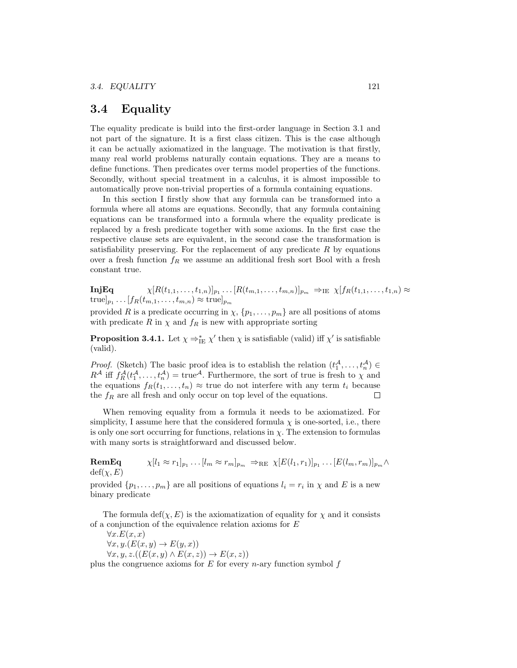## 3.4 Equality

The equality predicate is build into the first-order language in Section 3.1 and not part of the signature. It is a first class citizen. This is the case although it can be actually axiomatized in the language. The motivation is that firstly, many real world problems naturally contain equations. They are a means to define functions. Then predicates over terms model properties of the functions. Secondly, without special treatment in a calculus, it is almost impossible to automatically prove non-trivial properties of a formula containing equations.

In this section I firstly show that any formula can be transformed into a formula where all atoms are equations. Secondly, that any formula containing equations can be transformed into a formula where the equality predicate is replaced by a fresh predicate together with some axioms. In the first case the respective clause sets are equivalent, in the second case the transformation is satisfiability preserving. For the replacement of any predicate  $R$  by equations over a fresh function  $f_R$  we assume an additional fresh sort Bool with a fresh constant true.

 $\textbf{InjEq} \hspace{1cm} \chi[R(t_{1,1},\ldots,t_{1,n})]_{p_1}\ldots[R(t_{m,1},\ldots,t_{m,n})]_{p_m} \Rightarrow_{\text{IE}} \chi[f_R(t_{1,1},\ldots,t_{1,n}) \approx$  $\text{true}]_{p_1} \dots [f_R(t_{m,1},\dots,t_{m,n}) \approx \text{true}]_{p_m}$ 

provided R is a predicate occurring in  $\chi$ ,  $\{p_1, \ldots, p_m\}$  are all positions of atoms with predicate R in  $\chi$  and  $f_R$  is new with appropriate sorting

**Proposition 3.4.1.** Let  $\chi \Rightarrow_{\text{IE}}^* \chi'$  then  $\chi$  is satisfiable (valid) iff  $\chi'$  is satisfiable (valid).

*Proof.* (Sketch) The basic proof idea is to establish the relation  $(t_1^{\mathcal{A}}, \ldots, t_n^{\mathcal{A}}) \in$  $R^{\mathcal{A}}$  iff  $f_R^{\mathcal{A}}(t_1^{\mathcal{A}}, \ldots, t_n^{\mathcal{A}}) = \text{true}^{\mathcal{A}}$ . Furthermore, the sort of true is fresh to  $\chi$  and the equations  $f_R(t_1, \ldots, t_n) \approx$  true do not interfere with any term  $t_i$  because the  $f_R$  are all fresh and only occur on top level of the equations.  $\Box$ 

When removing equality from a formula it needs to be axiomatized. For simplicity, I assume here that the considered formula  $\chi$  is one-sorted, i.e., there is only one sort occurring for functions, relations in  $\chi$ . The extension to formulas with many sorts is straightforward and discussed below.

 $\mathbf{RemEq} \qquad \qquad \chi[l_1 \approx r_1]_{p_1} \ldots [l_m \approx r_m]_{p_m} \Rightarrow_{\rm RE} \chi[E(l_1, r_1)]_{p_1} \ldots [E(l_m, r_m)]_{p_m} \wedge$  $\text{def}(\chi, E)$ 

provided  $\{p_1, \ldots, p_m\}$  are all positions of equations  $l_i = r_i$  in  $\chi$  and E is a new binary predicate

The formula  $\text{def}(\chi, E)$  is the axiomatization of equality for  $\chi$  and it consists of a conjunction of the equivalence relation axioms for E

 $\forall x. E(x,x)$  $\forall x, y. (E(x, y) \rightarrow E(y, x))$  $\forall x, y, z. ((E(x, y) \wedge E(x, z)) \rightarrow E(x, z))$ 

plus the congruence axioms for  $E$  for every *n*-ary function symbol  $f$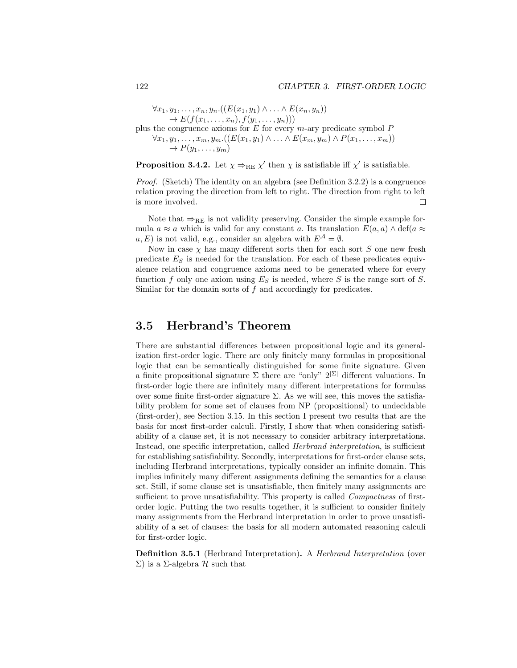$\forall x_1, y_1, \ldots, x_n, y_n. ((E(x_1, y_1) ∧ \ldots ∧ E(x_n, y_n)))$  $\to E(f(x_1,...,x_n), f(y_1,...,y_n)))$ plus the congruence axioms for  $E$  for every m-ary predicate symbol  $P$  $\forall x_1, y_1, \ldots, x_m, y_m. ((E(x_1, y_1) \land \ldots \land E(x_m, y_m) \land P(x_1, \ldots, x_m)))$  $\rightarrow P(y_1,\ldots,y_m)$ 

**Proposition 3.4.2.** Let  $\chi \Rightarrow_{RE} \chi'$  then  $\chi$  is satisfiable iff  $\chi'$  is satisfiable.

*Proof.* (Sketch) The identity on an algebra (see Definition 3.2.2) is a congruence relation proving the direction from left to right. The direction from right to left is more involved.  $\Box$ 

Note that  $\Rightarrow_{RE}$  is not validity preserving. Consider the simple example formula  $a \approx a$  which is valid for any constant a. Its translation  $E(a, a) \wedge \text{def}(a \approx a)$  $a, E$ ) is not valid, e.g., consider an algebra with  $E^{\mathcal{A}} = \emptyset$ .

Now in case  $\chi$  has many different sorts then for each sort S one new fresh predicate  $E<sub>S</sub>$  is needed for the translation. For each of these predicates equivalence relation and congruence axioms need to be generated where for every function f only one axiom using  $E<sub>S</sub>$  is needed, where S is the range sort of S. Similar for the domain sorts of  $f$  and accordingly for predicates.

## 3.5 Herbrand's Theorem

There are substantial differences between propositional logic and its generalization first-order logic. There are only finitely many formulas in propositional logic that can be semantically distinguished for some finite signature. Given a finite propositional signature  $\Sigma$  there are "only"  $2^{|\Sigma|}$  different valuations. In first-order logic there are infinitely many different interpretations for formulas over some finite first-order signature  $\Sigma$ . As we will see, this moves the satisfiability problem for some set of clauses from NP (propositional) to undecidable (first-order), see Section 3.15. In this section I present two results that are the basis for most first-order calculi. Firstly, I show that when considering satisfiability of a clause set, it is not necessary to consider arbitrary interpretations. Instead, one specific interpretation, called Herbrand interpretation, is sufficient for establishing satisfiability. Secondly, interpretations for first-order clause sets, including Herbrand interpretations, typically consider an infinite domain. This implies infinitely many different assignments defining the semantics for a clause set. Still, if some clause set is unsatisfiable, then finitely many assignments are sufficient to prove unsatisfiability. This property is called *Compactness* of firstorder logic. Putting the two results together, it is sufficient to consider finitely many assignments from the Herbrand interpretation in order to prove unsatisfiability of a set of clauses: the basis for all modern automated reasoning calculi for first-order logic.

Definition 3.5.1 (Herbrand Interpretation). A Herbrand Interpretation (over  $\Sigma$ ) is a Σ-algebra *H* such that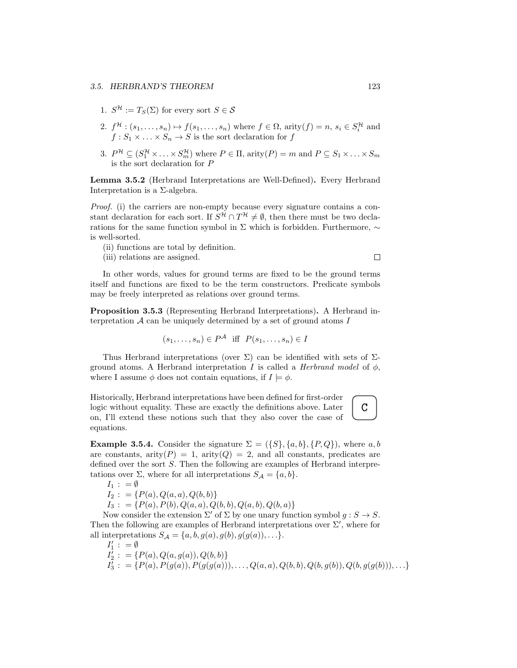- 1.  $S^{\mathcal{H}} := T_S(\Sigma)$  for every sort  $S \in \mathcal{S}$
- 2.  $f^{\mathcal{H}}:(s_1,\ldots,s_n)\mapsto f(s_1,\ldots,s_n)$  where  $f\in\Omega$ , arity $(f)=n$ ,  $s_i\in S_i^{\mathcal{H}}$  and  $f: S_1 \times \ldots \times S_n \to S$  is the sort declaration for f
- 3.  $P^{\mathcal{H}} \subseteq (S_1^{\mathcal{H}} \times \ldots \times S_m^{\mathcal{H}})$  where  $P \in \Pi$ , arity $(P) = m$  and  $P \subseteq S_1 \times \ldots \times S_m$ is the sort declaration for P

Lemma 3.5.2 (Herbrand Interpretations are Well-Defined). Every Herbrand Interpretation is a Σ-algebra.

Proof. (i) the carriers are non-empty because every signature contains a constant declaration for each sort. If  $S^{\mathcal{H}} \cap T^{\mathcal{H}} \neq \emptyset$ , then there must be two declarations for the same function symbol in Σ which is forbidden. Furthermore, ∼ is well-sorted.

- (ii) functions are total by definition.
- (iii) relations are assigned.

In other words, values for ground terms are fixed to be the ground terms itself and functions are fixed to be the term constructors. Predicate symbols may be freely interpreted as relations over ground terms.

Proposition 3.5.3 (Representing Herbrand Interpretations). A Herbrand interpretation  $A$  can be uniquely determined by a set of ground atoms  $I$ 

$$
(s_1, \ldots, s_n) \in P^{\mathcal{A}} \text{ iff } P(s_1, \ldots, s_n) \in I
$$

Thus Herbrand interpretations (over  $\Sigma$ ) can be identified with sets of  $\Sigma$ ground atoms. A Herbrand interpretation I is called a Herbrand model of  $\phi$ , where I assume  $\phi$  does not contain equations, if  $I \models \phi$ .

Historically, Herbrand interpretations have been defined for first-order logic without equality. These are exactly the definitions above. Later on, I'll extend these notions such that they also cover the case of equations.

**Example 3.5.4.** Consider the signature  $\Sigma = (\{S\}, \{a, b\}, \{P, Q\})$ , where a, b are constants, arity( $P$ ) = 1, arity( $Q$ ) = 2, and all constants, predicates are defined over the sort S. Then the following are examples of Herbrand interpretations over  $\Sigma$ , where for all interpretations  $S_A = \{a, b\}.$ 

 $I_1$  : = Ø  $I_2$  : = { $P(a)$ ,  $Q(a, a)$ ,  $Q(b, b)$ }  $I_3$ : = { $P(a)$ ,  $P(b)$ ,  $Q(a, a)$ ,  $Q(b, b)$ ,  $Q(a, b)$ ,  $Q(b, a)$ }

Now consider the extension  $\Sigma'$  of  $\Sigma$  by one unary function symbol  $g : S \to S$ . Then the following are examples of Herbrand interpretations over  $\Sigma'$ , where for all interpretations  $S_A = \{a, b, g(a), g(b), g(g(a)), \ldots\}.$ 

$$
I'_1 := \emptyset
$$
  
\n
$$
I'_2 := \{P(a), Q(a, g(a)), Q(b, b)\}
$$
  
\n
$$
I'_3 := \{P(a), P(g(a)), P(g(g(a))), \dots, Q(a, a), Q(b, b), Q(b, g(b)), Q(b, g(g(b))), \dots\}
$$

 $\Box$ 

C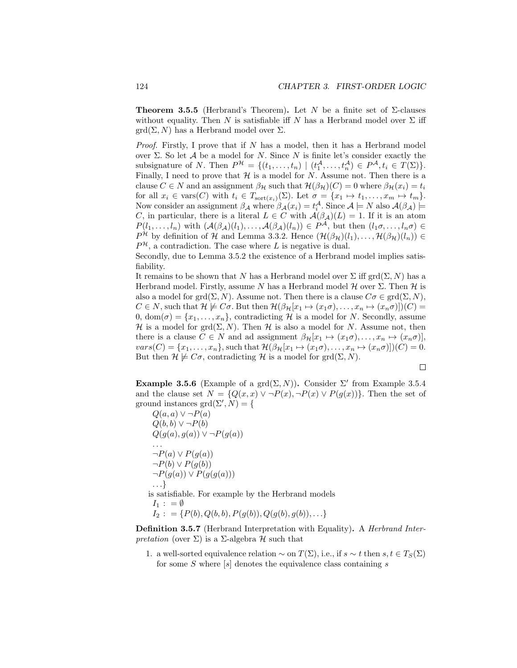**Theorem 3.5.5** (Herbrand's Theorem). Let N be a finite set of  $\Sigma$ -clauses without equality. Then N is satisfiable iff N has a Herbrand model over  $\Sigma$  iff  $\text{grd}(\Sigma, N)$  has a Herbrand model over  $\Sigma$ .

*Proof.* Firstly, I prove that if  $N$  has a model, then it has a Herbrand model over  $\Sigma$ . So let A be a model for N. Since N is finite let's consider exactly the subsignature of N. Then  $P^{\mathcal{H}} = \{(t_1, \ldots, t_n) \mid (t_1^{\mathcal{A}}, \ldots, t_n^{\mathcal{A}}) \in P^{\mathcal{A}}, t_i \in T(\Sigma)\}.$ Finally, I need to prove that  $H$  is a model for N. Assume not. Then there is a clause  $C \in N$  and an assignment  $\beta_{\mathcal{H}}$  such that  $\mathcal{H}(\beta_{\mathcal{H}})(C) = 0$  where  $\beta_{\mathcal{H}}(x_i) = t_i$ for all  $x_i \in \text{vars}(C)$  with  $t_i \in T_{\text{sort}(x_i)}(\Sigma)$ . Let  $\sigma = \{x_1 \mapsto t_1, \ldots, x_m \mapsto t_m\}.$ Now consider an assignment  $\beta_{\mathcal{A}}$  where  $\beta_{\mathcal{A}}(x_i) = t_i^{\mathcal{A}}$ . Since  $\mathcal{A} \models N$  also  $\mathcal{A}(\beta_{\mathcal{A}}) \models$ C, in particular, there is a literal  $L \in C$  with  $\mathcal{A}(\beta_{\mathcal{A}})(L) = 1$ . If it is an atom  $P(l_1,\ldots,l_n)$  with  $(\mathcal{A}(\beta_\mathcal{A})(l_1),\ldots,\mathcal{A}(\beta_\mathcal{A})(l_n))\in P^{\mathcal{A}},$  but then  $(l_1\sigma,\ldots,l_n\sigma)\in$  $P^{\mathcal{H}}$  by definition of H and Lemma 3.3.2. Hence  $(\mathcal{H}(\beta_{\mathcal{H}})(l_1), \ldots, \mathcal{H}(\beta_{\mathcal{H}})(l_n)) \in$  $P^{\mathcal{H}}$ , a contradiction. The case where L is negative is dual.

Secondly, due to Lemma 3.5.2 the existence of a Herbrand model implies satisfiability.

It remains to be shown that N has a Herbrand model over  $\Sigma$  iff grd $(\Sigma, N)$  has a Herbrand model. Firstly, assume N has a Herbrand model  $H$  over  $\Sigma$ . Then  $H$  is also a model for grd $(\Sigma, N)$ . Assume not. Then there is a clause  $C\sigma \in \text{grd}(\Sigma, N)$ ,  $C \in N$ , such that  $\mathcal{H} \not\models C\sigma$ . But then  $\mathcal{H}(\beta_{\mathcal{H}}[x_1 \mapsto (x_1\sigma), \ldots, x_n \mapsto (x_n\sigma)])(C) =$ 0,  $dom(\sigma) = \{x_1, \ldots, x_n\}$ , contradicting H is a model for N. Secondly, assume H is a model for grd $(\Sigma, N)$ . Then H is also a model for N. Assume not, then there is a clause  $C \in N$  and ad assignment  $\beta_{\mathcal{H}}[x_1 \mapsto (x_1\sigma), \ldots, x_n \mapsto (x_n\sigma)],$  $vars(C) = {x_1, \ldots, x_n}$ , such that  $\mathcal{H}(\beta_\mathcal{H}[x_1 \mapsto (x_1 \sigma), \ldots, x_n \mapsto (x_n \sigma)])(C) = 0.$ But then  $\mathcal{H} \not\models C\sigma$ , contradicting H is a model for grd $(\Sigma, N)$ .

$$
\qquad \qquad \Box
$$

Example 3.5.6 (Example of a grd $(\Sigma, N)$ ). Consider  $\Sigma'$  from Example 3.5.4 and the clause set  $N = \{Q(x, x) \lor \neg P(x), \neg P(x) \lor P(g(x))\}.$  Then the set of ground instances  $\text{grd}(\Sigma', N) = \{$ 

 $Q(a, a) \vee \neg P(a)$  $Q(b, b) \vee \neg P(b)$  $Q(g(a), g(a)) \vee \neg P(g(a))$ . . .  $\neg P(a) \vee P(g(a))$  $\neg P(b) \vee P(g(b))$  $\neg P(g(a)) \vee P(g(g(a)))$ . . .} is satisfiable. For example by the Herbrand models  $I_1$ :  $=$  Ø  $I_2$ : = { $P(b)$ ,  $Q(b, b)$ ,  $P(g(b))$ ,  $Q(g(b), g(b))$ , ...}

Definition 3.5.7 (Herbrand Interpretation with Equality). A Herbrand Interpretation (over  $\Sigma$ ) is a  $\Sigma$ -algebra  $\mathcal H$  such that

1. a well-sorted equivalence relation  $\sim$  on  $T(\Sigma)$ , i.e., if  $s \sim t$  then  $s, t \in T_S(\Sigma)$ for some  $S$  where  $[s]$  denotes the equivalence class containing  $s$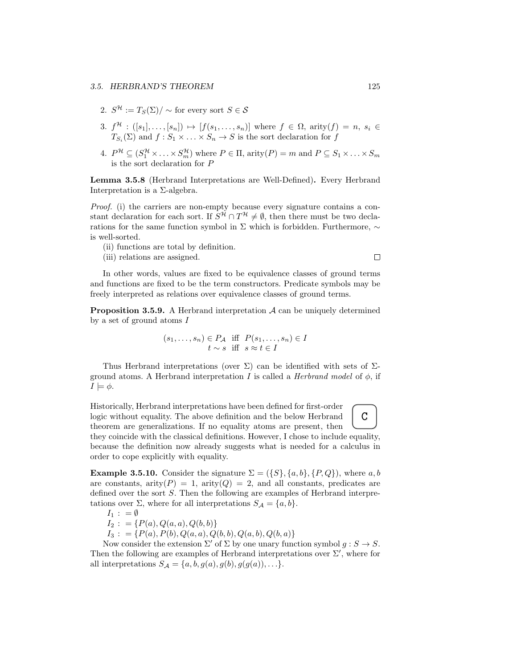#### 3.5. HERBRAND'S THEOREM 125

- 2.  $S^{\mathcal{H}} := T_S(\Sigma) / \sim$  for every sort  $S \in \mathcal{S}$
- 3.  $f^{\mathcal{H}} : ([s_1], \ldots, [s_n]) \mapsto [f(s_1, \ldots, s_n)]$  where  $f \in \Omega$ , arity $(f) = n$ ,  $s_i \in$  $T_{S_i}(\Sigma)$  and  $f: S_1 \times \ldots \times S_n \to S$  is the sort declaration for f
- 4.  $P^{\mathcal{H}} \subseteq (S_1^{\mathcal{H}} \times \ldots \times S_m^{\mathcal{H}})$  where  $P \in \Pi$ , arity $(P) = m$  and  $P \subseteq S_1 \times \ldots \times S_m$ is the sort declaration for P

Lemma 3.5.8 (Herbrand Interpretations are Well-Defined). Every Herbrand Interpretation is a Σ-algebra.

Proof. (i) the carriers are non-empty because every signature contains a constant declaration for each sort. If  $S^{\mathcal{H}} \cap T^{\mathcal{H}} \neq \emptyset$ , then there must be two declarations for the same function symbol in Σ which is forbidden. Furthermore, ∼ is well-sorted.

- (ii) functions are total by definition.
- (iii) relations are assigned.

In other words, values are fixed to be equivalence classes of ground terms and functions are fixed to be the term constructors. Predicate symbols may be freely interpreted as relations over equivalence classes of ground terms.

**Proposition 3.5.9.** A Herbrand interpretation  $A$  can be uniquely determined by a set of ground atoms I

$$
(s_1, \ldots, s_n) \in P_{\mathcal{A}} \text{ iff } P(s_1, \ldots, s_n) \in I
$$
  

$$
t \sim s \text{ iff } s \approx t \in I
$$

Thus Herbrand interpretations (over  $\Sigma$ ) can be identified with sets of  $\Sigma$ ground atoms. A Herbrand interpretation I is called a *Herbrand model* of  $\phi$ , if  $I \models \phi$ .

C Historically, Herbrand interpretations have been defined for first-order logic without equality. The above definition and the below Herbrand theorem are generalizations. If no equality atoms are present, then they coincide with the classical definitions. However, I chose to include equality, because the definition now already suggests what is needed for a calculus in order to cope explicitly with equality.

**Example 3.5.10.** Consider the signature  $\Sigma = (\{S\}, \{a, b\}, \{P, Q\})$ , where a, b are constants, arity( $P$ ) = 1, arity( $Q$ ) = 2, and all constants, predicates are defined over the sort S. Then the following are examples of Herbrand interpretations over  $\Sigma$ , where for all interpretations  $S_{\mathcal{A}} = \{a, b\}.$ 

$$
I_1: = \emptyset
$$

$$
I_2: = \{P(a), Q(a, a), Q(b, b)\}
$$

 $I_3$ : = { $P(a)$ ,  $P(b)$ ,  $Q(a, a)$ ,  $Q(b, b)$ ,  $Q(a, b)$ ,  $Q(b, a)$ }

Now consider the extension  $\Sigma'$  of  $\Sigma$  by one unary function symbol  $g : S \to S$ . Then the following are examples of Herbrand interpretations over  $\Sigma'$ , where for all interpretations  $S_A = \{a, b, g(a), g(b), g(g(a)), \ldots\}.$ 

 $\Box$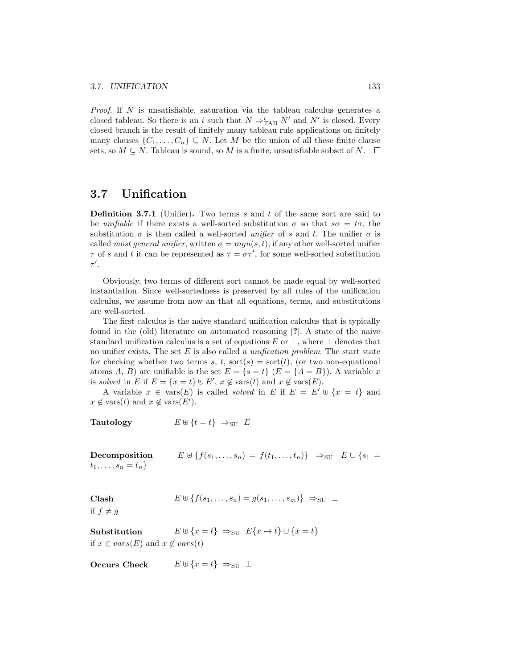*Proof.* If  $N$  is unsatisfiable, saturation via the tableau calculus generates a closed tableau. So there is an i such that  $N \Rightarrow_{\text{TAB}}^i N'$  and  $N'$  is closed. Every closed branch is the result of finitely many tableau rule applications on finitely many clauses  $\{C_1, \ldots, C_n\} \subseteq N$ . Let M be the union of all these finite clause sets, so  $M \subseteq N$ . Tableau is sound, so M is a finite, unsatisfiable subset of N.  $\square$ 

## 3.7 Unification

**Definition 3.7.1** (Unifier). Two terms  $s$  and  $t$  of the same sort are said to be unifiable if there exists a well-sorted substitution  $\sigma$  so that  $s\sigma = t\sigma$ , the substitution  $\sigma$  is then called a well-sorted *unifier* of s and t. The unifier  $\sigma$  is called most general unifier, written  $\sigma = mgu(s, t)$ , if any other well-sorted unifier  $\tau$  of s and t it can be represented as  $\tau = \sigma \tau'$ , for some well-sorted substitution  $\tau'.$ 

Obviously, two terms of different sort cannot be made equal by well-sorted instantiation. Since well-sortedness is preserved by all rules of the unification calculus, we assume from now an that all equations, terms, and substitutions are well-sorted.

The first calculus is the naive standard unification calculus that is typically found in the (old) literature on automated reasoning [?]. A state of the naive standard unification calculus is a set of equations E or  $\perp$ , where  $\perp$  denotes that no unifier exists. The set  $E$  is also called a *unification problem*. The start state for checking whether two terms s, t, sort(s) = sort(t), (or two non-equational atoms A, B) are unifiable is the set  $E = \{s = t\}$   $(E = \{A = B\})$ . A variable x is solved in E if  $E = \{x = t\} \cup E', x \notin \text{vars}(t)$  and  $x \notin \text{vars}(E)$ .

A variable  $x \in \text{vars}(E)$  is called solved in E if  $E = E' \cup \{x = t\}$  and  $x \notin \text{vars}(t)$  and  $x \notin \text{vars}(E').$ 

Tautology  $E \uplus \{t = t\} \Rightarrow_{\text{SU}} E$ 

Decomposition  $E \uplus \{f(s_1, \ldots, s_n) = f(t_1, \ldots, t_n)\} \Rightarrow_{\text{SU}} E \cup \{s_1 =$  $t_1, \ldots, s_n = t_n$ 

Clash  $E \uplus \{f(s_1, \ldots, s_n) = q(s_1, \ldots, s_m)\} \Rightarrow_{\text{SU}} \perp$ 

if  $f \neq g$ 

Substitution  $E \uplus \{x = t\} \Rightarrow_{\text{SU}} E\{x \mapsto t\} \cup \{x = t\}$ if  $x \in vars(E)$  and  $x \notin vars(t)$ 

Occurs Check  $E \oplus \{x = t\} \Rightarrow_{\text{SU}} \perp$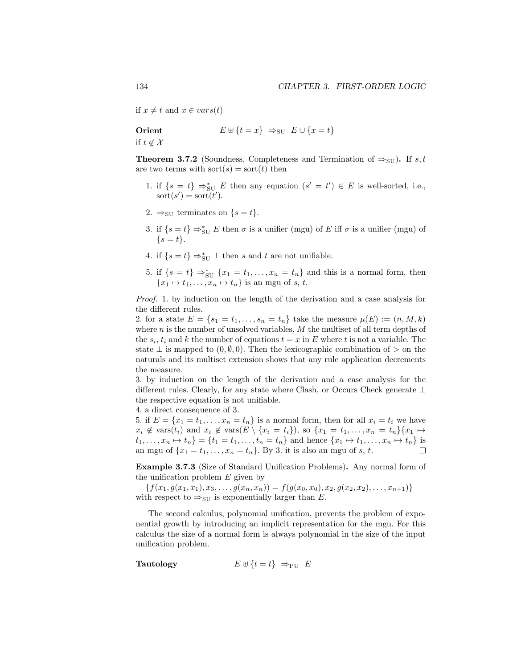if  $x \neq t$  and  $x \in vars(t)$ 

 **Orient**  
if 
$$
t \notin \mathcal{X}
$$
  $E \cup \{t = x\} \Rightarrow_{\text{SU}} E \cup \{x = t\}$ 

**Theorem 3.7.2** (Soundness, Completeness and Termination of  $\Rightarrow_{\text{SU}}$ ). If s, t are two terms with sort $(s) = \text{sort}(t)$  then

- 1. if  $\{s = t\} \Rightarrow_{\text{SU}}^* E$  then any equation  $(s' = t') \in E$  is well-sorted, i.e.,  $\text{sort}(s') = \text{sort}(t').$
- 2.  $\Rightarrow$  su terminates on  $\{s = t\}.$
- 3. if  $\{s = t\} \Rightarrow_{\text{SU}}^* E$  then  $\sigma$  is a unifier (mgu) of E iff  $\sigma$  is a unifier (mgu) of  $\{s = t\}.$
- 4. if  $\{s=t\} \Rightarrow_{\text{SU}}^* \perp$  then s and t are not unifiable.
- 5. if  $\{s = t\} \Rightarrow_{\text{SU}}^* \{x_1 = t_1, \ldots, x_n = t_n\}$  and this is a normal form, then  ${x_1 \mapsto t_1, \ldots, x_n \mapsto t_n}$  is an mgu of s, t.

Proof. 1. by induction on the length of the derivation and a case analysis for the different rules.

2. for a state  $E = \{s_1 = t_1, ..., s_n = t_n\}$  take the measure  $\mu(E) := (n, M, k)$ where  $n$  is the number of unsolved variables,  $M$  the multiset of all term depths of the  $s_i$ ,  $t_i$  and k the number of equations  $t = x$  in E where t is not a variable. The state  $\perp$  is mapped to  $(0, \emptyset, 0)$ . Then the lexicographic combination of  $>$  on the naturals and its multiset extension shows that any rule application decrements the measure.

3. by induction on the length of the derivation and a case analysis for the different rules. Clearly, for any state where Clash, or Occurs Check generate ⊥ the respective equation is not unifiable.

4. a direct consequence of 3.

5. if  $E = \{x_1 = t_1, \ldots, x_n = t_n\}$  is a normal form, then for all  $x_i = t_i$  we have  $x_i \notin \text{vars}(t_i)$  and  $x_i \notin \text{vars}(E \setminus \{x_i = t_i\}),$  so  $\{x_1 = t_1, \ldots, x_n = t_n\}\{x_1 \mapsto$  $t_1, ..., x_n \mapsto t_n$  =  $\{t_1 = t_1, ..., t_n = t_n\}$  and hence  $\{x_1 \mapsto t_1, ..., x_n \mapsto t_n\}$  is an mgu of  $\{x_1 = t_1, \ldots, x_n = t_n\}$ . By 3. it is also an mgu of s, t.

Example 3.7.3 (Size of Standard Unification Problems). Any normal form of the unification problem  $E$  given by

 ${f(x_1, g(x_1, x_1), x_3, \ldots, g(x_n, x_n)) = f(g(x_0, x_0), x_2, g(x_2, x_2), \ldots, x_{n+1})}$ with respect to  $\Rightarrow_{\text{SU}}$  is exponentially larger than E.

The second calculus, polynomial unification, prevents the problem of exponential growth by introducing an implicit representation for the mgu. For this calculus the size of a normal form is always polynomial in the size of the input unification problem.

Tautology  $E \uplus \{t = t\} \Rightarrow_{\text{PU}} E$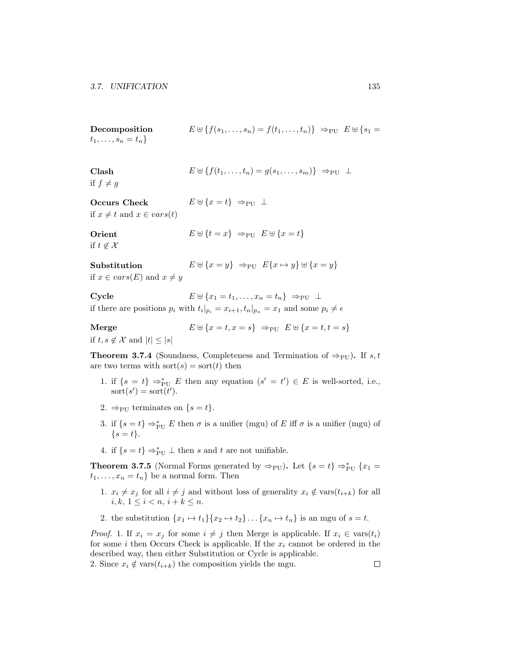| Decomposition          | $E \uplus \{f(s_1, , s_n) = f(t_1, , t_n)\}\Rightarrow_{\text{PU}} E \uplus \{s_1 =$ |  |
|------------------------|--------------------------------------------------------------------------------------|--|
| $t_1,\ldots,s_n=t_n\}$ |                                                                                      |  |

| Clash<br>if $f \neq g$                                    | $E \uplus \{f(t_1,\ldots,t_n)=g(s_1,\ldots,s_m)\}\Rightarrow_{\text{PU}}\perp$                                                                                                       |
|-----------------------------------------------------------|--------------------------------------------------------------------------------------------------------------------------------------------------------------------------------------|
| <b>Occurs Check</b><br>if $x \neq t$ and $x \in vars(t)$  | $E \oplus \{x = t\} \Rightarrow_{\text{PU}} \perp$                                                                                                                                   |
| Orient<br>if $t \notin \mathcal{X}$                       | $E \uplus \{t = x\} \Rightarrow_{\text{PU}} E \uplus \{x = t\}$                                                                                                                      |
| Substitution<br>if $x \in vars(E)$ and $x \neq y$         | $E \uplus \{x = y\} \Rightarrow_{\text{PU}} E\{x \mapsto y\} \uplus \{x = y\}$                                                                                                       |
| Cycle                                                     | $E \oplus \{x_1 = t_1, \ldots, x_n = t_n\} \Rightarrow_{\text{PU}} \perp$<br>if there are positions $p_i$ with $t_i _{p_i} = x_{i+1}, t_n _{p_n} = x_1$ and some $p_i \neq \epsilon$ |
| Merge<br>if $t, s \notin \mathcal{X}$ and $ t  \leq  s $  | $E \uplus \{x = t, x = s\} \Rightarrow_{\text{PU}} E \uplus \{x = t, t = s\}$                                                                                                        |
| are two terms with $\text{sort}(s) = \text{sort}(t)$ then | <b>Theorem 3.7.4</b> (Soundness, Completeness and Termination of $\Rightarrow_{\text{PU}}$ ). If s, t                                                                                |

- 1. if  $\{s = t\} \Rightarrow_{\text{PU}}^* E$  then any equation  $(s' = t') \in E$  is well-sorted, i.e.,  $\text{sort}(s') = \text{sort}(t').$
- 2.  $\Rightarrow$ PU terminates on  $\{s = t\}.$
- 3. if  $\{s = t\} \Rightarrow_{\text{PU}}^* E$  then  $\sigma$  is a unifier (mgu) of E iff  $\sigma$  is a unifier (mgu) of  $\{s = t\}.$
- 4. if  $\{s=t\} \Rightarrow_{\text{PU}}^* \bot$  then s and t are not unifiable.

**Theorem 3.7.5** (Normal Forms generated by  $\Rightarrow$ PU). Let  $\{s = t\} \Rightarrow_{\text{PU}}^* \{x_1 =$  $t_1, \ldots, x_n = t_n$  be a normal form. Then

- 1.  $x_i \neq x_j$  for all  $i \neq j$  and without loss of generality  $x_i \notin \text{vars}(t_{i+k})$  for all  $i, k, 1 \leq i < n, i + k \leq n.$
- 2. the substitution  $\{x_1 \mapsto t_1\} \{x_2 \mapsto t_2\} \dots \{x_n \mapsto t_n\}$  is an mgu of  $s = t$ .

*Proof.* 1. If  $x_i = x_j$  for some  $i \neq j$  then Merge is applicable. If  $x_i \in \text{vars}(t_i)$ for some i then Occurs Check is applicable. If the  $x_i$  cannot be ordered in the described way, then either Substitution or Cycle is applicable.

2. Since  $x_i \notin \text{vars}(t_{i+k})$  the composition yields the mgu.  $\Box$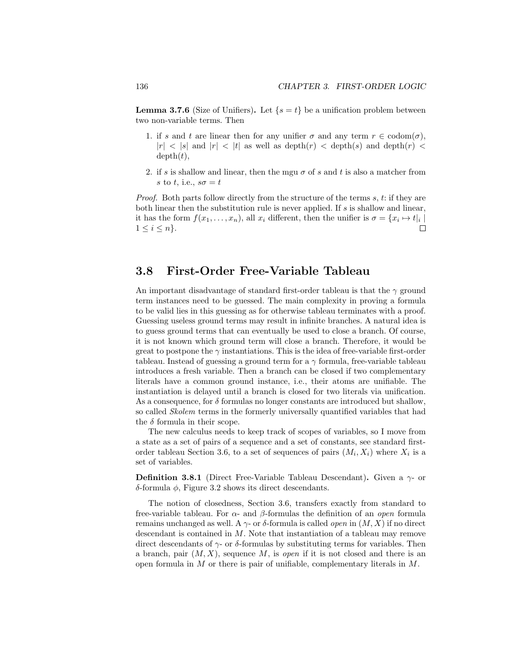**Lemma 3.7.6** (Size of Unifiers). Let  $\{s = t\}$  be a unification problem between two non-variable terms. Then

- 1. if s and t are linear then for any unifier  $\sigma$  and any term  $r \in \text{codom}(\sigma)$ ,  $|r| < |s|$  and  $|r| < |t|$  as well as depth $(r) <$  depth $(s)$  and depth $(r) <$  $depth(t),$
- 2. if s is shallow and linear, then the mgu  $\sigma$  of s and t is also a matcher from s to t, i.e.,  $s\sigma = t$

*Proof.* Both parts follow directly from the structure of the terms  $s, t$ : if they are both linear then the substitution rule is never applied. If  $s$  is shallow and linear, it has the form  $f(x_1, \ldots, x_n)$ , all  $x_i$  different, then the unifier is  $\sigma = \{x_i \mapsto t|_i \mid$  $1 \leq i \leq n$ .  $\Box$ 

## 3.8 First-Order Free-Variable Tableau

An important disadvantage of standard first-order tableau is that the  $\gamma$  ground term instances need to be guessed. The main complexity in proving a formula to be valid lies in this guessing as for otherwise tableau terminates with a proof. Guessing useless ground terms may result in infinite branches. A natural idea is to guess ground terms that can eventually be used to close a branch. Of course, it is not known which ground term will close a branch. Therefore, it would be great to postpone the  $\gamma$  instantiations. This is the idea of free-variable first-order tableau. Instead of guessing a ground term for a  $\gamma$  formula, free-variable tableau introduces a fresh variable. Then a branch can be closed if two complementary literals have a common ground instance, i.e., their atoms are unifiable. The instantiation is delayed until a branch is closed for two literals via unification. As a consequence, for  $\delta$  formulas no longer constants are introduced but shallow, so called Skolem terms in the formerly universally quantified variables that had the  $\delta$  formula in their scope.

The new calculus needs to keep track of scopes of variables, so I move from a state as a set of pairs of a sequence and a set of constants, see standard firstorder tableau Section 3.6, to a set of sequences of pairs  $(M_i, X_i)$  where  $X_i$  is a set of variables.

**Definition 3.8.1** (Direct Free-Variable Tableau Descendant). Given a  $\gamma$ - or δ-formula φ, Figure 3.2 shows its direct descendants.

The notion of closedness, Section 3.6, transfers exactly from standard to free-variable tableau. For  $\alpha$ - and  $\beta$ -formulas the definition of an *open* formula remains unchanged as well. A  $\gamma$ - or δ-formula is called *open* in  $(M, X)$  if no direct descendant is contained in M. Note that instantiation of a tableau may remove direct descendants of  $\gamma$ - or  $\delta$ -formulas by substituting terms for variables. Then a branch, pair  $(M, X)$ , sequence M, is *open* if it is not closed and there is an open formula in M or there is pair of unifiable, complementary literals in M.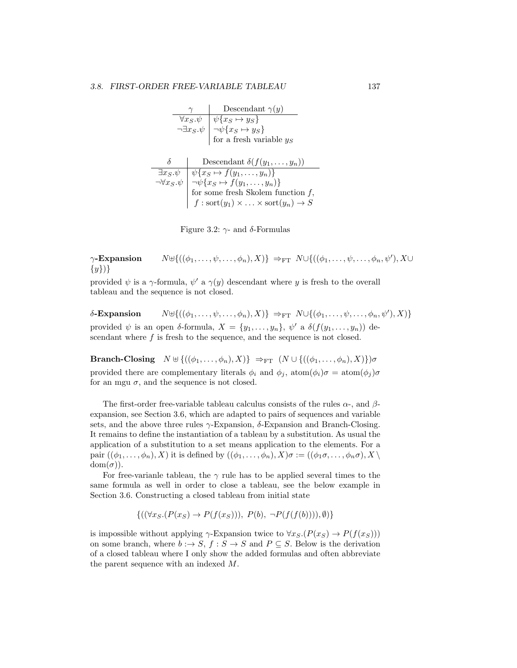$$
\begin{array}{c|c}\n\gamma & \text{Descendant } \gamma(y) \\
\hline\n\forall x_S.\psi & \psi\{x_S \mapsto y_S\} \\
\neg \exists x_S.\psi & \neg \psi\{x_S \mapsto y_S\} \\
\text{for a fresh variable } y_S \\
\delta & \text{Descendant } \delta(f(y_1, \ldots, y_n)) \\
\hline\n\exists x_S.\psi & \psi\{x_S \mapsto f(y_1, \ldots, y_n)\} \\
\hline\n\gamma \forall x_S.\psi & \neg \psi\{x_S \mapsto f(y_1, \ldots, y_n)\} \\
\text{for some fresh Skolem function } f, \\
f: \text{sort}(y_1) \times \ldots \times \text{sort}(y_n) \to S\n\end{array}
$$

Figure 3.2:  $\gamma$ - and δ-Formulas

## $\gamma$ -Expansion  $N \uplus \{((\phi_1, \ldots, \psi, \ldots, \phi_n), X)\}\Rightarrow_{\mathrm{FT}} N \cup \{((\phi_1, \ldots, \psi, \ldots, \phi_n, \psi'), X\cup$  $\{y\}\$

provided  $\psi$  is a  $\gamma$ -formula,  $\psi'$  a  $\gamma(y)$  descendant where y is fresh to the overall tableau and the sequence is not closed.

 $\delta$ -Expansion  $N \uplus \{((\phi_1, \ldots, \psi, \ldots, \phi_n), X)\} \Rightarrow_{\text{FT}} N \cup \{(\phi_1, \ldots, \psi, \ldots, \phi_n, \psi'), X)\}$ provided  $\psi$  is an open  $\delta$ -formula,  $X = \{y_1, \ldots, y_n\}, \psi'$  a  $\delta(f(y_1, \ldots, y_n))$  descendant where  $f$  is fresh to the sequence, and the sequence is not closed.

Branch-Closing  $N \uplus \{((\phi_1, \ldots, \phi_n), X)\} \Rightarrow_{\text{FT}} (N \cup \{((\phi_1, \ldots, \phi_n), X)\}) \sigma$ provided there are complementary literals  $\phi_i$  and  $\phi_j$ , atom $(\phi_i)\sigma = \text{atom}(\phi_j)\sigma$ for an mgu  $\sigma$ , and the sequence is not closed.

The first-order free-variable tableau calculus consists of the rules  $\alpha$ -, and  $\beta$ expansion, see Section 3.6, which are adapted to pairs of sequences and variable sets, and the above three rules  $\gamma$ -Expansion,  $\delta$ -Expansion and Branch-Closing. It remains to define the instantiation of a tableau by a substitution. As usual the application of a substitution to a set means application to the elements. For a pair  $((\phi_1,\ldots,\phi_n), X)$  it is defined by  $((\phi_1,\ldots,\phi_n), X)\sigma := ((\phi_1\sigma,\ldots,\phi_n\sigma), X\setminus$  $dom(\sigma)$ ).

For free-varianle tableau, the  $\gamma$  rule has to be applied several times to the same formula as well in order to close a tableau, see the below example in Section 3.6. Constructing a closed tableau from initial state

$$
\{((\forall x_S.(P(x_S) \to P(f(x_S))), P(b), \neg P(f(f(b)))), \emptyset)\}\
$$

is impossible without applying  $\gamma$ -Expansion twice to  $\forall x_S.(P(x_S) \rightarrow P(f(x_S)))$ on some branch, where  $b : \rightarrow S$ ,  $f : S \rightarrow S$  and  $P \subseteq S$ . Below is the derivation of a closed tableau where I only show the added formulas and often abbreviate the parent sequence with an indexed M.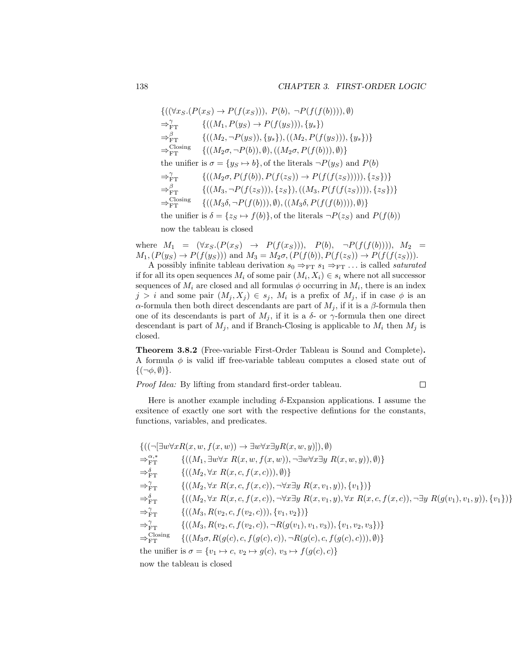$$
\begin{aligned}\n\{((\forall x_S. (P(x_S) \to P(f(x_S))), P(b), \neg P(f(f(b)))), \emptyset) \\
\Rightarrow_{\text{FT}}^{\gamma} & \{((M_1, P(y_S) \to P(f(y_S))), \{y_s\})\} \\
\Rightarrow_{\text{FT}}^{\beta} & \{((M_2, \neg P(y_S)), \{y_s\}), ((M_2, P(f(y_S))), \{y_s\})\} \\
\Rightarrow_{\text{FT}}^{\text{Closing}} & \{((M_2\sigma, \neg P(b)), \emptyset), ((M_2\sigma, P(f(b))), \emptyset)\} \\
\text{the unifier is } \sigma = \{y_S \mapsto b\}, \text{of the literals } \neg P(y_S) \text{ and } P(b) \\
\Rightarrow_{\text{FT}}^{\gamma} & \{((M_2\sigma, P(f(b)), P(f(z_S))) \to P(f(f(z_S))))), \{z_S\})\} \\
\Rightarrow_{\text{FT}}^{\beta} & \{((M_3, \neg P(f(z_S))), \{z_S\}), ((M_3, P(f(f(z_S))))), \{z_S\})\} \\
\Rightarrow_{\text{FT}}^{\text{Closing}} & \{((M_3\delta, \neg P(f(b))), \emptyset), ((M_3\delta, P(f(f(b))))), \emptyset)\} \\
\text{the unifier is } \delta = \{z_S \mapsto f(b)\}, \text{of the literals } \neg P(z_S) \text{ and } P(f(b))\n\end{aligned}
$$

now the tableau is closed

where  $M_1 = (\forall x_S.(P(x_S) \rightarrow P(f(x_S))), P(b), \neg P(f(f(b))))$ ,  $M_2$  $M_1,(P(y_S) \to P(f(y_S)))$  and  $M_3 = M_2\sigma,(P(f(b)),P(f(z_S)) \to P(f(f(z_S))).$ 

A possibly infinite tableau derivation  $s_0 \Rightarrow_{\text{FT}} s_1 \Rightarrow_{\text{FT}} \dots$  is called *saturated* if for all its open sequences  $M_i$  of some pair  $(M_i, X_i) \in s_i$  where not all successor sequences of  $M_i$  are closed and all formulas  $\phi$  occurring in  $M_i$ , there is an index  $j > i$  and some pair  $(M_j, X_j) \in s_j$ ,  $M_i$  is a prefix of  $M_j$ , if in case  $\phi$  is an α-formula then both direct descendants are part of  $M_j$ , if it is a β-formula then one of its descendants is part of  $M_j$ , if it is a  $\delta$ - or  $\gamma$ -formula then one direct descendant is part of  $M_i$ , and if Branch-Closing is applicable to  $M_i$  then  $M_j$  is closed.

Theorem 3.8.2 (Free-variable First-Order Tableau is Sound and Complete). A formula  $\phi$  is valid iff free-variable tableau computes a closed state out of  $\{(\neg \phi, \emptyset)\}.$ 

Proof Idea: By lifting from standard first-order tableau.

Here is another example including  $\delta$ -Expansion applications. I assume the exsitence of exactly one sort with the respective defintions for the constants, functions, variables, and predicates.

$$
\begin{aligned}\n&\{((\neg[\exists w\forall xR(x,w,f(x,w))\rightarrow\exists w\forall x\exists yR(x,w,y)]),\emptyset)\right.\\
&\Rightarrow_{\text{FT}}^{\alpha,*} \quad &\{((M_1,\exists w\forall x\ R(x,w,f(x,w)),\neg\exists w\forall x\exists y\ R(x,w,y)),\emptyset)\}\right.\\
&\Rightarrow_{\text{FT}}^{\delta}\quad &\{((M_2,\forall x\ R(x,c,f(x,c))),\emptyset)\}\right.\\
&\Rightarrow_{\text{FT}}^{\delta}\quad &\{((M_2,\forall x\ R(x,c,f(x,c)),\neg\forall x\exists y\ R(x,v_1,y)),\{v_1\})\}\right.\\
&\Rightarrow_{\text{FT}}^{\delta}\quad &\{((M_2,\forall x\ R(x,c,f(x,c)),\neg\forall x\exists y\ R(x,v_1,y),\forall x\ R(x,c,f(x,c)),\neg\exists y\ R(g(v_1),v_1,y)),\{v_1\})\}\right.\\
&\Rightarrow_{\text{FT}}^{\gamma}\quad &\{((M_3,R(v_2,c,f(v_2,c))),\{v_1,v_2\})\}\right.\\
&\Rightarrow_{\text{FT}}^{\gamma}\quad &\{((M_3,R(v_2,c,f(v_2,c)),\neg R(g(v_1),v_1,v_3)),\{v_1,v_2,v_3\})\}\right.\\
&\Rightarrow_{\text{FT}}^{\text{Closing}}\quad &\{((M_3\sigma,R(g(c),c,f(g(c),c)),\neg R(g(c),c,f(g(c),c))),\emptyset)\}\n\end{aligned}
$$
the unifier is  $\sigma = \{v_1 \mapsto c, v_2 \mapsto g(c), v_3 \mapsto f(g(c),c)\}$ 

 $\Box$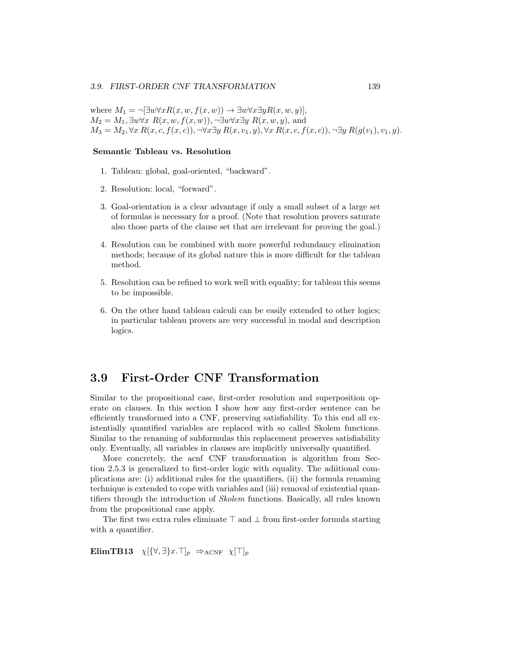#### 3.9. FIRST-ORDER CNF TRANSFORMATION 139

where  $M_1 = \neg[\exists w \forall x R(x, w, f(x, w)) \rightarrow \exists w \forall x \exists y R(x, w, y)],$  $M_2 = M_1, \exists w \forall x \ R(x, w, f(x, w)), \neg \exists w \forall x \exists y \ R(x, w, y),$  and  $M_3 = M_2, \forall x R(x, c, f(x, c)), \neg \forall x \exists y R(x, v_1, y), \forall x R(x, c, f(x, c)), \neg \exists y R(g(v_1), v_1, y).$ 

#### Semantic Tableau vs. Resolution

- 1. Tableau: global, goal-oriented, "backward".
- 2. Resolution: local, "forward".
- 3. Goal-orientation is a clear advantage if only a small subset of a large set of formulas is necessary for a proof. (Note that resolution provers saturate also those parts of the clause set that are irrelevant for proving the goal.)
- 4. Resolution can be combined with more powerful redundancy elimination methods; because of its global nature this is more difficult for the tableau method.
- 5. Resolution can be refined to work well with equality; for tableau this seems to be impossible.
- 6. On the other hand tableau calculi can be easily extended to other logics; in particular tableau provers are very successful in modal and description logics.

## 3.9 First-Order CNF Transformation

Similar to the propositional case, first-order resolution and superposition operate on clauses. In this section I show how any first-order sentence can be efficiently transformed into a CNF, preserving satisfiability. To this end all existentially quantified variables are replaced with so called Skolem functions. Similar to the renaming of subformulas this replacement preserves satisfiability only. Eventually, all variables in clauses are implicitly universally quantified.

More concretely, the acnf CNF transformation is algorithm from Section 2.5.3 is generalized to first-order logic with equality. The adiitional complications are: (i) additional rules for the quantifiers, (ii) the formula renaming technique is extended to cope with variables and (iii) removal of existential quantifiers through the introduction of Skolem functions. Basically, all rules known from the propositional case apply.

The first two extra rules eliminate  $\top$  and  $\bot$  from first-order formula starting with a quantifier.

ElimTB13  $\chi[\{\forall,\exists\}x.\top]_p \Rightarrow_{\text{ACNF}} \chi[\top]_p$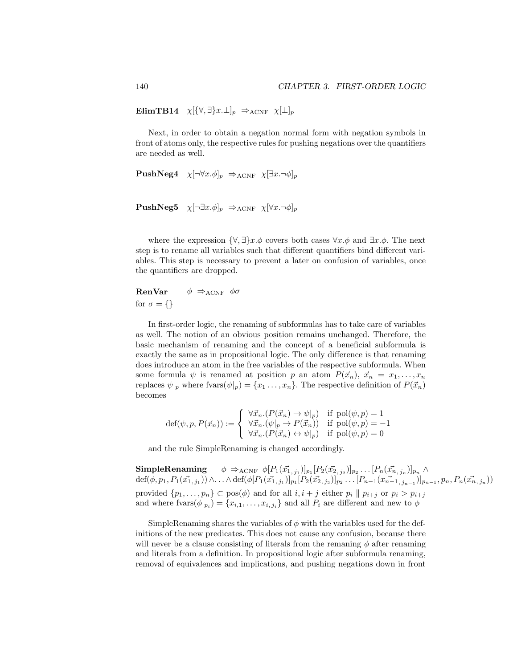ElimTB14  $\chi[\{\forall,\exists\}x.\bot]_p \Rightarrow_{ACNF} \chi[\bot]_p$ 

Next, in order to obtain a negation normal form with negation symbols in front of atoms only, the respective rules for pushing negations over the quantifiers are needed as well.

```
PushNeg4 \chi[\neg \forall x.\phi]_p \Rightarrow_{\text{ACNF}} \chi[\exists x.\neg \phi]_p
```

```
PushNeg5 \chi[\neg \exists x.\phi]_p \Rightarrow_{\text{ACNF}} \chi[\forall x.\neg \phi]_p
```
where the expression  $\{\forall,\exists\}x.\phi$  covers both cases  $\forall x.\phi$  and  $\exists x.\phi$ . The next step is to rename all variables such that different quantifiers bind different variables. This step is necessary to prevent a later on confusion of variables, once the quantifiers are dropped.

**RenVar**  $\phi \Rightarrow_{ACNF} \phi \sigma$ for  $\sigma = \{\}$ 

In first-order logic, the renaming of subformulas has to take care of variables as well. The notion of an obvious position remains unchanged. Therefore, the basic mechanism of renaming and the concept of a beneficial subformula is exactly the same as in propositional logic. The only difference is that renaming does introduce an atom in the free variables of the respective subformula. When some formula  $\psi$  is renamed at position p an atom  $P(\vec{x}_n), \vec{x}_n = x_1, \ldots, x_n$ replaces  $\psi|_p$  where fvars $(\psi|_p) = \{x_1, \ldots, x_n\}$ . The respective definition of  $P(\vec{x}_n)$ becomes

$$
\text{def}(\psi, p, P(\vec{x}_n)) := \begin{cases} \forall \vec{x}_n. (P(\vec{x}_n) \to \psi|_p) & \text{if } \text{pol}(\psi, p) = 1 \\ \forall \vec{x}_n. (\psi|_p \to P(\vec{x}_n)) & \text{if } \text{pol}(\psi, p) = -1 \\ \forall \vec{x}_n. (P(\vec{x}_n) \leftrightarrow \psi|_p) & \text{if } \text{pol}(\psi, p) = 0 \end{cases}
$$

and the rule SimpleRenaming is changed accordingly.

 $\textbf{SimpleRemaining} \ \ \ \ \ \ \phi \Rightarrow_{\text{ACNF}} \phi[P_1(\vec{x_{1}}, \vec{y_{1}})]_{p_1} [P_2(\vec{x_{2}}, \vec{y_{2}})]_{p_2} \ldots [P_n(\vec{x_{n}}, \vec{y_{n}})]_{p_n} \ \land$  $\det(\phi, p_1, P_1(\vec{x_1}, j_1)) \wedge \ldots \wedge \det(\phi[P_1(\vec{x_1}, j_1)]_{p_1} [P_2(\vec{x_2}, j_2)]_{p_2} \ldots [P_{n-1}(\vec{x_{n-1}}, j_{n-1})]_{p_{n-1}}, p_n, P_n(\vec{x_n}, j_n))$ provided  $\{p_1, \ldots, p_n\} \subset \text{pos}(\phi)$  and for all  $i, i + j$  either  $p_i \parallel p_{i+j}$  or  $p_i > p_{i+j}$ and where  $fvars(\phi|_{p_i}) = \{x_{i,1}, \ldots, x_{i,j_i}\}\$ and all  $P_i$  are different and new to  $\phi$ 

SimpleRenaming shares the variables of  $\phi$  with the variables used for the definitions of the new predicates. This does not cause any confusion, because there will never be a clause consisting of literals from the remaning  $\phi$  after renaming and literals from a definition. In propositional logic after subformula renaming, removal of equivalences and implications, and pushing negations down in front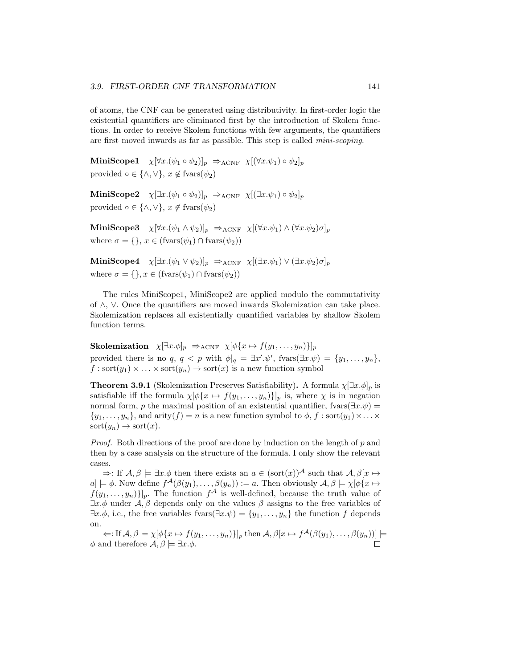of atoms, the CNF can be generated using distributivity. In first-order logic the existential quantifiers are eliminated first by the introduction of Skolem functions. In order to receive Skolem functions with few arguments, the quantifiers are first moved inwards as far as passible. This step is called mini-scoping.

MiniScope1  $\chi[\forall x.(\psi_1 \circ \psi_2)]_p \Rightarrow_{\text{ACNF}} \chi[(\forall x. \psi_1) \circ \psi_2]_p$ provided  $\circ \in \{\wedge, \vee\}, x \notin \text{fvars}(\psi_2)$ 

MiniScope2  $\chi[\exists x.(\psi_1 \circ \psi_2)]_p \Rightarrow_{\text{ACNF}} \chi[(\exists x. \psi_1) \circ \psi_2]_p$ provided  $\circ \in \{\wedge, \vee\}, x \notin \text{fvars}(\psi_2)$ 

MiniScope3  $\chi[\forall x.(\psi_1 \wedge \psi_2)]_p \Rightarrow_{\text{ACNF}} \chi[(\forall x. \psi_1) \wedge (\forall x. \psi_2) \sigma]_p$ where  $\sigma = \{\}, x \in (fvars(\psi_1) \cap fvars(\psi_2))$ 

MiniScope4  $\chi[\exists x.(\psi_1 \vee \psi_2)]_p \Rightarrow_{\text{ACNF}} \chi[(\exists x.\psi_1) \vee (\exists x.\psi_2)\sigma]_p$ where  $\sigma = \{\}, x \in (fvars(\psi_1) \cap fvars(\psi_2))$ 

The rules MiniScope1, MiniScope2 are applied modulo the commutativity of ∧, ∨. Once the quantifiers are moved inwards Skolemization can take place. Skolemization replaces all existentially quantified variables by shallow Skolem function terms.

Skolemization  $\chi[\exists x.\phi]_p \Rightarrow_{\text{ACNF}} \chi[\phi\{x \mapsto f(y_1,\ldots,y_n)\}]_p$ provided there is no q,  $q < p$  with  $\phi|_q = \exists x'.\psi'$ , fvars $(\exists x.\psi) = \{y_1,\ldots,y_n\}$ ,  $f : \text{sort}(y_1) \times \ldots \times \text{sort}(y_n) \rightarrow \text{sort}(x)$  is a new function symbol

**Theorem 3.9.1** (Skolemization Preserves Satisfiability). A formula  $\chi[\exists x.\phi]_p$  is satisfiable iff the formula  $\chi[\phi\{x \mapsto f(y_1, \ldots, y_n)\}]_p$  is, where  $\chi$  is in negation normal form, p the maximal position of an existential quantifier, fvars( $\exists x.\psi$ ) =  $\{y_1, \ldots, y_n\}$ , and arity $(f) = n$  is a new function symbol to  $\phi$ ,  $f : \text{sort}(y_1) \times \ldots \times$  $sort(y_n) \rightarrow sort(x).$ 

*Proof.* Both directions of the proof are done by induction on the length of p and then by a case analysis on the structure of the formula. I only show the relevant cases.

 $\Rightarrow$ : If  $\mathcal{A}, \beta \models \exists x.\phi$  then there exists an  $a \in (\text{sort}(x))^{\mathcal{A}}$  such that  $\mathcal{A}, \beta[x \mapsto \phi]$  $[a] \models \phi$ . Now define  $f^{\mathcal{A}}(\beta(y_1), \ldots, \beta(y_n)) := a$ . Then obviously  $\mathcal{A}, \beta \models \chi[\phi\{x \mapsto$  $f(y_1,\ldots,y_n)$ ]<sub>p</sub>. The function  $f^{\mathcal{A}}$  is well-defined, because the truth value of  $\exists x.\phi$  under  $\mathcal{A},\beta$  depends only on the values  $\beta$  assigns to the free variables of  $\exists x.\phi$ , i.e., the free variables fvars $(\exists x.\psi) = \{y_1,\ldots,y_n\}$  the function f depends on.

 $\Leftarrow$ : If  $\mathcal{A}, \beta \models \chi[\phi\{x \mapsto f(y_1, \dots, y_n)\}]_p$  then  $\mathcal{A}, \beta[x \mapsto f^{\mathcal{A}}(\beta(y_1), \dots, \beta(y_n))] \models$  $\phi$  and therefore  $\mathcal{A}, \beta \models \exists x. \phi$ .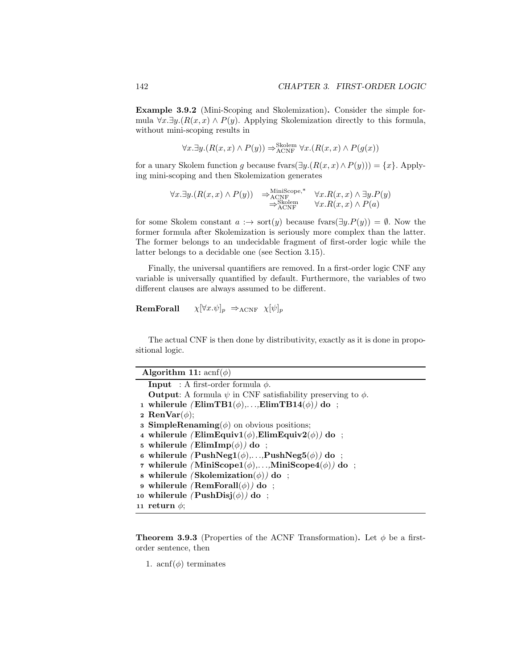Example 3.9.2 (Mini-Scoping and Skolemization). Consider the simple formula  $\forall x.\exists y.(R(x,x) \land P(y))$ . Applying Skolemization directly to this formula, without mini-scoping results in

$$
\forall x. \exists y. (R(x, x) \land P(y)) \Rightarrow_{\text{ACNF}}^{\text{Skolem}} \forall x. (R(x, x) \land P(g(x)))
$$

for a unary Skolem function g because fvars $(\exists y.(R(x,x) \land P(y))) = \{x\}$ . Applying mini-scoping and then Skolemization generates

$$
\forall x. \exists y. (R(x,x) \land P(y)) \Rightarrow^{\text{MiniScope},*}_{\text{ACNF}} \forall x. R(x,x) \land \exists y. P(y) \Rightarrow^{\text{Sololem}}_{\text{ACNF}} \forall x. R(x,x) \land P(a)
$$

for some Skolem constant  $a : \rightarrow sort(y)$  because fvars $(\exists y.P(y)) = \emptyset$ . Now the former formula after Skolemization is seriously more complex than the latter. The former belongs to an undecidable fragment of first-order logic while the latter belongs to a decidable one (see Section 3.15).

Finally, the universal quantifiers are removed. In a first-order logic CNF any variable is universally quantified by default. Furthermore, the variables of two different clauses are always assumed to be different.

```
RemForall \chi[\forall x.\psi]_p \Rightarrow_{\text{ACNF}} \chi[\psi]_p
```
The actual CNF is then done by distributivity, exactly as it is done in propositional logic.

| Algorithm 11: $\operatorname{acnf}(\phi)$                                    |
|------------------------------------------------------------------------------|
| <b>Input</b> : A first-order formula $\phi$ .                                |
| <b>Output:</b> A formula $\psi$ in CNF satisfiability preserving to $\phi$ . |
| 1 whilerule $(ElimT B1(\phi),,ElimT B14(\phi))$ do:                          |
| 2 RenVar $(\phi)$ ;                                                          |
| <b>3 SimpleRenaming</b> $(\phi)$ on obvious positions;                       |
| 4 whilerule (ElimEquiv1( $\phi$ ), ElimEquiv2( $\phi$ ) do ;                 |
| 5 whilerule (ElimImp( $\phi$ ) do;                                           |
| 6 whilerule $(PushNeg1(\phi),,PushNeg5(\phi))$ do:                           |
| 7 whilerule (MiniScope1( $\phi$ ),,MiniScope4( $\phi$ )) do;                 |
| s whilerule (Skolemization( $\phi$ ) do ;                                    |
| 9 whilerule (RemForall $(\phi)$ ) do;                                        |
| 10 whilerule $(PushDisj(\phi))$ do:                                          |
| 11 return $\phi$ :                                                           |

**Theorem 3.9.3** (Properties of the ACNF Transformation). Let  $\phi$  be a firstorder sentence, then

1. acnf $(\phi)$  terminates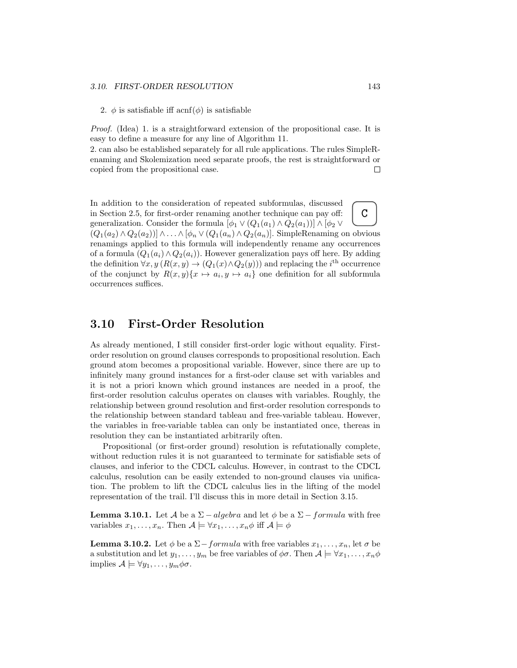#### 3.10. FIRST-ORDER RESOLUTION 143

2.  $\phi$  is satisfiable iff acnf( $\phi$ ) is satisfiable

Proof. (Idea) 1. is a straightforward extension of the propositional case. It is easy to define a measure for any line of Algorithm 11.

2. can also be established separately for all rule applications. The rules SimpleRenaming and Skolemization need separate proofs, the rest is straightforward or copied from the propositional case.  $\Box$ 

 $\overline{C}$ In addition to the consideration of repeated subformulas, discussed in Section 2.5, for first-order renaming another technique can pay off: generalization. Consider the formula  $[\phi_1 \vee (Q_1(a_1) \wedge Q_2(a_1))] \wedge [\phi_2 \vee$  $(Q_1(a_2) \wedge Q_2(a_2)) \wedge \ldots \wedge [\phi_n \vee (Q_1(a_n) \wedge Q_2(a_n)].$  SimpleRenaming on obvious renamings applied to this formula will independently rename any occurrences of a formula  $(Q_1(a_i) \wedge Q_2(a_i))$ . However generalization pays off here. By adding the definition  $\forall x, y \ (R(x, y) \rightarrow (Q_1(x) \land Q_2(y)))$  and replacing the i<sup>th</sup> occurrence of the conjunct by  $R(x, y) \{x \mapsto a_i, y \mapsto a_i\}$  one definition for all subformula occurrences suffices.

## 3.10 First-Order Resolution

As already mentioned, I still consider first-order logic without equality. Firstorder resolution on ground clauses corresponds to propositional resolution. Each ground atom becomes a propositional variable. However, since there are up to infinitely many ground instances for a first-oder clause set with variables and it is not a priori known which ground instances are needed in a proof, the first-order resolution calculus operates on clauses with variables. Roughly, the relationship between ground resolution and first-order resolution corresponds to the relationship between standard tableau and free-variable tableau. However, the variables in free-variable tablea can only be instantiated once, thereas in resolution they can be instantiated arbitrarily often.

Propositional (or first-order ground) resolution is refutationally complete, without reduction rules it is not guaranteed to terminate for satisfiable sets of clauses, and inferior to the CDCL calculus. However, in contrast to the CDCL calculus, resolution can be easily extended to non-ground clauses via unification. The problem to lift the CDCL calculus lies in the lifting of the model representation of the trail. I'll discuss this in more detail in Section 3.15.

**Lemma 3.10.1.** Let A be a  $\Sigma$  – algebra and let  $\phi$  be a  $\Sigma$  – formula with free variables  $x_1, \ldots, x_n$ . Then  $\mathcal{A} \models \forall x_1, \ldots, x_n \phi$  iff  $\mathcal{A} \models \phi$ 

**Lemma 3.10.2.** Let  $\phi$  be a  $\Sigma$  - formula with free variables  $x_1, \ldots, x_n$ , let  $\sigma$  be a substitution and let  $y_1, \ldots, y_m$  be free variables of  $\phi \sigma$ . Then  $\mathcal{A} \models \forall x_1, \ldots, x_n \phi$ implies  $\mathcal{A} \models \forall y_1, \ldots, y_m \phi \sigma$ .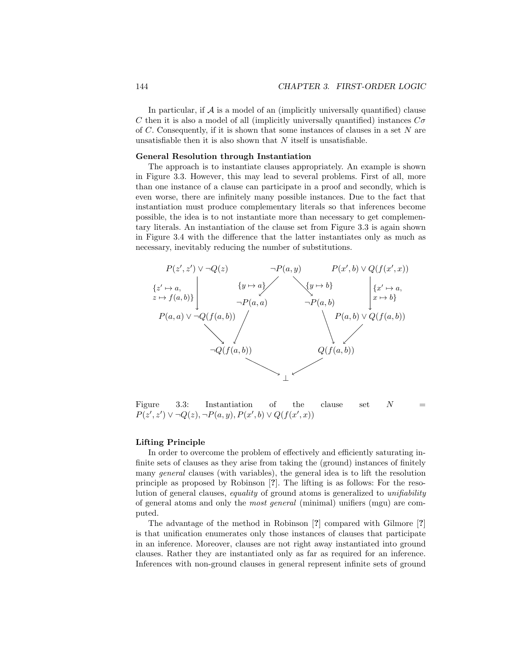In particular, if  $A$  is a model of an (implicitly universally quantified) clause C then it is also a model of all (implicitly universally quantified) instances  $C\sigma$ of  $C$ . Consequently, if it is shown that some instances of clauses in a set  $N$  are unsatisfiable then it is also shown that  $N$  itself is unsatisfiable.

#### General Resolution through Instantiation

The approach is to instantiate clauses appropriately. An example is shown in Figure 3.3. However, this may lead to several problems. First of all, more than one instance of a clause can participate in a proof and secondly, which is even worse, there are infinitely many possible instances. Due to the fact that instantiation must produce complementary literals so that inferences become possible, the idea is to not instantiate more than necessary to get complementary literals. An instantiation of the clause set from Figure 3.3 is again shown in Figure 3.4 with the difference that the latter instantiates only as much as necessary, inevitably reducing the number of substitutions.



Figure 3.3: Instantiation of the clause set  $N$  $P(z', z') \lor \neg Q(z), \neg P(a, y), P(x', b) \lor Q(f(x', x))$ 

#### Lifting Principle

In order to overcome the problem of effectively and efficiently saturating infinite sets of clauses as they arise from taking the (ground) instances of finitely many general clauses (with variables), the general idea is to lift the resolution principle as proposed by Robinson [?]. The lifting is as follows: For the resolution of general clauses, equality of ground atoms is generalized to unifiability of general atoms and only the most general (minimal) unifiers (mgu) are computed.

The advantage of the method in Robinson [?] compared with Gilmore [?] is that unification enumerates only those instances of clauses that participate in an inference. Moreover, clauses are not right away instantiated into ground clauses. Rather they are instantiated only as far as required for an inference. Inferences with non-ground clauses in general represent infinite sets of ground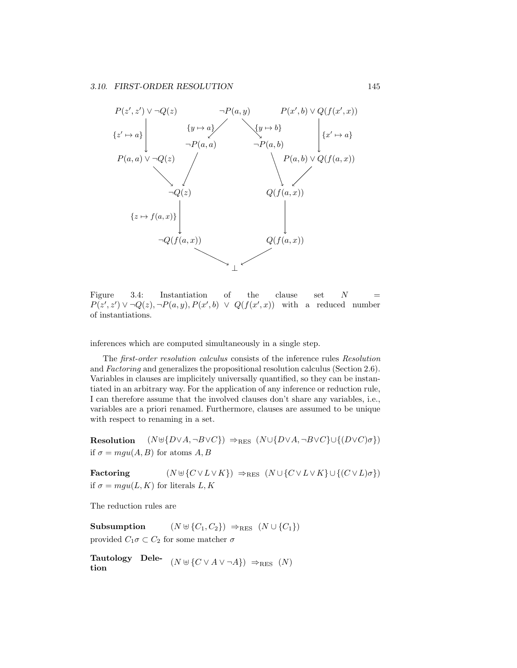

Figure 3.4: Instantiation of the clause set  $N =$  $P(z', z') \vee \neg Q(z), \neg P(a, y), P(x', b) \vee Q(f(x', x))$  with a reduced number of instantiations.

inferences which are computed simultaneously in a single step.

The first-order resolution calculus consists of the inference rules Resolution and Factoring and generalizes the propositional resolution calculus (Section 2.6). Variables in clauses are implicitely universally quantified, so they can be instantiated in an arbitrary way. For the application of any inference or reduction rule, I can therefore assume that the involved clauses don't share any variables, i.e., variables are a priori renamed. Furthermore, clauses are assumed to be unique with respect to renaming in a set.

Resolution  $(N \cup \{D \lor A, \neg B \lor C\}) \Rightarrow_{RES} (N \cup \{D \lor A, \neg B \lor C\} \cup \{(D \lor C) \sigma\})$ if  $\sigma = mau(A, B)$  for atoms A, B

Factoring  $(N \uplus \{C \vee L \vee K\}) \Rightarrow_{RES} (N \cup \{C \vee L \vee K\} \cup \{(C \vee L)\sigma\})$ if  $\sigma = \text{mqu}(L, K)$  for literals L, K

The reduction rules are

Subsumption  $(N \uplus \{C_1, C_2\}) \Rightarrow_{RES} (N \cup \{C_1\})$ provided  $C_1 \sigma \subset C_2$  for some matcher  $\sigma$ 

Tautology Dele-<br>  $(N \oplus \{C \vee A \vee \neg A\}) \Rightarrow_{RES} (N)$ tion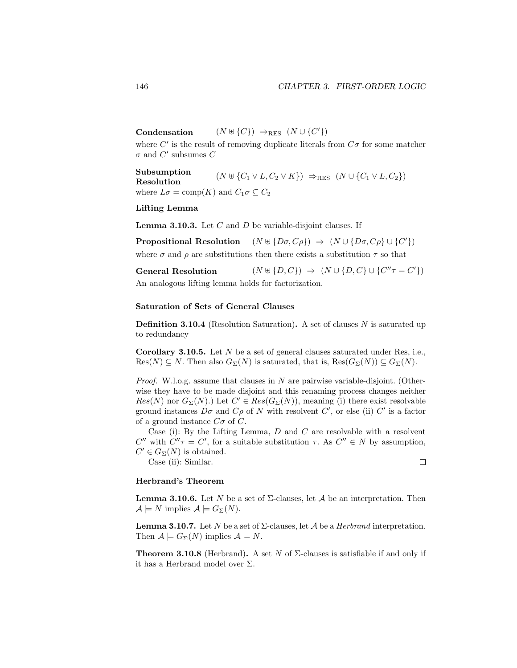Condensation  $(N \oplus \{C\}) \Rightarrow_{RES} (N \cup \{C'\})$ 

where  $C'$  is the result of removing duplicate literals from  $C\sigma$  for some matcher  $\sigma$  and  $C'$  subsumes  $C$ 

Subsumption Resolution  $(N \cup \{C_1 \vee L, C_2 \vee K\}) \Rightarrow_{RES} (N \cup \{C_1 \vee L, C_2\})$ where  $L\sigma = \text{comp}(K)$  and  $C_1\sigma \subseteq C_2$ 

## Lifting Lemma

**Lemma 3.10.3.** Let  $C$  and  $D$  be variable-disjoint clauses. If

Propositional Resolution  $(N \oplus \{D\sigma, C\rho\}) \Rightarrow (N \cup \{D\sigma, C\rho\} \cup \{C'\})$ 

where  $\sigma$  and  $\rho$  are substitutions then there exists a substitution  $\tau$  so that

**General Resolution** 
$$
(N \uplus \{D, C\}) \Rightarrow (N \cup \{D, C\} \cup \{C''\tau = C'\})
$$

An analogous lifting lemma holds for factorization.

#### Saturation of Sets of General Clauses

**Definition 3.10.4** (Resolution Saturation). A set of clauses  $N$  is saturated up to redundancy

**Corollary 3.10.5.** Let  $N$  be a set of general clauses saturated under Res, i.e.,  $Res(N) \subseteq N$ . Then also  $G_{\Sigma}(N)$  is saturated, that is,  $Res(G_{\Sigma}(N)) \subseteq G_{\Sigma}(N)$ .

*Proof.* W.l.o.g. assume that clauses in  $N$  are pairwise variable-disjoint. (Otherwise they have to be made disjoint and this renaming process changes neither  $Res(N)$  nor  $G_{\Sigma}(N)$ .) Let  $C' \in Res(G_{\Sigma}(N))$ , meaning (i) there exist resolvable ground instances  $D\sigma$  and  $C\rho$  of N with resolvent C', or else (ii) C' is a factor of a ground instance  $C\sigma$  of C.

Case (i): By the Lifting Lemma,  $D$  and  $C$  are resolvable with a resolvent C'' with  $C''\tau = C'$ , for a suitable substitution  $\tau$ . As  $C'' \in N$  by assumption,  $C' \in G_{\Sigma}(N)$  is obtained.

Case (ii): Similar.

 $\Box$ 

## Herbrand's Theorem

**Lemma 3.10.6.** Let N be a set of  $\Sigma$ -clauses, let A be an interpretation. Then  $\mathcal{A} \models N$  implies  $\mathcal{A} \models G_{\Sigma}(N)$ .

**Lemma 3.10.7.** Let N be a set of  $\Sigma$ -clauses, let  $\mathcal A$  be a *Herbrand* interpretation. Then  $\mathcal{A} \models G_{\Sigma}(N)$  implies  $\mathcal{A} \models N$ .

**Theorem 3.10.8** (Herbrand). A set N of  $\Sigma$ -clauses is satisfiable if and only if it has a Herbrand model over  $\Sigma$ .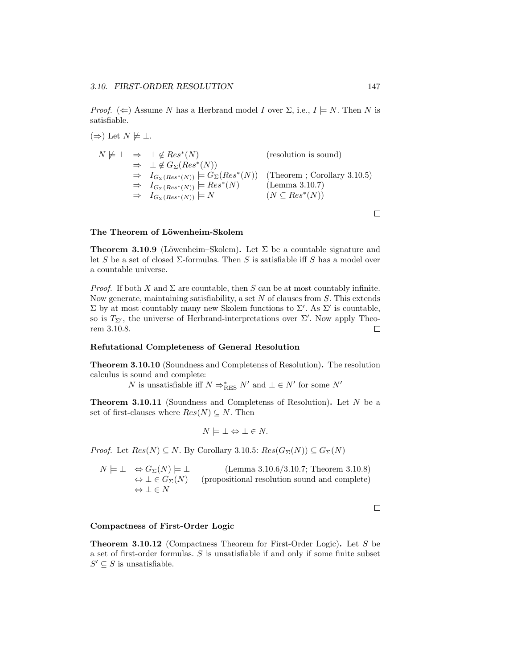*Proof.* ( $\Leftarrow$ ) Assume N has a Herbrand model I over  $\Sigma$ , i.e.,  $I \models N$ . Then N is satisfiable.

 $(\Rightarrow)$  Let  $N \not\models \bot$ .

$$
N \not\models \bot \Rightarrow \bot \notin Res^*(N) \qquad \text{(resolution is sound)}
$$
  
\n
$$
\Rightarrow \bot \notin G_{\Sigma}(Res^*(N))
$$
  
\n
$$
\Rightarrow I_{G_{\Sigma}(Res^*(N))} \models G_{\Sigma}(Res^*(N)) \qquad \text{(Theorem ; Corollary 3.10.5)}
$$
  
\n
$$
\Rightarrow I_{G_{\Sigma}(Res^*(N))} \models Res^*(N) \qquad \text{(Lemma 3.10.7)}
$$
  
\n
$$
\Rightarrow I_{G_{\Sigma}(Res^*(N))} \models N \qquad \qquad (N \subseteq Res^*(N))
$$

## The Theorem of Löwenheim-Skolem

**Theorem 3.10.9** (Löwenheim–Skolem). Let  $\Sigma$  be a countable signature and let S be a set of closed  $\Sigma$ -formulas. Then S is satisfiable iff S has a model over a countable universe.

*Proof.* If both X and  $\Sigma$  are countable, then S can be at most countably infinite. Now generate, maintaining satisfiability, a set  $N$  of clauses from  $S$ . This extends  $\Sigma$  by at most countably many new Skolem functions to  $\Sigma'$ . As  $\Sigma'$  is countable, so is  $T_{\Sigma'}$ , the universe of Herbrand-interpretations over  $\Sigma'$ . Now apply Theorem 3.10.8.  $\Box$ 

#### Refutational Completeness of General Resolution

Theorem 3.10.10 (Soundness and Completenss of Resolution). The resolution calculus is sound and complete:

 $N$  is unsatisfiable iff  $N \Rightarrow^*_{\text{RES}} N'$  and  $\bot \in N'$  for some  $N'$ 

Theorem 3.10.11 (Soundness and Completenss of Resolution). Let N be a set of first-clauses where  $Res(N) \subseteq N$ . Then

$$
N \models \bot \Leftrightarrow \bot \in N.
$$

*Proof.* Let  $Res(N) \subseteq N$ . By Corollary 3.10.5:  $Res(G_{\Sigma}(N)) \subseteq G_{\Sigma}(N)$ 

 $N \models \bot \Leftrightarrow G_{\Sigma}(N) \models \bot$  (Lemma 3.10.6/3.10.7; Theorem 3.10.8)<br>  $\Leftrightarrow \bot \in G_{\Sigma}(N)$  (propositional resolution sound and complete) (propositional resolution sound and complete)  $\Leftrightarrow \bot \in N$ 

 $\Box$ 

#### Compactness of First-Order Logic

Theorem 3.10.12 (Compactness Theorem for First-Order Logic). Let S be a set of first-order formulas. S is unsatisfiable if and only if some finite subset  $S' \subseteq S$  is unsatisfiable.

 $\Box$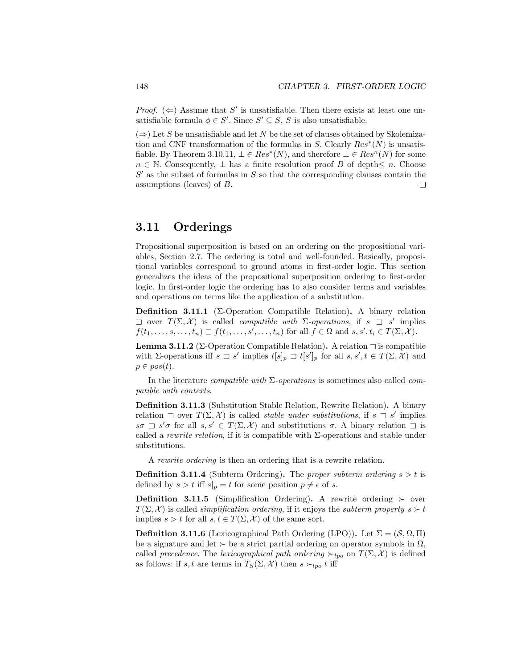*Proof.* ( $\Leftarrow$ ) Assume that S' is unsatisfiable. Then there exists at least one unsatisfiable formula  $\phi \in S'$ . Since  $S' \subseteq S$ , S is also unsatisfiable.

 $(\Rightarrow)$  Let S be unsatisfiable and let N be the set of clauses obtained by Skolemization and CNF transformation of the formulas in S. Clearly  $Res^*(N)$  is unsatisfiable. By Theorem 3.10.11,  $\bot \in Res^*(N)$ , and therefore  $\bot \in Res^n(N)$  for some  $n \in \mathbb{N}$ . Consequently,  $\perp$  has a finite resolution proof B of depth $\leq n$ . Choose  $S'$  as the subset of formulas in  $S$  so that the corresponding clauses contain the assumptions (leaves) of B.  $\Box$ 

## 3.11 Orderings

Propositional superposition is based on an ordering on the propositional variables, Section 2.7. The ordering is total and well-founded. Basically, propositional variables correspond to ground atoms in first-order logic. This section generalizes the ideas of the propositional superposition ordering to first-order logic. In first-order logic the ordering has to also consider terms and variables and operations on terms like the application of a substitution.

Definition 3.11.1 (Σ-Operation Compatible Relation). A binary relation  $\exists$  over  $T(\Sigma, \mathcal{X})$  is called *compatible with*  $\Sigma$ -operations, if  $s \exists s'$  implies  $f(t_1,\ldots,s,\ldots,t_n) \sqsupset f(t_1,\ldots,s',\ldots,t_n)$  for all  $f \in \Omega$  and  $s,s',t_i \in T(\Sigma,\mathcal{X})$ .

Lemma 3.11.2 (Σ-Operation Compatible Relation). A relation  $\exists$  is compatible with  $\Sigma$ -operations iff  $s \supset s'$  implies  $t[s]_p \supset t[s']_p$  for all  $s, s', t \in T(\Sigma, \mathcal{X})$  and  $p \in pos(t)$ .

In the literature *compatible with*  $\Sigma$ -operations is sometimes also called *com*patible with contexts.

Definition 3.11.3 (Substitution Stable Relation, Rewrite Relation). A binary relation  $\exists$  over  $T(\Sigma, \mathcal{X})$  is called *stable under substitutions*, if  $s \exists s'$  implies  $s\sigma \supset s'\sigma$  for all  $s, s' \in T(\Sigma, \mathcal{X})$  and substitutions  $\sigma$ . A binary relation  $\supset$  is called a *rewrite relation*, if it is compatible with  $\Sigma$ -operations and stable under substitutions.

A rewrite ordering is then an ordering that is a rewrite relation.

**Definition 3.11.4** (Subterm Ordering). The proper subterm ordering  $s > t$  is defined by  $s > t$  iff  $s|_p = t$  for some position  $p \neq \epsilon$  of s.

**Definition 3.11.5** (Simplification Ordering). A rewrite ordering  $\succ$  over  $T(\Sigma, \mathcal{X})$  is called *simplification ordering*, if it enjoys the *subterm property*  $s > t$ implies  $s > t$  for all  $s, t \in T(\Sigma, \mathcal{X})$  of the same sort.

**Definition 3.11.6** (Lexicographical Path Ordering (LPO)). Let  $\Sigma = (\mathcal{S}, \Omega, \Pi)$ be a signature and let  $\succ$  be a strict partial ordering on operator symbols in  $\Omega$ , called precedence. The lexicographical path ordering  $\succ_{lpo}$  on  $T(\Sigma, \mathcal{X})$  is defined as follows: if  $s, t$  are terms in  $T_S(\Sigma, \mathcal{X})$  then  $s \succ_{lpo} t$  iff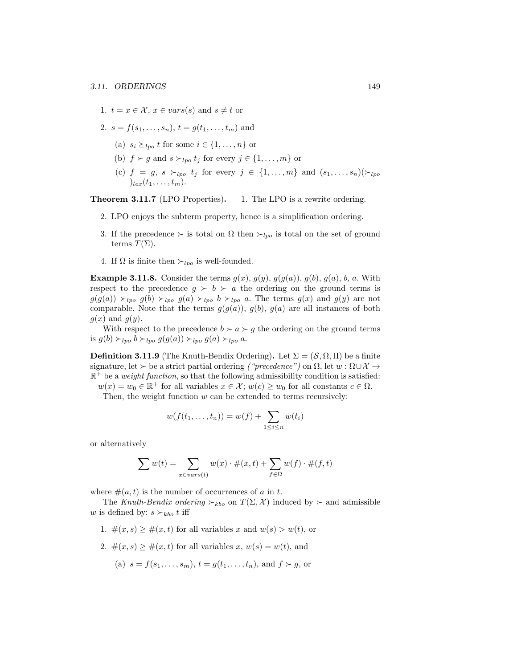- 1.  $t = x \in \mathcal{X}, x \in vars(s)$  and  $s \neq t$  or
- 2.  $s = f(s_1, \ldots, s_n), t = g(t_1, \ldots, t_m)$  and
	- (a)  $s_i \succ_{lno} t$  for some  $i \in \{1, \ldots, n\}$  or
	- (b)  $f \succ g$  and  $s \succ_{lpo} t_j$  for every  $j \in \{1, \ldots, m\}$  or
	- (c)  $f = g, s \succ_{lpo} t_j$  for every  $j \in \{1, \ldots, m\}$  and  $(s_1, \ldots, s_n)(\succ_{lpo}$  $)_{lex}(t_1,\ldots,t_m).$

Theorem 3.11.7 (LPO Properties). 1. The LPO is a rewrite ordering.

- 2. LPO enjoys the subterm property, hence is a simplification ordering.
- 3. If the precedence  $\succ$  is total on  $\Omega$  then  $\succ_{lpo}$  is total on the set of ground terms  $T(\Sigma)$ .
- 4. If  $\Omega$  is finite then  $\succ_{lpo}$  is well-founded.

**Example 3.11.8.** Consider the terms  $g(x)$ ,  $g(y)$ ,  $g(g(a))$ ,  $g(b)$ ,  $g(a)$ ,  $b$ ,  $a$ . With respect to the precedence  $g \succ b \succ a$  the ordering on the ground terms is  $g(g(a)) \succ_{lpo} g(b) \succ_{lpo} g(a) \succ_{lpo} b \succ_{lpo} a$ . The terms  $g(x)$  and  $g(y)$  are not comparable. Note that the terms  $g(g(a))$ ,  $g(b)$ ,  $g(a)$  are all instances of both  $g(x)$  and  $g(y)$ .

With respect to the precedence  $b \succ a \succ g$  the ordering on the ground terms is  $g(b) \succ_{lpo} b \succ_{lpo} g(g(a)) \succ_{lpo} g(a) \succ_{lpo} a$ .

**Definition 3.11.9** (The Knuth-Bendix Ordering). Let  $\Sigma = (\mathcal{S}, \Omega, \Pi)$  be a finite signature, let  $\succ$  be a strict partial ordering ("precedence") on  $\Omega$ , let  $w : \Omega \cup \mathcal{X} \rightarrow$  $\mathbb{R}^+$  be a *weight function*, so that the following admissibility condition is satisfied:

 $w(x) = w_0 \in \mathbb{R}^+$  for all variables  $x \in \mathcal{X}$ ;  $w(c) \geq w_0$  for all constants  $c \in \Omega$ . Then, the weight function  $w$  can be extended to terms recursively:

$$
w(f(t_1,\ldots,t_n))=w(f)+\sum_{1\leq i\leq n}w(t_i)
$$

or alternatively

$$
\sum w(t) = \sum_{x \in vars(t)} w(x) \cdot \#(x, t) + \sum_{f \in \Omega} w(f) \cdot \#(f, t)
$$

where  $\#(a, t)$  is the number of occurrences of a in t.

The Knuth-Bendix ordering  $\succ_{kbo}$  on  $T(\Sigma, \mathcal{X})$  induced by  $\succ$  and admissible w is defined by:  $s \succ_{kbo} t$  iff

- 1.  $\#(x, s) \geq \#(x, t)$  for all variables x and  $w(s) > w(t)$ , or
- 2.  $\#(x, s) \geq \#(x, t)$  for all variables  $x, w(s) = w(t)$ , and
	- (a)  $s = f(s_1, \ldots, s_m)$ ,  $t = q(t_1, \ldots, t_n)$ , and  $f \succ q$ , or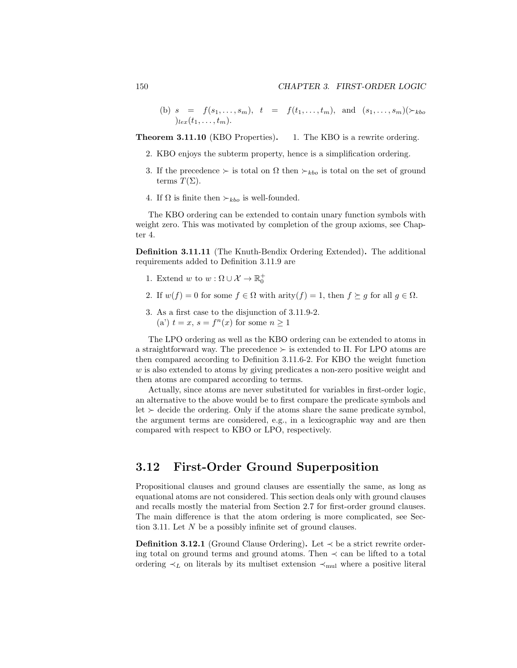(b)  $s = f(s_1, \ldots, s_m)$ ,  $t = f(t_1, \ldots, t_m)$ , and  $(s_1, \ldots, s_m)$   $(\succ_{kbo}$  $)_{lex}(t_1,\ldots,t_m).$ 

**Theorem 3.11.10** (KBO Properties). 1. The KBO is a rewrite ordering.

- 2. KBO enjoys the subterm property, hence is a simplification ordering.
- 3. If the precedence  $\succ$  is total on  $\Omega$  then  $\succ_{kbo}$  is total on the set of ground terms  $T(\Sigma)$ .
- 4. If  $\Omega$  is finite then  $\succ_{kbo}$  is well-founded.

The KBO ordering can be extended to contain unary function symbols with weight zero. This was motivated by completion of the group axioms, see Chapter 4.

Definition 3.11.11 (The Knuth-Bendix Ordering Extended). The additional requirements added to Definition 3.11.9 are

- 1. Extend w to  $w : \Omega \cup \mathcal{X} \to \mathbb{R}_0^+$
- 2. If  $w(f) = 0$  for some  $f \in \Omega$  with arity $(f) = 1$ , then  $f \succeq g$  for all  $g \in \Omega$ .
- 3. As a first case to the disjunction of 3.11.9-2. (a')  $t = x$ ,  $s = f<sup>n</sup>(x)$  for some  $n \ge 1$

The LPO ordering as well as the KBO ordering can be extended to atoms in a straightforward way. The precedence  $\succ$  is extended to  $\Pi$ . For LPO atoms are then compared according to Definition 3.11.6-2. For KBO the weight function  $w$  is also extended to atoms by giving predicates a non-zero positive weight and then atoms are compared according to terms.

Actually, since atoms are never substituted for variables in first-order logic, an alternative to the above would be to first compare the predicate symbols and let  $\succ$  decide the ordering. Only if the atoms share the same predicate symbol, the argument terms are considered, e.g., in a lexicographic way and are then compared with respect to KBO or LPO, respectively.

## 3.12 First-Order Ground Superposition

Propositional clauses and ground clauses are essentially the same, as long as equational atoms are not considered. This section deals only with ground clauses and recalls mostly the material from Section 2.7 for first-order ground clauses. The main difference is that the atom ordering is more complicated, see Section 3.11. Let N be a possibly infinite set of ground clauses.

Definition 3.12.1 (Ground Clause Ordering). Let  $\prec$  be a strict rewrite ordering total on ground terms and ground atoms. Then  $\prec$  can be lifted to a total ordering  $\prec_L$  on literals by its multiset extension  $\prec_{\text{mul}}$  where a positive literal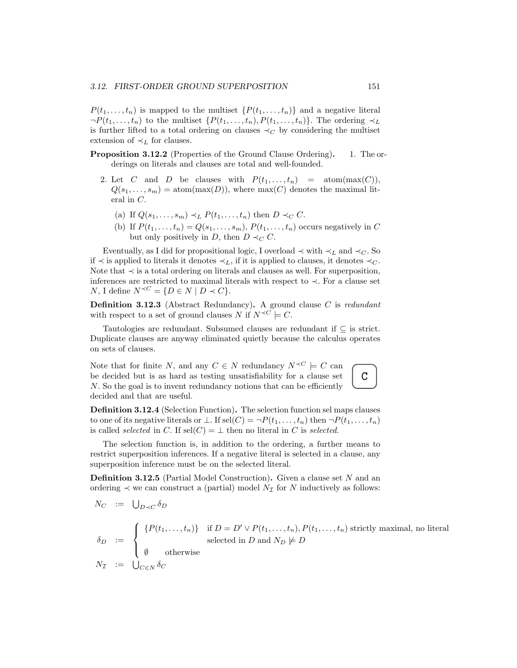$P(t_1, \ldots, t_n)$  is mapped to the multiset  $\{P(t_1, \ldots, t_n)\}\$  and a negative literal  $\neg P(t_1,\ldots,t_n)$  to the multiset  $\{P(t_1,\ldots,t_n), P(t_1,\ldots,t_n)\}\.$  The ordering  $\prec_L$ is further lifted to a total ordering on clauses  $\prec_C$  by considering the multiset extension of  $\prec_L$  for clauses.

- Proposition 3.12.2 (Properties of the Ground Clause Ordering). 1. The orderings on literals and clauses are total and well-founded.
	- 2. Let C and D be clauses with  $P(t_1, \ldots, t_n)$  = atom(max(C)),  $Q(s_1, \ldots, s_m) = \text{atom}(\text{max}(D)),$  where  $\text{max}(C)$  denotes the maximal literal in C.
		- (a) If  $Q(s_1, \ldots, s_m) \prec_L P(t_1, \ldots, t_n)$  then  $D \prec_C C$ .
		- (b) If  $P(t_1, \ldots, t_n) = Q(s_1, \ldots, s_m)$ ,  $P(t_1, \ldots, t_n)$  occurs negatively in C but only positively in D, then  $D \prec_C C$ .

Eventually, as I did for propositional logic, I overload  $\prec$  with  $\prec_L$  and  $\prec_C$ . So if  $\prec$  is applied to literals it denotes  $\prec_L$ , if it is applied to clauses, it denotes  $\prec_C$ . Note that ≺ is a total ordering on literals and clauses as well. For superposition, inferences are restricted to maximal literals with respect to ≺. For a clause set N, I define  $N^{\prec C} = \{D \in N \mid D \prec C\}.$ 

Definition 3.12.3 (Abstract Redundancy). A ground clause C is redundant with respect to a set of ground clauses N if  $N^{\prec C} \models C$ .

Tautologies are redundant. Subsumed clauses are redundant if  $\subseteq$  is strict. Duplicate clauses are anyway eliminated quietly because the calculus operates on sets of clauses.

Note that for finite N, and any  $C \in N$  redundancy  $N^{\prec C} \models C$  can be decided but is as hard as testing unsatisfiability for a clause set N. So the goal is to invent redundancy notions that can be efficiently decided and that are useful.

Definition 3.12.4 (Selection Function). The selection function sel maps clauses to one of its negative literals or  $\bot$ . If sel $(C) = \neg P(t_1, \ldots, t_n)$  then  $\neg P(t_1, \ldots, t_n)$ is called *selected* in C. If  $\text{sel}(C) = \perp$  then no literal in C is *selected*.

The selection function is, in addition to the ordering, a further means to restrict superposition inferences. If a negative literal is selected in a clause, any superposition inference must be on the selected literal.

**Definition 3.12.5** (Partial Model Construction). Given a clause set  $N$  and an ordering  $\prec$  we can construct a (partial) model  $N_{\mathcal{I}}$  for N inductively as follows:

$$
N_C := \bigcup_{D \prec C} \delta_D
$$
  
\n
$$
\delta_D := \begin{cases} \{P(t_1, \ldots, t_n)\} & \text{if } D = D' \vee P(t_1, \ldots, t_n), P(t_1, \ldots, t_n) \text{ strictly maximal, no literal} \\ \emptyset & \text{otherwise} \end{cases}
$$
  
\n
$$
N_{\mathcal{I}} := \bigcup_{C \in N} \delta_C
$$

C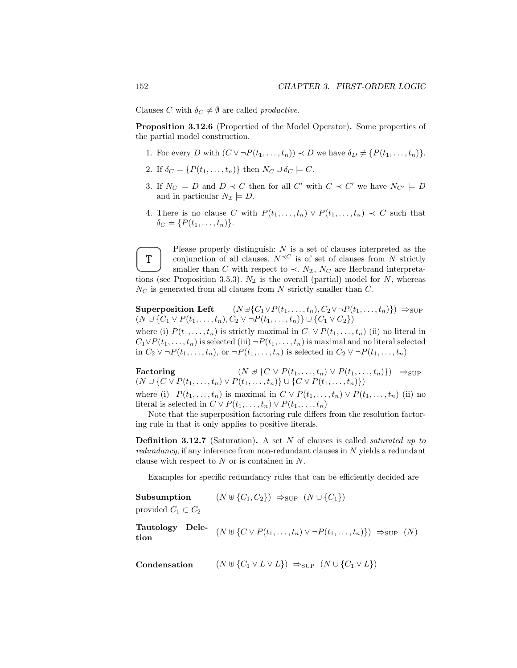Clauses C with  $\delta_C \neq \emptyset$  are called *productive*.

Proposition 3.12.6 (Propertied of the Model Operator). Some properties of the partial model construction.

- 1. For every D with  $(C \vee \neg P(t_1, \ldots, t_n)) \prec D$  we have  $\delta_D \neq \{P(t_1, \ldots, t_n)\}.$
- 2. If  $\delta_C = \{P(t_1, \ldots, t_n)\}\$  then  $N_C \cup \delta_C \models C$ .
- 3. If  $N_C \models D$  and  $D \prec C$  then for all C' with  $C \prec C'$  we have  $N_{C'} \models D$ and in particular  $N_{\mathcal{I}} \models D$ .
- 4. There is no clause C with  $P(t_1, \ldots, t_n) \vee P(t_1, \ldots, t_n) \prec C$  such that  $\delta_C = \{P(t_1, ..., t_n)\}.$



Please properly distinguish:  $N$  is a set of clauses interpreted as the conjunction of all clauses.  $N^{\prec C}$  is of set of clauses from N strictly smaller than C with respect to  $\prec$ .  $N_{\mathcal{I}}$ ,  $N_C$  are Herbrand interpretations (see Proposition 3.5.3).  $N_{\mathcal{I}}$  is the overall (partial) model for N, whereas  $N<sub>C</sub>$  is generated from all clauses from N strictly smaller than C.

Superposition Left  $(N \oplus \{C_1 \vee P(t_1, \ldots, t_n), C_2 \vee \neg P(t_1, \ldots, t_n)\}) \Rightarrow_{\text{SUP}}$  $(N \cup \{C_1 \vee P(t_1, \ldots, t_n), C_2 \vee \neg P(t_1, \ldots, t_n)\} \cup \{C_1 \vee C_2\})$ 

where (i)  $P(t_1, \ldots, t_n)$  is strictly maximal in  $C_1 \vee P(t_1, \ldots, t_n)$  (ii) no literal in  $C_1 \vee P(t_1,\ldots,t_n)$  is selected (iii)  $\neg P(t_1,\ldots,t_n)$  is maximal and no literal selected in  $C_2 \vee \neg P(t_1, \ldots, t_n)$ , or  $\neg P(t_1, \ldots, t_n)$  is selected in  $C_2 \vee \neg P(t_1, \ldots, t_n)$ 

Factoring  $(N \oplus \{C \vee P(t_1, \ldots, t_n) \vee P(t_1, \ldots, t_n)\}) \Rightarrow_{\text{SUP}}$  $(N \cup \{C \vee P(t_1, \ldots, t_n) \vee P(t_1, \ldots, t_n)\} \cup \{C \vee P(t_1, \ldots, t_n)\})$ where (i)  $P(t_1, \ldots, t_n)$  is maximal in  $C \vee P(t_1, \ldots, t_n) \vee P(t_1, \ldots, t_n)$  (ii) no literal is selected in  $C \vee P(t_1, \ldots, t_n) \vee P(t_1, \ldots, t_n)$ 

Note that the superposition factoring rule differs from the resolution factoring rule in that it only applies to positive literals.

**Definition 3.12.7** (Saturation). A set  $N$  of clauses is called *saturated up to*  $redundancy$ , if any inference from non-redundant clauses in N yields a redundant clause with respect to N or is contained in N.

Examples for specific redundancy rules that can be efficiently decided are

| Subsumption            | $(N \uplus \{C_1, C_2\}) \Rightarrow_{\text{SUP}} (N \cup \{C_1\})$ |  |
|------------------------|---------------------------------------------------------------------|--|
| $\cdots$ $\sim$ $\sim$ |                                                                     |  |

provided  $C_1 \subset C_2$ 

Tautology Dele-<br>  $(N \uplus \{ C \vee P(t_1, \ldots, t_n) \vee \neg P(t_1, \ldots, t_n) \}) \Rightarrow_{\text{SUP }} (N)$ tion

Condensation  $(N \uplus \{C_1 \vee L \vee L\}) \Rightarrow_{\text{SUP}} (N \cup \{C_1 \vee L\})$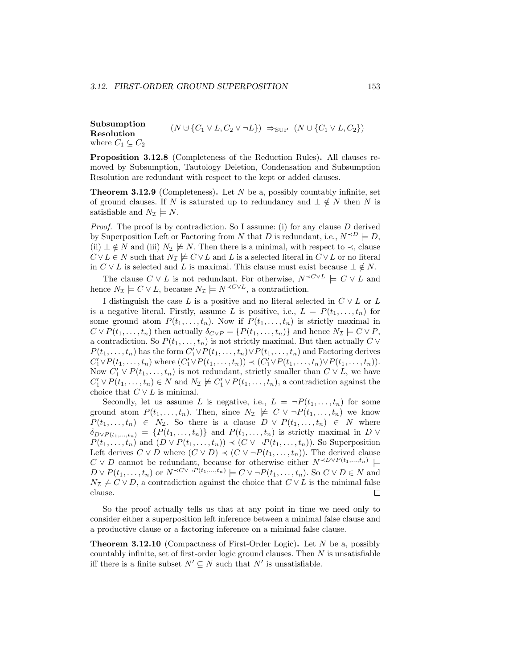Subsumption Resolution  $(N \uplus \{C_1 \vee L, C_2 \vee \neg L\}) \Rightarrow_{\text{SUP}} (N \cup \{C_1 \vee L, C_2\})$ where  $C_1 \subseteq C_2$ 

Proposition 3.12.8 (Completeness of the Reduction Rules). All clauses removed by Subsumption, Tautology Deletion, Condensation and Subsumption Resolution are redundant with respect to the kept or added clauses.

**Theorem 3.12.9** (Completeness). Let  $N$  be a, possibly countably infinite, set of ground clauses. If N is saturated up to redundancy and  $\perp \notin N$  then N is satisfiable and  $N_{\mathcal{I}} \models N$ .

Proof. The proof is by contradiction. So I assume: (i) for any clause D derived by Superposition Left or Factoring from N that D is redundant, i.e.,  $N^{\prec D} \models D$ , (ii)  $\perp \notin N$  and (iii)  $N_{\mathcal{I}} \not\models N$ . Then there is a minimal, with respect to  $\prec$ , clause  $C \vee L \in N$  such that  $N_{\mathcal{I}} \not\models C \vee L$  and L is a selected literal in  $C \vee L$  or no literal in  $C \vee L$  is selected and L is maximal. This clause must exist because  $\bot \notin N$ .

The clause  $C \vee L$  is not redundant. For otherwise,  $N^{\prec C \vee L} \models C \vee L$  and hence  $N_{\mathcal{I}} \models C \vee L$ , because  $N_{\mathcal{I}} \models N^{\prec C \vee L}$ , a contradiction.

I distinguish the case L is a positive and no literal selected in  $C \vee L$  or L is a negative literal. Firstly, assume L is positive, i.e.,  $L = P(t_1, \ldots, t_n)$  for some ground atom  $P(t_1, \ldots, t_n)$ . Now if  $P(t_1, \ldots, t_n)$  is strictly maximal in  $C \vee P(t_1, \ldots, t_n)$  then actually  $\delta_{C \vee P} = \{P(t_1, \ldots, t_n)\}\$  and hence  $N_{\mathcal{I}} \models C \vee P$ , a contradiction. So  $P(t_1, \ldots, t_n)$  is not strictly maximal. But then actually  $C \vee$  $P(t_1, \ldots, t_n)$  has the form  $C'_1 \vee P(t_1, \ldots, t_n) \vee P(t_1, \ldots, t_n)$  and Factoring derives  $C'_1 \vee P(t_1, ..., t_n)$  where  $(C'_1 \vee P(t_1, ..., t_n)) \prec (C'_1 \vee P(t_1, ..., t_n) \vee P(t_1, ..., t_n)).$ Now  $C'_1 \vee P(t_1, \ldots, t_n)$  is not redundant, strictly smaller than  $C \vee L$ , we have  $C'_1 \vee P(t_1, \ldots, t_n) \in N$  and  $N_{\mathcal{I}} \not\models C'_1 \vee P(t_1, \ldots, t_n)$ , a contradiction against the choice that  $C \vee L$  is minimal.

Secondly, let us assume L is negative, i.e.,  $L = \neg P(t_1, \ldots, t_n)$  for some ground atom  $P(t_1, \ldots, t_n)$ . Then, since  $N_{\mathcal{I}} \not\models C \vee \neg P(t_1, \ldots, t_n)$  we know  $P(t_1, \ldots, t_n) \in N_{\mathcal{I}}$ . So there is a clause  $D \vee P(t_1, \ldots, t_n) \in N$  where  $\delta_{D \vee P(t_1,...,t_n)} = \{P(t_1,...,t_n)\}\$ and  $P(t_1,...,t_n)$  is strictly maximal in D  $\vee$  $P(t_1, \ldots, t_n)$  and  $(D \vee P(t_1, \ldots, t_n)) \prec (C \vee \neg P(t_1, \ldots, t_n))$ . So Superposition Left derives  $C \vee D$  where  $(C \vee D) \prec (C \vee \neg P(t_1, \ldots, t_n))$ . The derived clause  $C \vee D$  cannot be redundant, because for otherwise either  $N^{\prec D \vee P(t_1,...,t_n)}$  $D \vee P(t_1,\ldots,t_n)$  or  $N^{\prec C \vee \neg P(t_1,\ldots,t_n)} \models C \vee \neg P(t_1,\ldots,t_n)$ . So  $C \vee D \in N$  and  $N_{\mathcal{I}} \not\models C \vee D$ , a contradiction against the choice that  $C \vee L$  is the minimal false clause.  $\Box$ 

So the proof actually tells us that at any point in time we need only to consider either a superposition left inference between a minimal false clause and a productive clause or a factoring inference on a minimal false clause.

**Theorem 3.12.10** (Compactness of First-Order Logic). Let  $N$  be a, possibly countably infinite, set of first-order logic ground clauses. Then N is unsatisfiable iff there is a finite subset  $N' \subseteq N$  such that  $N'$  is unsatisfiable.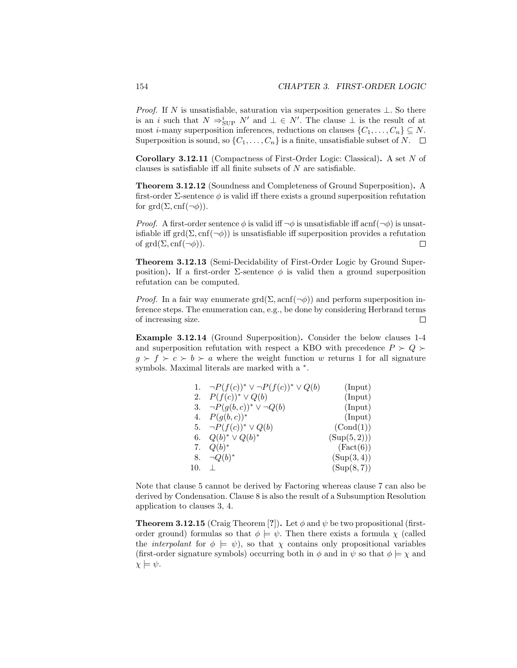*Proof.* If N is unsatisfiable, saturation via superposition generates  $\perp$ . So there is an i such that  $N \Rightarrow_{\text{SUP}}^i N'$  and  $\bot \in N'$ . The clause  $\bot$  is the result of at most *i*-many superposition inferences, reductions on clauses  $\{C_1, \ldots, C_n\} \subseteq N$ . Superposition is sound, so  $\{C_1, \ldots, C_n\}$  is a finite, unsatisfiable subset of N.  $\Box$ 

Corollary 3.12.11 (Compactness of First-Order Logic: Classical). A set N of clauses is satisfiable iff all finite subsets of N are satisfiable.

Theorem 3.12.12 (Soundness and Completeness of Ground Superposition). A first-order  $\Sigma$ -sentence  $\phi$  is valid iff there exists a ground superposition refutation for grd $(\Sigma, \text{cnf}(\neg \phi)).$ 

*Proof.* A first-order sentence  $\phi$  is valid iff  $\neg \phi$  is unsatisfiable iff acnf( $\neg \phi$ ) is unsatisfiable iff grd( $\Sigma$ , cnf( $\neg \phi$ ) is unsatisfiable iff superposition provides a refutation of  $\text{grd}(\Sigma, \text{cnf}(\neg \phi)).$  $\Box$ 

Theorem 3.12.13 (Semi-Decidability of First-Order Logic by Ground Superposition). If a first-order  $\Sigma$ -sentence  $\phi$  is valid then a ground superposition refutation can be computed.

*Proof.* In a fair way enumerate grd( $\Sigma$ , acnf( $\neg \phi$ )) and perform superposition inference steps. The enumeration can, e.g., be done by considering Herbrand terms of increasing size.  $\Box$ 

Example 3.12.14 (Ground Superposition). Consider the below clauses 1-4 and superposition refutation with respect a KBO with precedence  $P \succ Q \succ$  $g \succ f \succ c \succ b \succ a$  where the weight function w returns 1 for all signature symbols. Maximal literals are marked with a  $*$ .

|     | $\neg P(f(c))^* \vee \neg P(f(c))^* \vee Q(b)$ | (Input)     |
|-----|------------------------------------------------|-------------|
|     | 2. $P(f(c))^* \vee Q(b)$                       | (Input)     |
| 3.  | $\neg P(g(b, c))^* \vee \neg Q(b)$             | (Input)     |
| 4.  | $P(g(b, c))^*$                                 | (Input)     |
|     | 5. $\neg P(f(c))^* \vee Q(b)$                  | (Cond(1))   |
| 6.  | $Q(b)^* \vee Q(b)^*$                           | (Sup(5,2))) |
| 7.  | $Q(b)^*$                                       | (Fact(6))   |
| 8.  | $\neg Q(b)^*$                                  | (Sup(3,4))  |
| 10. |                                                | (Sup(8,7))  |

Note that clause 5 cannot be derived by Factoring whereas clause 7 can also be derived by Condensation. Clause 8 is also the result of a Subsumption Resolution application to clauses 3, 4.

**Theorem 3.12.15** (Craig Theorem [?]). Let  $\phi$  and  $\psi$  be two propositional (firstorder ground) formulas so that  $\phi \models \psi$ . Then there exists a formula  $\chi$  (called the *interpolant* for  $\phi \models \psi$ , so that  $\chi$  contains only propositional variables (first-order signature symbols) occurring both in  $\phi$  and in  $\psi$  so that  $\phi \models \chi$  and  $\chi \models \psi$ .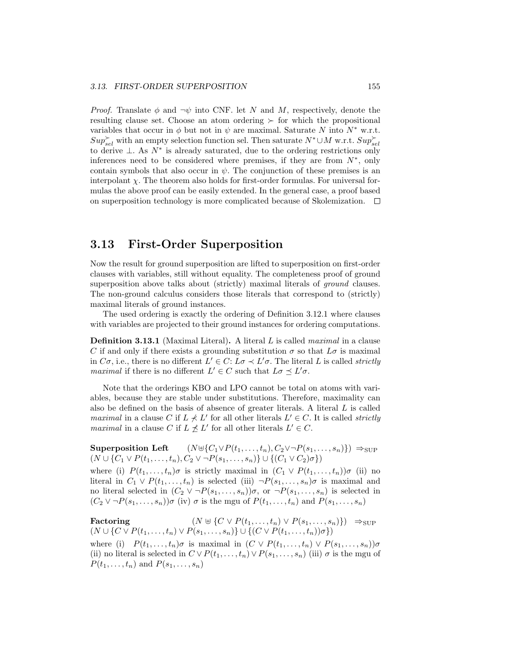*Proof.* Translate  $\phi$  and  $\neg \psi$  into CNF. let N and M, respectively, denote the resulting clause set. Choose an atom ordering  $\succ$  for which the propositional variables that occur in  $\phi$  but not in  $\psi$  are maximal. Saturate N into N<sup>\*</sup> w.r.t.  $Sup_{sel}^{\succ}$  with an empty selection function sel. Then saturate  $N^* \cup M$  w.r.t.  $Sup_{sel}^{\succ}$ to derive  $\perp$ . As  $N^*$  is already saturated, due to the ordering restrictions only inferences need to be considered where premises, if they are from  $N^*$ , only contain symbols that also occur in  $\psi$ . The conjunction of these premises is an interpolant  $\chi$ . The theorem also holds for first-order formulas. For universal formulas the above proof can be easily extended. In the general case, a proof based on superposition technology is more complicated because of Skolemization.  $\Box$ 

## 3.13 First-Order Superposition

Now the result for ground superposition are lifted to superposition on first-order clauses with variables, still without equality. The completeness proof of ground superposition above talks about (strictly) maximal literals of *ground* clauses. The non-ground calculus considers those literals that correspond to (strictly) maximal literals of ground instances.

The used ordering is exactly the ordering of Definition 3.12.1 where clauses with variables are projected to their ground instances for ordering computations.

Definition 3.13.1 (Maximal Literal). A literal L is called maximal in a clause C if and only if there exists a grounding substitution  $\sigma$  so that  $L\sigma$  is maximal in  $C\sigma$ , i.e., there is no different  $L' \in C$ :  $L\sigma \prec L'\sigma$ . The literal L is called *strictly maximal* if there is no different  $L' \in C$  such that  $L\sigma \preceq L'\sigma$ .

Note that the orderings KBO and LPO cannot be total on atoms with variables, because they are stable under substitutions. Therefore, maximality can also be defined on the basis of absence of greater literals. A literal L is called *maximal* in a clause C if  $L \nless L'$  for all other literals  $L' \in C$ . It is called *strictly* maximal in a clause C if  $L \nleq L'$  for all other literals  $L' \in C$ .

Superposition Left  $(N \oplus \{C_1 \vee P(t_1, \ldots, t_n), C_2 \vee \neg P(s_1, \ldots, s_n)\}) \Rightarrow_{\text{SUP}}$  $(N \cup \{C_1 \vee P(t_1, \ldots, t_n), C_2 \vee \neg P(s_1, \ldots, s_n)\} \cup \{(C_1 \vee C_2)\sigma\})$ 

where (i)  $P(t_1,\ldots,t_n)\sigma$  is strictly maximal in  $(C_1 \vee P(t_1,\ldots,t_n))\sigma$  (ii) no literal in  $C_1 \vee P(t_1, \ldots, t_n)$  is selected (iii)  $\neg P(s_1, \ldots, s_n)\sigma$  is maximal and no literal selected in  $(C_2 \vee \neg P(s_1, \ldots, s_n))\sigma$ , or  $\neg P(s_1, \ldots, s_n)$  is selected in  $(C_2 \vee \neg P(s_1, \ldots, s_n))\sigma$  (iv)  $\sigma$  is the mgu of  $P(t_1, \ldots, t_n)$  and  $P(s_1, \ldots, s_n)$ 

Factoring  $(N \oplus \{C \vee P(t_1, ..., t_n) \vee P(s_1, ..., s_n)\}) \Rightarrow$ SUP  $(N \cup \{C \vee P(t_1, \ldots, t_n) \vee P(s_1, \ldots, s_n)\} \cup \{(C \vee P(t_1, \ldots, t_n))\sigma\})$ 

where (i)  $P(t_1, \ldots, t_n)\sigma$  is maximal in  $(C \vee P(t_1, \ldots, t_n) \vee P(s_1, \ldots, s_n))\sigma$ (ii) no literal is selected in  $C \vee P(t_1, \ldots, t_n) \vee P(s_1, \ldots, s_n)$  (iii)  $\sigma$  is the mgu of  $P(t_1,\ldots,t_n)$  and  $P(s_1,\ldots,s_n)$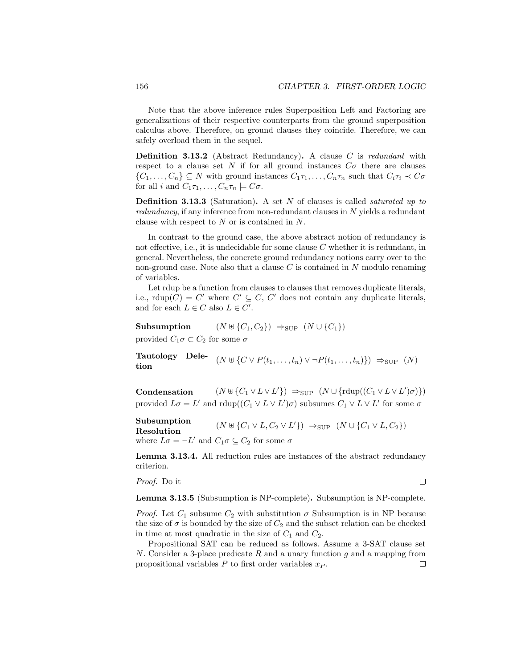Note that the above inference rules Superposition Left and Factoring are generalizations of their respective counterparts from the ground superposition calculus above. Therefore, on ground clauses they coincide. Therefore, we can safely overload them in the sequel.

**Definition 3.13.2** (Abstract Redundancy). A clause  $C$  is redundant with respect to a clause set N if for all ground instances  $C\sigma$  there are clauses  $\{C_1,\ldots,C_n\} \subseteq N$  with ground instances  $C_1\tau_1,\ldots,C_n\tau_n$  such that  $C_i\tau_i \prec C\sigma$ for all i and  $C_1\tau_1,\ldots,C_n\tau_n\models C\sigma$ .

**Definition 3.13.3** (Saturation). A set  $N$  of clauses is called *saturated up to*  $redundancy$ , if any inference from non-redundant clauses in N yields a redundant clause with respect to N or is contained in N.

In contrast to the ground case, the above abstract notion of redundancy is not effective, i.e., it is undecidable for some clause C whether it is redundant, in general. Nevertheless, the concrete ground redundancy notions carry over to the non-ground case. Note also that a clause  $C$  is contained in  $N$  modulo renaming of variables.

Let rdup be a function from clauses to clauses that removes duplicate literals, i.e., rdup(C) = C' where  $C' \subseteq C$ , C' does not contain any duplicate literals, and for each  $L \in C$  also  $L \in C'$ .

Subsumption  $(N \uplus \{C_1, C_2\}) \Rightarrow_{\text{SUP}} (N \cup \{C_1\})$ provided  $C_1 \sigma \subset C_2$  for some  $\sigma$ 

Tautology Dele-<br>  $(N \uplus \{ C \vee P(t_1, \ldots, t_n) \vee \neg P(t_1, \ldots, t_n) \}) \Rightarrow_{\text{SUP }} (N)$ tion

Condensation  $(N \cup \{C_1 \vee L \vee L'\}) \Rightarrow_{\text{SUP}} (N \cup \{\text{rdup}((C_1 \vee L \vee L')\sigma)\})$ provided  $L\sigma = L'$  and  $\text{rdup}((C_1 \vee L \vee L')\sigma)$  subsumes  $C_1 \vee L \vee L'$  for some  $\sigma$ 

Subsumption Resolution  $(N \cup \{C_1 \vee L, C_2 \vee L'\}) \Rightarrow_{\text{SUP}} (N \cup \{C_1 \vee L, C_2\})$ where  $L\sigma = \neg L'$  and  $C_1\sigma \subseteq C_2$  for some  $\sigma$ 

Lemma 3.13.4. All reduction rules are instances of the abstract redundancy criterion.

Proof. Do it

 $\Box$ 

Lemma 3.13.5 (Subsumption is NP-complete). Subsumption is NP-complete.

*Proof.* Let  $C_1$  subsume  $C_2$  with substitution  $\sigma$  Subsumption is in NP because the size of  $\sigma$  is bounded by the size of  $C_2$  and the subset relation can be checked in time at most quadratic in the size of  $C_1$  and  $C_2$ .

Propositional SAT can be reduced as follows. Assume a 3-SAT clause set N. Consider a 3-place predicate R and a unary function q and a mapping from propositional variables  $P$  to first order variables  $x_P$ .  $\Box$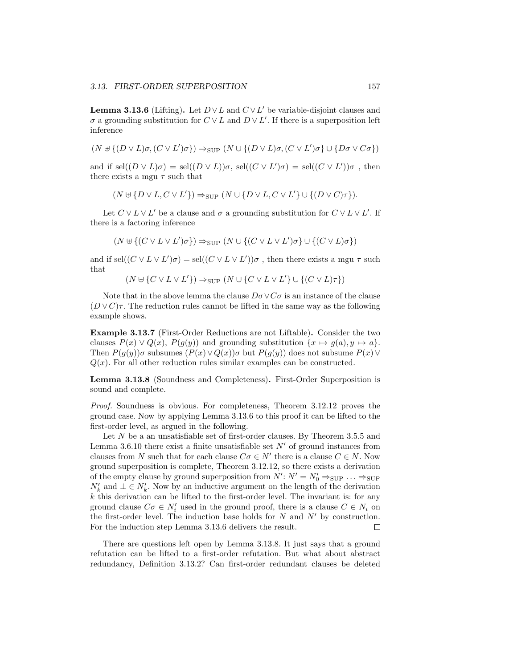**Lemma 3.13.6** (Lifting). Let  $D \vee L$  and  $C \vee L'$  be variable-disjoint clauses and  $\sigma$  a grounding substitution for  $C \vee L$  and  $D \vee L'$ . If there is a superposition left inference

 $(N \uplus \{(D \vee L)\sigma, (C \vee L')\sigma\}) \Rightarrow_{\text{SUP}} (N \cup \{(D \vee L)\sigma, (C \vee L')\sigma\} \cup \{D\sigma \vee C\sigma\})$ 

and if  $\text{sel}((D \vee L)\sigma) = \text{sel}((D \vee L))\sigma$ ,  $\text{sel}((C \vee L')\sigma) = \text{sel}((C \vee L'))\sigma$ , then there exists a mgu  $\tau$  such that

$$
(N \uplus \{D \lor L, C \lor L'\}) \Rightarrow_{\text{SUP}} (N \cup \{D \lor L, C \lor L'\} \cup \{(D \lor C)\tau\}).
$$

Let  $C \vee L \vee L'$  be a clause and  $\sigma$  a grounding substitution for  $C \vee L \vee L'$ . If there is a factoring inference

$$
(N \uplus \{(C \vee L \vee L')\sigma\}) \Rightarrow_{\text{SUP}} (N \cup \{(C \vee L \vee L')\sigma\} \cup \{(C \vee L)\sigma\})
$$

and if sel $((C \vee L \vee L')\sigma) =$ sel $((C \vee L \vee L'))\sigma$ , then there exists a mgu  $\tau$  such that

 $(N \uplus \{ C \vee L \vee L' \}) \Rightarrow_{\text{SUP}} (N \cup \{ C \vee L \vee L' \} \cup \{ (C \vee L) \tau \})$ 

Note that in the above lemma the clause  $D\sigma \vee C\sigma$  is an instance of the clause  $(D \vee C)\tau$ . The reduction rules cannot be lifted in the same way as the following example shows.

Example 3.13.7 (First-Order Reductions are not Liftable). Consider the two clauses  $P(x) \vee Q(x)$ ,  $P(g(y))$  and grounding substitution  $\{x \mapsto g(a), y \mapsto a\}.$ Then  $P(g(y))\sigma$  subsumes  $(P(x) \vee Q(x))\sigma$  but  $P(g(y))$  does not subsume  $P(x) \vee \sigma$  $Q(x)$ . For all other reduction rules similar examples can be constructed.

Lemma 3.13.8 (Soundness and Completeness). First-Order Superposition is sound and complete.

Proof. Soundness is obvious. For completeness, Theorem 3.12.12 proves the ground case. Now by applying Lemma 3.13.6 to this proof it can be lifted to the first-order level, as argued in the following.

Let N be a an unsatisfiable set of first-order clauses. By Theorem 3.5.5 and Lemma 3.6.10 there exist a finite unsatisfiable set  $N'$  of ground instances from clauses from N such that for each clause  $C\sigma \in N'$  there is a clause  $C \in N$ . Now ground superposition is complete, Theorem 3.12.12, so there exists a derivation of the empty clause by ground superposition from  $N'$ :  $N' = N'_0 \Rightarrow_{\text{SUP}} \ldots \Rightarrow_{\text{SUP}}$  $N'_k$  and  $\bot \in N'_k$ . Now by an inductive argument on the length of the derivation  $k$  this derivation can be lifted to the first-order level. The invariant is: for any ground clause  $C\sigma \in N'_i$  used in the ground proof, there is a clause  $C \in N_i$  on the first-order level. The induction base holds for  $N$  and  $N'$  by construction. For the induction step Lemma 3.13.6 delivers the result.  $\Box$ 

There are questions left open by Lemma 3.13.8. It just says that a ground refutation can be lifted to a first-order refutation. But what about abstract redundancy, Definition 3.13.2? Can first-order redundant clauses be deleted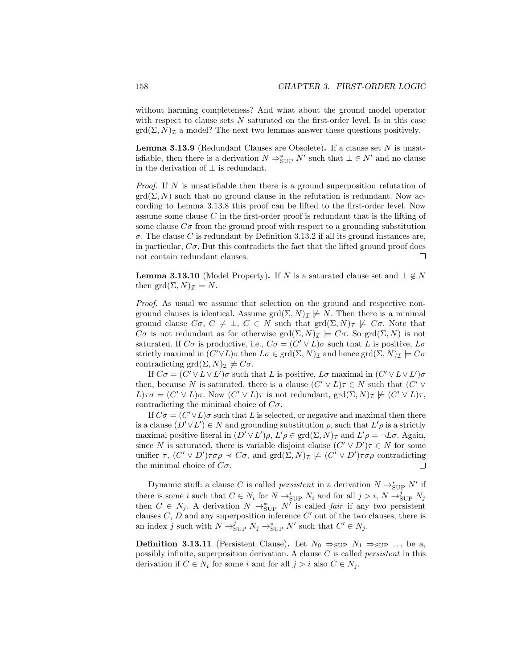without harming completeness? And what about the ground model operator with respect to clause sets  $N$  saturated on the first-order level. Is in this case  $\text{grd}(\Sigma, N)_{\mathcal{I}}$  a model? The next two lemmas answer these questions positively.

**Lemma 3.13.9** (Redundant Clauses are Obsolete). If a clause set  $N$  is unsatisfiable, then there is a derivation  $N \Rightarrow_{\text{SUP}}^* N'$  such that  $\bot \in N'$  and no clause in the derivation of  $\perp$  is redundant.

*Proof.* If  $N$  is unsatisfiable then there is a ground superposition refutation of  $\text{grd}(\Sigma, N)$  such that no ground clause in the refutation is redundant. Now according to Lemma 3.13.8 this proof can be lifted to the first-order level. Now assume some clause C in the first-order proof is redundant that is the lifting of some clause  $C\sigma$  from the ground proof with respect to a grounding substitution  $\sigma$ . The clause C is redundant by Definition 3.13.2 if all its ground instances are, in particular,  $C\sigma$ . But this contradicts the fact that the lifted ground proof does not contain redundant clauses.  $\Box$ 

**Lemma 3.13.10** (Model Property). If N is a saturated clause set and  $\perp \notin N$ then grd $(\Sigma, N)_{\mathcal{I}} \models N$ .

Proof. As usual we assume that selection on the ground and respective nonground clauses is identical. Assume  $\text{grd}(\Sigma, N)_{\mathcal{I}} \not\models N$ . Then there is a minimal ground clause  $C\sigma$ ,  $C \neq \bot$ ,  $C \in N$  such that  $\text{grd}(\Sigma, N)_{\mathcal{I}} \not\models C\sigma$ . Note that C $\sigma$  is not redundant as for otherwise grd $(\Sigma, N)_{\mathcal{I}} \models C\sigma$ . So grd $(\Sigma, N)$  is not saturated. If  $C\sigma$  is productive, i.e.,  $C\sigma = (C' \vee L)\sigma$  such that L is positive,  $L\sigma$ strictly maximal in  $(C' \vee L)\sigma$  then  $L\sigma \in \text{grd}(\Sigma, N)_{\mathcal{I}}$  and hence  $\text{grd}(\Sigma, N)_{\mathcal{I}} \models C\sigma$ contradicting grd $(\Sigma, N)_{\mathcal{I}} \not\models C\sigma$ .

If  $C\sigma = (C' \vee L \vee L')\sigma$  such that L is positive, L $\sigma$  maximal in  $(C' \vee L \vee L')\sigma$ then, because N is saturated, there is a clause  $(C' \vee L)\tau \in N$  such that  $(C' \vee$  $L$ ) $\tau\sigma = (C' \vee L)\sigma$ . Now  $(C' \vee L)\tau$  is not redundant,  $\text{grd}(\Sigma, N)_{\mathcal{I}} \not\models (C' \vee L)\tau$ , contradicting the minimal choice of  $C_{\sigma}$ .

If  $C\sigma = (C' \vee L)\sigma$  such that L is selected, or negative and maximal then there is a clause  $(D' \vee L') \in N$  and grounding substitution  $\rho$ , such that  $L' \rho$  is a strictly maximal positive literal in  $(D' \vee L')\rho$ ,  $L'\rho \in \text{grd}(\Sigma, N)_{\mathcal{I}}$  and  $L'\rho = \neg L\sigma$ . Again, since N is saturated, there is variable disjoint clause  $(C' \vee D')\tau \in N$  for some unifier  $\tau$ ,  $(C' \vee D')\tau \sigma \rho \prec C\sigma$ , and  $\text{grd}(\Sigma, N)_{\mathcal{I}} \not\models (C' \vee D')\tau \sigma \rho$  contradicting the minimal choice of  $C_{\sigma}$ .  $\Box$ 

Dynamic stuff: a clause C is called *persistent* in a derivation  $N \rightarrow_{\text{SUP}} N'$  if there is some *i* such that  $C \in N_i$  for  $N \to_{\text{SUP}}^i N_i$  and for all  $j > i$ ,  $N \to_{\text{SUP}}^j N_j$ then  $C \in N_j$ . A derivation  $N \to_{\text{SUP}}^* N'$  is called *fair* if any two persistent clauses  $C, D$  and any superposition inference  $C'$  out of the two clauses, there is an index j such with  $N \rightarrow_{\text{SUP}}^j N_j \rightarrow_{\text{SUP}}^* N'$  such that  $C' \in N_j$ .

**Definition 3.13.11** (Persistent Clause). Let  $N_0 \Rightarrow_{\text{SUP}} N_1 \Rightarrow_{\text{SUP}} \dots$  be a, possibly infinite, superposition derivation. A clause C is called persistent in this derivation if  $C \in N_i$  for some i and for all  $j > i$  also  $C \in N_j$ .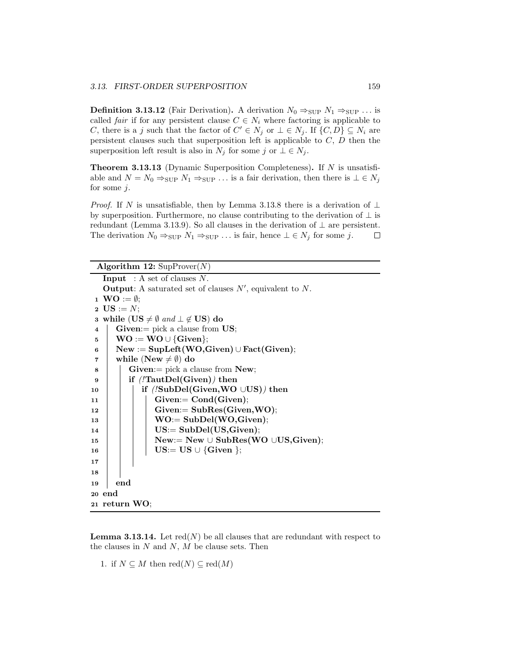**Definition 3.13.12** (Fair Derivation). A derivation  $N_0 \Rightarrow_{\text{SUP}} N_1 \Rightarrow_{\text{SUP}} \ldots$  is called *fair* if for any persistent clause  $C \in N_i$  where factoring is applicable to C, there is a j such that the factor of  $C' \in N_j$  or  $\bot \in N_j$ . If  $\{C, D\} \subseteq N_i$  are persistent clauses such that superposition left is applicable to  $C, D$  then the superposition left result is also in  $N_j$  for some j or  $\bot \in N_j$ .

**Theorem 3.13.13** (Dynamic Superposition Completeness). If  $N$  is unsatisfiable and  $N = N_0 \Rightarrow_{\text{SUP}} N_1 \Rightarrow_{\text{SUP}} \dots$  is a fair derivation, then there is  $\bot \in N_j$ for some  $j$ .

*Proof.* If N is unsatisfiable, then by Lemma 3.13.8 there is a derivation of  $\perp$ by superposition. Furthermore, no clause contributing to the derivation of  $\perp$  is redundant (Lemma 3.13.9). So all clauses in the derivation of  $\perp$  are persistent. The derivation  $N_0 \Rightarrow_{\text{SUP}} N_1 \Rightarrow_{\text{SUP}} \dots$  is fair, hence  $\bot \in N_j$  for some j.  $\Box$ 

| Algorithm 12: $\text{SupProver}(N)$                                  |  |  |
|----------------------------------------------------------------------|--|--|
| <b>Input</b> : A set of clauses $N$ .                                |  |  |
| <b>Output:</b> A saturated set of clauses $N'$ , equivalent to $N$ . |  |  |
| 1 <b>WO</b> := $\emptyset$ ;                                         |  |  |
| <b>2</b> US := $N$ ;                                                 |  |  |
| 3 while $(US \neq \emptyset \text{ and } \bot \notin US)$ do         |  |  |
| $Given := pick a clause from US;$<br>$\overline{\bf 4}$              |  |  |
| $WO := WO \cup \{Given\};$<br>5                                      |  |  |
| $New := \text{SupLeft}(WO, Given) \cup \text{Fact}(Given);$<br>6     |  |  |
| while (New $\neq \emptyset$ ) do<br>7                                |  |  |
| $Given := pick a clause from New;$<br>8                              |  |  |
| if $\ell$ TautDel(Given)) then<br>9                                  |  |  |
| if $($ 'SubDel(Given, WO $\cup$ US) then<br>10                       |  |  |
| $Given = Cond(Given);$<br>11                                         |  |  |
| $Given = SubRes(Given, WO);$<br>12                                   |  |  |
| $WO := SubDel(WO, Given);$<br>13                                     |  |  |
| $US = SubDel(US, Given);$<br>14                                      |  |  |
| $New:= New \cup SubRes(WO \cup US, Given);$<br>15                    |  |  |
| $US = US \cup \{Given \};$<br>16                                     |  |  |
| 17                                                                   |  |  |
| 18                                                                   |  |  |
| end<br>19                                                            |  |  |
| 20 end                                                               |  |  |
| 21 return WO;                                                        |  |  |

**Lemma 3.13.14.** Let  $\text{red}(N)$  be all clauses that are redundant with respect to the clauses in  $N$  and  $N$ ,  $M$  be clause sets. Then

1. if  $N \subseteq M$  then  $\text{red}(N) \subseteq \text{red}(M)$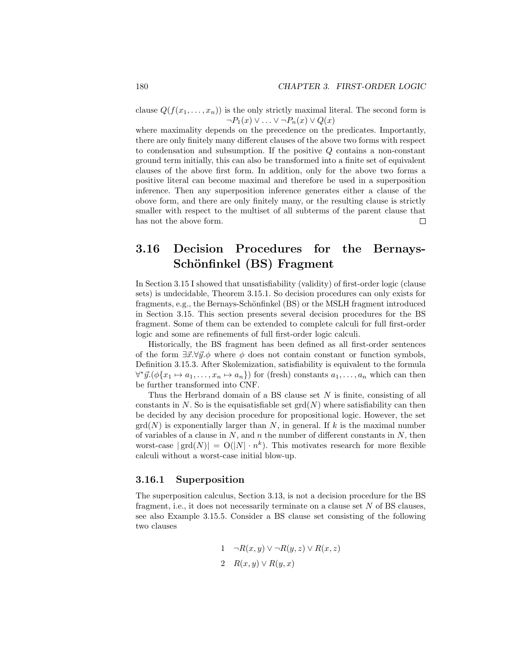clause  $Q(f(x_1, \ldots, x_n))$  is the only strictly maximal literal. The second form is  $\neg P_1(x) \vee \ldots \vee \neg P_n(x) \vee Q(x)$ 

where maximality depends on the precedence on the predicates. Importantly, there are only finitely many different clauses of the above two forms with respect to condensation and subsumption. If the positive Q contains a non-constant ground term initially, this can also be transformed into a finite set of equivalent clauses of the above first form. In addition, only for the above two forms a positive literal can become maximal and therefore be used in a superposition inference. Then any superposition inference generates either a clause of the obove form, and there are only finitely many, or the resulting clause is strictly smaller with respect to the multiset of all subterms of the parent clause that has not the above form. П

## 3.16 Decision Procedures for the Bernays-Schönfinkel (BS) Fragment

In Section 3.15 I showed that unsatisfiability (validity) of first-order logic (clause sets) is undecidable, Theorem 3.15.1. So decision procedures can only exists for fragments, e.g., the Bernays-Schönfinkel (BS) or the MSLH fragment introduced in Section 3.15. This section presents several decision procedures for the BS fragment. Some of them can be extended to complete calculi for full first-order logic and some are refinements of full first-order logic calculi.

Historically, the BS fragment has been defined as all first-order sentences of the form  $\exists \vec{x}. \forall \vec{y}. \phi$  where  $\phi$  does not contain constant or function symbols, Definition 3.15.3. After Skolemization, satisfiability is equivalent to the formula  $\forall^* \vec{y}.(\phi\{x_1 \mapsto a_1, \ldots, x_n \mapsto a_n\})$  for (fresh) constants  $a_1, \ldots, a_n$  which can then be further transformed into CNF.

Thus the Herbrand domain of a BS clause set  $N$  is finite, consisting of all constants in N. So is the equisatisfiable set  $\text{grd}(N)$  where satisfiability can then be decided by any decision procedure for propositional logic. However, the set  $\text{grd}(N)$  is exponentially larger than N, in general. If k is the maximal number of variables of a clause in  $N$ , and  $n$  the number of different constants in  $N$ , then worst-case  $|grad(N)| = O(|N| \cdot n^k)$ . This motivates research for more flexible calculi without a worst-case initial blow-up.

## 3.16.1 Superposition

The superposition calculus, Section 3.13, is not a decision procedure for the BS fragment, i.e., it does not necessarily terminate on a clause set  $N$  of BS clauses, see also Example 3.15.5. Consider a BS clause set consisting of the following two clauses

1 
$$
\neg R(x, y) \lor \neg R(y, z) \lor R(x, z)
$$
  
2  $R(x, y) \lor R(y, x)$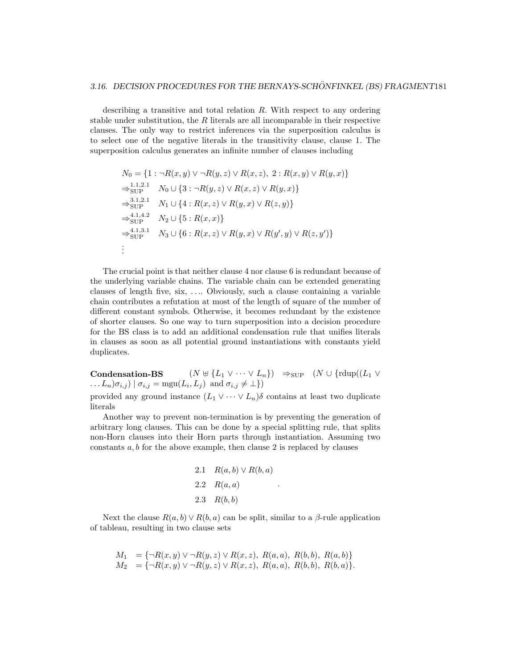describing a transitive and total relation  $R$ . With respect to any ordering stable under substitution, the R literals are all incomparable in their respective clauses. The only way to restrict inferences via the superposition calculus is to select one of the negative literals in the transitivity clause, clause 1. The superposition calculus generates an infinite number of clauses including

$$
N_0 = \{1 : \neg R(x, y) \lor \neg R(y, z) \lor R(x, z), 2 : R(x, y) \lor R(y, x)\}
$$
  
\n
$$
\Rightarrow_{\text{SUP}}^{1.1,2.1} N_0 \cup \{3 : \neg R(y, z) \lor R(x, z) \lor R(y, x)\}
$$
  
\n
$$
\Rightarrow_{\text{SUP}}^{3.1,2.1} N_1 \cup \{4 : R(x, z) \lor R(y, x) \lor R(z, y)\}
$$
  
\n
$$
\Rightarrow_{\text{SUP}}^{4.1,4.2} N_2 \cup \{5 : R(x, x)\}
$$
  
\n
$$
\Rightarrow_{\text{SUP}}^{4.1,3.1} N_3 \cup \{6 : R(x, z) \lor R(y, x) \lor R(y', y) \lor R(z, y')\}
$$
  
\n
$$
\vdots
$$

The crucial point is that neither clause 4 nor clause 6 is redundant because of the underlying variable chains. The variable chain can be extended generating clauses of length five, six, . . .. Obviously, such a clause containing a variable chain contributes a refutation at most of the length of square of the number of different constant symbols. Otherwise, it becomes redundant by the existence of shorter clauses. So one way to turn superposition into a decision procedure for the BS class is to add an additional condensation rule that unifies literals in clauses as soon as all potential ground instantiations with constants yield duplicates.

Condensation-BS  $(N \uplus \{L_1 \vee \cdots \vee L_n\}) \Rightarrow_{\text{SUP}} (N \cup \{\text{rdup}((L_1 \vee$  $\dots L_n)\sigma_{i,j}$  |  $\sigma_{i,j} = \text{mgu}(L_i, L_j)$  and  $\sigma_{i,j} \neq \perp$ })

provided any ground instance  $(L_1 \vee \cdots \vee L_n)\delta$  contains at least two duplicate literals

Another way to prevent non-termination is by preventing the generation of arbitrary long clauses. This can be done by a special splitting rule, that splits non-Horn clauses into their Horn parts through instantiation. Assuming two constants  $a, b$  for the above example, then clause 2 is replaced by clauses

2.1 
$$
R(a, b) \vee R(b, a)
$$
  
2.2  $R(a, a)$   
2.3  $R(b, b)$ 

.

Next the clause  $R(a, b) \vee R(b, a)$  can be split, similar to a  $\beta$ -rule application of tableau, resulting in two clause sets

$$
M_1 = \{\neg R(x, y) \lor \neg R(y, z) \lor R(x, z), R(a, a), R(b, b), R(a, b)\}
$$
  
\n
$$
M_2 = \{\neg R(x, y) \lor \neg R(y, z) \lor R(x, z), R(a, a), R(b, b), R(b, a)\}.
$$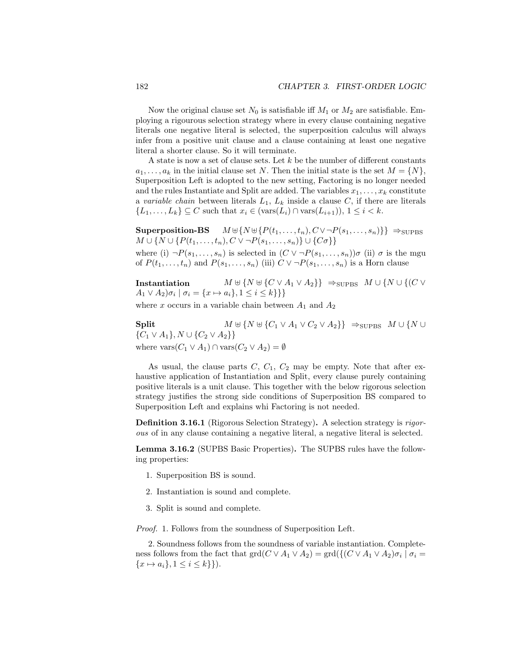Now the original clause set  $N_0$  is satisfiable iff  $M_1$  or  $M_2$  are satisfiable. Employing a rigourous selection strategy where in every clause containing negative literals one negative literal is selected, the superposition calculus will always infer from a positive unit clause and a clause containing at least one negative literal a shorter clause. So it will terminate.

A state is now a set of clause sets. Let  $k$  be the number of different constants  $a_1, \ldots, a_k$  in the initial clause set N. Then the initial state is the set  $M = \{N\},\$ Superposition Left is adopted to the new setting, Factoring is no longer needed and the rules Instantiate and Split are added. The variables  $x_1, \ldots, x_k$  constitute a variable chain between literals  $L_1$ ,  $L_k$  inside a clause C, if there are literals  $\{L_1,\ldots,L_k\} \subseteq C$  such that  $x_i \in (\text{vars}(L_i) \cap \text{vars}(L_{i+1})), 1 \leq i < k$ .

Superposition-BS  $M \cup \{ N \cup \{ P(t_1, \ldots, t_n), C \vee \neg P(s_1, \ldots, s_n) \} \} \Rightarrow_{\text{SUPBS}}$  $M \cup \{N \cup \{P(t_1, ..., t_n), C \vee \neg P(s_1, ..., s_n)\} \cup \{C\sigma\}\}\$ where (i)  $\neg P(s_1,\ldots,s_n)$  is selected in  $(C \vee \neg P(s_1,\ldots,s_n))\sigma$  (ii)  $\sigma$  is the mgu of  $P(t_1, \ldots, t_n)$  and  $P(s_1, \ldots, s_n)$  (iii)  $C \vee \neg P(s_1, \ldots, s_n)$  is a Horn clause

Instantiation  $M \uplus \{ N \uplus \{ C \vee A_1 \vee A_2 \} \} \Rightarrow_{\text{SUPBS}} M \cup \{ N \cup \{ (C \vee A_1 \vee A_2 \} \}$  $A_1 \vee A_2 \ni \sigma_i \mid \sigma_i = \{x \mapsto a_i\}, 1 \leq i \leq k\}$ 

where x occurs in a variable chain between  $A_1$  and  $A_2$ 

Split  $M \uplus \{ N \uplus \{ C_1 \vee A_1 \vee C_2 \vee A_2 \} \} \Rightarrow_{\text{SUPBS}} M \cup \{ N \cup \{ N \} \}$  ${C_1 \vee A_1}, N \cup {C_2 \vee A_2}$ where  $\text{vars}(C_1 \vee A_1) \cap \text{vars}(C_2 \vee A_2) = \emptyset$ 

As usual, the clause parts  $C, C_1, C_2$  may be empty. Note that after exhaustive application of Instantiation and Split, every clause purely containing positive literals is a unit clause. This together with the below rigorous selection strategy justifies the strong side conditions of Superposition BS compared to Superposition Left and explains whi Factoring is not needed.

Definition 3.16.1 (Rigorous Selection Strategy). A selection strategy is rigorous of in any clause containing a negative literal, a negative literal is selected.

Lemma 3.16.2 (SUPBS Basic Properties). The SUPBS rules have the following properties:

- 1. Superposition BS is sound.
- 2. Instantiation is sound and complete.
- 3. Split is sound and complete.

*Proof.* 1. Follows from the soundness of Superposition Left.

2. Soundness follows from the soundness of variable instantiation. Completeness follows from the fact that  $\text{grd}(C \vee A_1 \vee A_2) = \text{grd}(\{(C \vee A_1 \vee A_2)\sigma_i \mid \sigma_i =$  $\{x \mapsto a_i\}, 1 \leq i \leq k\}$ .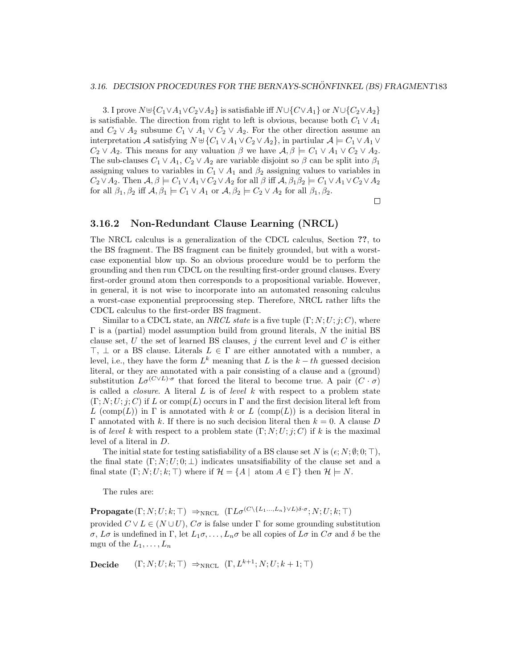#### 3.16. DECISION PROCEDURES FOR THE BERNAYS-SCHÖNFINKEL (BS) FRAGMENT183

3. I prove  $N \uplus \{C_1 \vee A_1 \vee C_2 \vee A_2\}$  is satisfiable iff  $N \cup \{C_1 \vee A_1\}$  or  $N \cup \{C_2 \vee A_2\}$ is satisfiable. The direction from right to left is obvious, because both  $C_1 \vee A_1$ and  $C_2 \vee A_2$  subsume  $C_1 \vee A_1 \vee C_2 \vee A_2$ . For the other direction assume an interpretation A satisfying  $N \cup \{C_1 \vee A_1 \vee C_2 \vee A_2\}$ , in partiular  $A \models C_1 \vee A_1 \vee$  $C_2 \vee A_2$ . This means for any valuation  $\beta$  we have  $\mathcal{A}, \beta \models C_1 \vee A_1 \vee C_2 \vee A_2$ . The sub-clauses  $C_1 \vee A_1$ ,  $C_2 \vee A_2$  are variable disjoint so  $\beta$  can be split into  $\beta_1$ assigning values to variables in  $C_1 \vee A_1$  and  $\beta_2$  assigning values to variables in  $C_2 \vee A_2$ . Then  $\mathcal{A}, \beta \models C_1 \vee A_1 \vee C_2 \vee A_2$  for all  $\beta$  iff  $\mathcal{A}, \beta_1 \beta_2 \models C_1 \vee A_1 \vee C_2 \vee A_2$ for all  $\beta_1, \beta_2$  iff  $\mathcal{A}, \beta_1 \models C_1 \vee A_1$  or  $\mathcal{A}, \beta_2 \models C_2 \vee A_2$  for all  $\beta_1, \beta_2$ .

 $\Box$ 

## 3.16.2 Non-Redundant Clause Learning (NRCL)

The NRCL calculus is a generalization of the CDCL calculus, Section ??, to the BS fragment. The BS fragment can be finitely grounded, but with a worstcase exponential blow up. So an obvious procedure would be to perform the grounding and then run CDCL on the resulting first-order ground clauses. Every first-order ground atom then corresponds to a propositional variable. However, in general, it is not wise to incorporate into an automated reasoning calculus a worst-case exponential preprocessing step. Therefore, NRCL rather lifts the CDCL calculus to the first-order BS fragment.

Similar to a CDCL state, an NRCL state is a five tuple  $(\Gamma; N; U; j; C)$ , where  $\Gamma$  is a (partial) model assumption build from ground literals, N the initial BS clause set, U the set of learned BS clauses,  $j$  the current level and C is either  $\top$ ,  $\bot$  or a BS clause. Literals  $L \in \Gamma$  are either annotated with a number, a level, i.e., they have the form  $L^k$  meaning that L is the  $k-th$  guessed decision literal, or they are annotated with a pair consisting of a clause and a (ground) substitution  $L\sigma^{(C\vee L)\cdot \sigma}$  that forced the literal to become true. A pair  $(C \cdot \sigma)$ is called a *closure*. A literal  $L$  is of *level*  $k$  with respect to a problem state  $(\Gamma; N; U; j; C)$  if L or comp(L) occurs in  $\Gamma$  and the first decision literal left from L (comp(L)) in  $\Gamma$  is annotated with k or L (comp(L)) is a decision literal in Γ annotated with k. If there is no such decision literal then  $k = 0$ . A clause D is of level k with respect to a problem state  $(\Gamma; N; U; j; C)$  if k is the maximal level of a literal in D.

The initial state for testing satisfiability of a BS clause set N is  $(\epsilon; N; \emptyset; 0; \top)$ , the final state  $(\Gamma; N; U; 0; \perp)$  indicates unsatsifiability of the clause set and a final state  $(\Gamma; N; U; k; \top)$  where if  $\mathcal{H} = \{A \mid \text{atom } A \in \Gamma\}$  then  $\mathcal{H} \models N$ .

The rules are:

 $\mathbf{Propagate}(\Gamma;N;U;k;\top) \ \Rightarrow_{\mathrm{NRCL}} \ (\Gamma L \sigma^{(C \setminus \{L_1... ,L_n\} \vee L) \delta \cdot \sigma};N;U;k;\top)$ provided  $C \vee L \in (N \cup U)$ ,  $C\sigma$  is false under  $\Gamma$  for some grounding substitution  $\sigma$ ,  $L\sigma$  is undefined in  $\Gamma$ , let  $L_1\sigma, \ldots, L_n\sigma$  be all copies of  $L\sigma$  in  $C\sigma$  and  $\delta$  be the mgu of the  $L_1, \ldots, L_n$ 

**Decide**  $(\Gamma; N; U; k; \top) \Rightarrow_{NRCL} (\Gamma, L^{k+1}; N; U; k+1; \top)$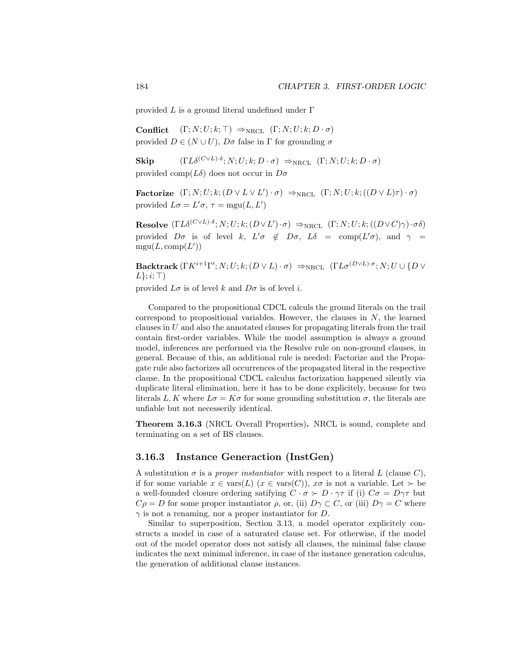provided  $L$  is a ground literal undefined under  $\Gamma$ 

**Conflict**  $(\Gamma; N; U; k; \top) \Rightarrow_{NRCL} (\Gamma; N; U; k; D \cdot \sigma)$ provided  $D \in (N \cup U)$ ,  $D\sigma$  false in  $\Gamma$  for grounding  $\sigma$ 

**Skip**  $( \Gamma L \delta^{(C \vee L) \cdot \delta}; N; U; k; D \cdot \sigma) \Rightarrow_{\text{NRCL}} (\Gamma; N; U; k; D \cdot \sigma)$ provided comp( $L\delta$ ) does not occur in  $D\sigma$ 

Factorize  $(\Gamma; N; U; k; (D \vee L \vee L') \cdot \sigma) \Rightarrow_{NRCL} (\Gamma; N; U; k; ((D \vee L) \tau) \cdot \sigma)$ provided  $L\sigma = L'\sigma$ ,  $\tau = \text{mgu}(L, L')$ 

**Resolve**  $( \Gamma L \delta^{(C \vee L) \cdot \delta}; N; U; k; (D \vee L') \cdot \sigma) \Rightarrow_{\text{NRCL}} (\Gamma; N; U; k; ((D \vee C) \gamma) \cdot \sigma)$ provided  $D\sigma$  is of level k,  $L'\sigma \notin D\sigma$ ,  $L\delta = \text{comp}(L'\sigma)$ , and  $\gamma =$  $mgu(L, comp(L'))$ 

 ${\bf Backtrack}\left(\Gamma K^{i+1}\Gamma';N;U;k;(D\vee L)\cdot\sigma\right)\ \Rightarrow_{\mathrm{NRCL}}\ \left(\Gamma L\sigma^{(D\vee L)\cdot\sigma};N;U\cup\{D\vee D\}\right)$  $L$  };  $i$ ;  $\top$ )

provided  $L\sigma$  is of level k and  $D\sigma$  is of level i.

Compared to the propositional CDCL calculs the ground literals on the trail correspond to propositional variables. However, the clauses in  $N$ , the learned clauses in  $U$  and also the annotated clauses for propagating literals from the trail contain first-order variables. While the model assumption is always a ground model, inferences are performed via the Resolve rule on non-ground clauses, in general. Because of this, an additional rule is needed: Factorize and the Propagate rule also factorizes all occurrences of the propagated literal in the respective clause. In the propositional CDCL calculus factorization happened silently via duplicate literal elimination, here it has to be done explicitely, because for two literals L, K where  $L\sigma = K\sigma$  for some grounding substitution  $\sigma$ , the literals are unfiable but not necesserily identical.

Theorem 3.16.3 (NRCL Overall Properties). NRCL is sound, complete and terminating on a set of BS clauses.

## 3.16.3 Instance Generaction (InstGen)

A substitution  $\sigma$  is a proper instantiator with respect to a literal L (clause C), if for some variable  $x \in \text{vars}(L)$   $(x \in \text{vars}(C))$ ,  $x\sigma$  is not a variable. Let  $\succ$  be a well-founded closure ordering satifying  $C \cdot \sigma \succ D \cdot \gamma \tau$  if (i)  $C\sigma = D\gamma \tau$  but  $C\rho = D$  for some proper instantiator  $\rho$ , or, (ii)  $D\gamma \subset C$ , or (iii)  $D\gamma = C$  where  $\gamma$  is not a renaming, nor a proper instantiator for D.

Similar to superposition, Section 3.13, a model operator explicitely constructs a model in case of a saturated clause set. For otherwise, if the model out of the model operator does not satisfy all clauses, the minimal false clause indicates the next minimal inference, in case of the instance generation calculus, the generation of additional clause instances.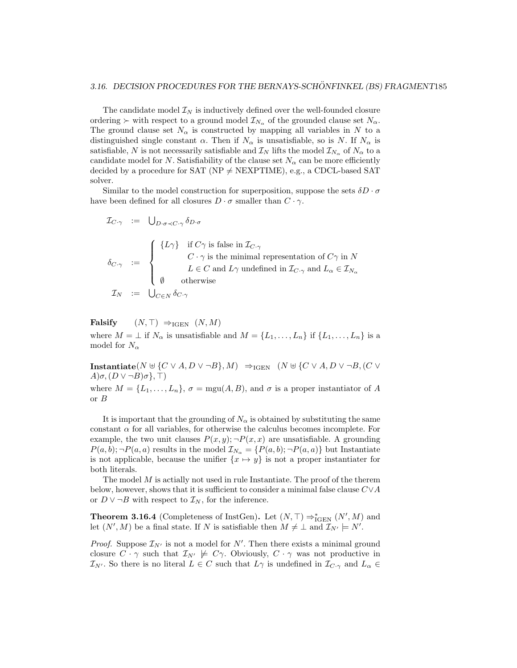The candidate model  $\mathcal{I}_N$  is inductively defined over the well-founded closure ordering  $\succ$  with respect to a ground model  $\mathcal{I}_{N_{\alpha}}$  of the grounded clause set  $N_{\alpha}$ . The ground clause set  $N_{\alpha}$  is constructed by mapping all variables in N to a distinguished single constant  $\alpha$ . Then if  $N_{\alpha}$  is unsatisfiable, so is N. If  $N_{\alpha}$  is satisfiable, N is not necessarily satisfiable and  $\mathcal{I}_N$  lifts the model  $\mathcal{I}_{N_\alpha}$  of  $N_\alpha$  to a candidate model for N. Satisfiability of the clause set  $N_{\alpha}$  can be more efficiently decided by a procedure for SAT ( $NP \neq NEXPTIME$ ), e.g., a CDCL-based SAT solver.

Similar to the model construction for superposition, suppose the sets  $\delta D \cdot \sigma$ have been defined for all closures  $D \cdot \sigma$  smaller than  $C \cdot \gamma$ .

$$
\mathcal{I}_{C\cdot\gamma} \ := \ \bigcup_{D\cdot\sigma\prec C\cdot\gamma} \delta_{D\cdot\sigma}
$$
\n
$$
\delta_{C\cdot\gamma} \ := \ \begin{cases}\n\{L\gamma\} & \text{if } C\gamma \text{ is false in } \mathcal{I}_{C\cdot\gamma} \\
 & C\cdot\gamma \text{ is the minimal representation of } C\gamma \text{ in } N \\
 & L \in C \text{ and } L\gamma \text{ undefined in } \mathcal{I}_{C\cdot\gamma} \text{ and } L_{\alpha} \in \mathcal{I}_{N_{\alpha}} \\
 & \emptyset & \text{otherwise}\n\end{cases}
$$
\n
$$
\mathcal{I}_N \ := \ \bigcup_{C \in N} \delta_{C\cdot\gamma}
$$

$$
\text{Falsify} \qquad (N, \top) \ \Rightarrow_{\text{IGEN}} \ (N, M)
$$

where  $M = \perp$  if  $N_{\alpha}$  is unsatisfiable and  $M = \{L_1, \ldots, L_n\}$  if  $\{L_1, \ldots, L_n\}$  is a model for  $N_{\alpha}$ 

**Instantiate**( $N \uplus \{C \lor A, D \lor \neg B\}, M$ )  $\Rightarrow_{IGEN} (N \uplus \{C \lor A, D \lor \neg B, (C \lor A) \lor \neg B\}, M)$  $A)\sigma$ ,  $(D \vee \neg B)\sigma$ ,  $\neg$ ) where  $M = \{L_1, \ldots, L_n\}, \sigma = \text{mgu}(A, B)$ , and  $\sigma$  is a proper instantiator of A or B

It is important that the grounding of  $N_{\alpha}$  is obtained by substituting the same constant  $\alpha$  for all variables, for otherwise the calculus becomes incomplete. For example, the two unit clauses  $P(x, y)$ ;  $\neg P(x, x)$  are unsatisfiable. A grounding  $P(a, b); \neg P(a, a)$  results in the model  $\mathcal{I}_{N_{\alpha}} = \{P(a, b); \neg P(a, a)\}\$  but Instantiate is not applicable, because the unifier  $\{x \mapsto y\}$  is not a proper instantiater for both literals.

The model  $M$  is actially not used in rule Instantiate. The proof of the therem below, however, shows that it is sufficient to consider a minimal false clause  $C\vee A$ or  $D ∨ ∎B$  with respect to  $\mathcal{I}_N$ , for the inference.

**Theorem 3.16.4** (Completeness of InstGen). Let  $(N, \top) \Rightarrow_{\text{IGEN}}^* (N', M)$  and let  $(N', M)$  be a final state. If N is satisfiable then  $M \neq \perp$  and  $\mathcal{I}_{N'} \models N'.$ 

*Proof.* Suppose  $\mathcal{I}_{N'}$  is not a model for N'. Then there exists a minimal ground closure  $C \cdot \gamma$  such that  $\mathcal{I}_{N'} \not\models C\gamma$ . Obviously,  $C \cdot \gamma$  was not productive in  $\mathcal{I}_{N'}$ . So there is no literal  $L \in C$  such that  $L_{\gamma}$  is undefined in  $\mathcal{I}_{C \cdot \gamma}$  and  $L_{\alpha} \in$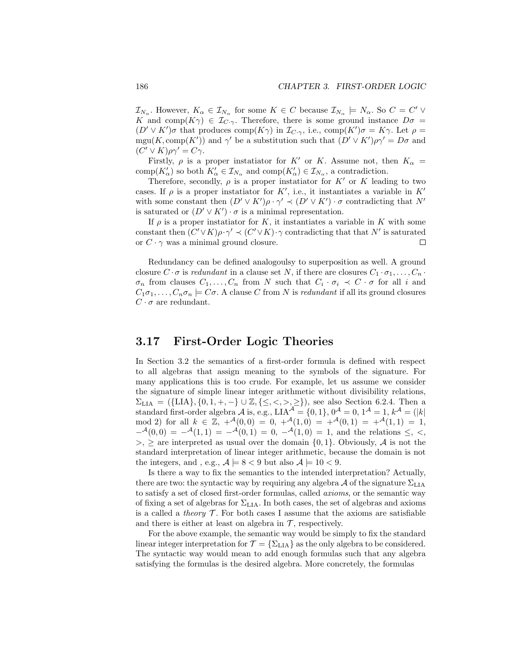$\mathcal{I}_{N_\alpha}$ . However,  $K_\alpha \in \mathcal{I}_{N_\alpha}$  for some  $K \in \mathbb{C}$  because  $\mathcal{I}_{N_\alpha} \models N_\alpha$ . So  $\mathbb{C} = \mathbb{C}' \vee \mathbb{C}$ K and comp $(K\gamma) \in \mathcal{I}_{C\cdot\gamma}$ . Therefore, there is some ground instance  $D\sigma =$  $(D' \vee K')\sigma$  that produces comp $(K\gamma)$  in  $\mathcal{I}_{C,\gamma}$ , i.e., comp $(K')\sigma = K\gamma$ . Let  $\rho =$ mgu(K, comp(K')) and  $\gamma'$  be a substitution such that  $(D' \vee K')\rho\gamma' = D\sigma$  and  $(C' \vee K)\rho \gamma' = C\gamma.$ 

Firstly,  $\rho$  is a proper instatiator for K' or K. Assume not, then  $K_{\alpha} =$  $\text{comp}(K'_{\alpha})$  so both  $K'_{\alpha} \in \mathcal{I}_{N_{\alpha}}$  and  $\text{comp}(K'_{\alpha}) \in \mathcal{I}_{N_{\alpha}}$ , a contradiction.

Therefore, secondly,  $\rho$  is a proper instatiator for K' or K leading to two cases. If  $\rho$  is a proper instatiator for K', i.e., it instantiates a variable in K' with some constant then  $(D' \vee K')\rho \cdot \gamma' \prec (D' \vee K') \cdot \sigma$  contradicting that N' is saturated or  $(D' \vee K') \cdot \sigma$  is a minimal representation.

If  $\rho$  is a proper instatiator for K, it instantiates a variable in K with some constant then  $(C' \vee K)\rho \cdot \gamma' \prec (C' \vee K) \cdot \gamma$  contradicting that that N' is saturated or  $C \cdot \gamma$  was a minimal ground closure. ⊏

Redundancy can be defined analogoulsy to superposition as well. A ground closure  $C \cdot \sigma$  is *redundant* in a clause set N, if there are closures  $C_1 \cdot \sigma_1, \ldots, C_n \cdot$  $\sigma_n$  from clauses  $C_1, \ldots, C_n$  from N such that  $C_i \cdot \sigma_i \prec C \cdot \sigma$  for all i and  $C_1\sigma_1,\ldots,C_n\sigma_n\models C\sigma$ . A clause C from N is redundant if all its ground closures  $C \cdot \sigma$  are redundant.

## 3.17 First-Order Logic Theories

In Section 3.2 the semantics of a first-order formula is defined with respect to all algebras that assign meaning to the symbols of the signature. For many applications this is too crude. For example, let us assume we consider the signature of simple linear integer arithmetic without divisibility relations,  $\Sigma_{\text{LIA}} = (\{\text{LIA}\}, \{0, 1, +, -\} \cup \mathbb{Z}, \{\leq, <, >, \geq\}),$  see also Section 6.2.4. Then a standard first-order algebra  $A$  is, e.g.,  $LIA^{\mathcal{A}} = \{0,1\}$ ,  $0^{\mathcal{A}} = 0$ ,  $1^{\mathcal{A}} = 1$ ,  $k^{\mathcal{A}} = (|k|)$ mod 2) for all  $k \in \mathbb{Z}$ ,  $+^{\mathcal{A}}(0,0) = 0$ ,  $+^{\mathcal{A}}(1,0) = +^{\mathcal{A}}(0,1) = +^{\mathcal{A}}(1,1) = 1$ ,  $-{}^{\mathcal{A}}(0,0) = -{}^{\mathcal{A}}(1,1) = -{}^{\mathcal{A}}(0,1) = 0, -{}^{\mathcal{A}}(1,0) = 1$ , and the relations  $\leq$ ,  $\lt$ ,  $>$ ,  $\geq$  are interpreted as usual over the domain  $\{0,1\}$ . Obviously, A is not the standard interpretation of linear integer arithmetic, because the domain is not the integers, and , e.g.,  $A \models 8 < 9$  but also  $A \models 10 < 9$ .

Is there a way to fix the semantics to the intended interpretation? Actually, there are two: the syntactic way by requiring any algebra  $\mathcal A$  of the signature  $\Sigma_{\rm LIA}$ to satisfy a set of closed first-order formulas, called axioms, or the semantic way of fixing a set of algebras for  $\Sigma_{\rm LIA}.$  In both cases, the set of algebras and axioms is a called a *theory*  $\mathcal T$ . For both cases I assume that the axioms are satisfiable and there is either at least on algebra in  $\mathcal{T}$ , respectively.

For the above example, the semantic way would be simply to fix the standard linear integer interpretation for  $\mathcal{T} = \{\Sigma_{\text{LIA}}\}$  as the only algebra to be considered. The syntactic way would mean to add enough formulas such that any algebra satisfying the formulas is the desired algebra. More concretely, the formulas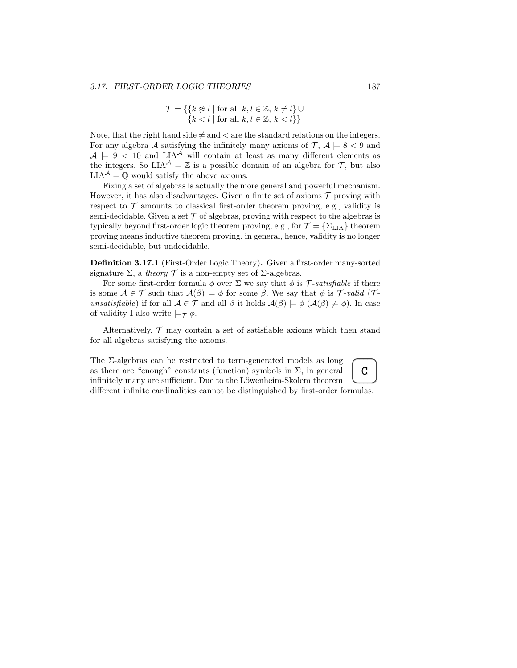$$
\mathcal{T} = \{ \{ k \not\approx l \mid \text{for all } k, l \in \mathbb{Z}, k \neq l \} \cup \{ k < l \mid \text{for all } k, l \in \mathbb{Z}, k < l \} \}
$$

Note, that the right hand side  $\neq$  and  $\lt$  are the standard relations on the integers. For any algebra A satisfying the infinitely many axioms of  $\mathcal{T}, \mathcal{A} \models 8 < 9$  and  $A = 9 < 10$  and LIA<sup>A</sup> will contain at least as many different elements as the integers. So  $LIA^{\mathcal{A}} = \mathbb{Z}$  is a possible domain of an algebra for  $\mathcal{T}$ , but also  ${\rm LIA}^{\mathcal A}=\mathbb Q$  would satisfy the above axioms.

Fixing a set of algebras is actually the more general and powerful mechanism. However, it has also disadvantages. Given a finite set of axioms  $\mathcal T$  proving with respect to  $\mathcal T$  amounts to classical first-order theorem proving, e.g., validity is semi-decidable. Given a set  $\mathcal T$  of algebras, proving with respect to the algebras is typically beyond first-order logic theorem proving, e.g., for  $\mathcal{T} = \{\Sigma_{\text{LIA}}\}$  theorem proving means inductive theorem proving, in general, hence, validity is no longer semi-decidable, but undecidable.

Definition 3.17.1 (First-Order Logic Theory). Given a first-order many-sorted signature  $\Sigma$ , a theory  $\mathcal T$  is a non-empty set of  $\Sigma$ -algebras.

For some first-order formula  $\phi$  over  $\Sigma$  we say that  $\phi$  is T-satisfiable if there is some  $A \in \mathcal{T}$  such that  $\mathcal{A}(\beta) \models \phi$  for some  $\beta$ . We say that  $\phi$  is  $\mathcal{T}$ -valid ( $\mathcal{T}$ unsatisfiable) if for all  $A \in \mathcal{T}$  and all  $\beta$  it holds  $A(\beta) \models \phi$   $(A(\beta) \not\models \phi)$ . In case of validity I also write  $\models_{\tau} \phi$ .

Alternatively,  $\mathcal T$  may contain a set of satisfiable axioms which then stand for all algebras satisfying the axioms.

The Σ-algebras can be restricted to term-generated models as long as there are "enough" constants (function) symbols in  $\Sigma$ , in general infinitely many are sufficient. Due to the Löwenheim-Skolem theorem different infinite cardinalities cannot be distinguished by first-order formulas.

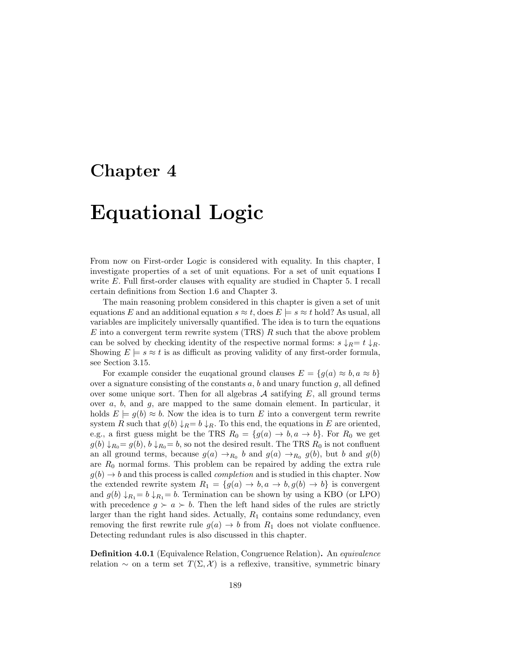## Chapter 4

# Equational Logic

From now on First-order Logic is considered with equality. In this chapter, I investigate properties of a set of unit equations. For a set of unit equations I write E. Full first-order clauses with equality are studied in Chapter 5. I recall certain definitions from Section 1.6 and Chapter 3.

The main reasoning problem considered in this chapter is given a set of unit equations E and an additional equation  $s \approx t$ , does  $E \models s \approx t$  hold? As usual, all variables are implicitely universally quantified. The idea is to turn the equations  $E$  into a convergent term rewrite system (TRS)  $R$  such that the above problem can be solved by checking identity of the respective normal forms:  $s \downarrow_R = t \downarrow_R$ . Showing  $E \models s \approx t$  is as difficult as proving validity of any first-order formula, see Section 3.15.

For example consider the eugational ground clauses  $E = \{g(a) \approx b, a \approx b\}$ over a signature consisting of the constants  $a, b$  and unary function  $g$ , all defined over some unique sort. Then for all algebras  $A$  satifying  $E$ , all ground terms over a, b, and g, are mapped to the same domain element. In particular, it holds  $E = g(b) \approx b$ . Now the idea is to turn E into a convergent term rewrite system R such that  $g(b) \downarrow_R = b \downarrow_R$ . To this end, the equations in E are oriented, e.g., a first guess might be the TRS  $R_0 = \{g(a) \to b, a \to b\}$ . For  $R_0$  we get  $g(b) \downarrow_{R_0} = g(b), b \downarrow_{R_0} = b$ , so not the desired result. The TRS  $R_0$  is not confluent an all ground terms, because  $g(a) \rightarrow_{R_0} b$  and  $g(a) \rightarrow_{R_0} g(b)$ , but b and  $g(b)$ are  $R_0$  normal forms. This problem can be repaired by adding the extra rule  $g(b) \rightarrow b$  and this process is called *completion* and is studied in this chapter. Now the extended rewrite system  $R_1 = \{g(a) \to b, a \to b, g(b) \to b\}$  is convergent and  $g(b) \downarrow_{R_1} = b \downarrow_{R_1} = b$ . Termination can be shown by using a KBO (or LPO) with precedence  $g \succ a \succ b$ . Then the left hand sides of the rules are strictly larger than the right hand sides. Actually,  $R_1$  contains some redundancy, even removing the first rewrite rule  $g(a) \rightarrow b$  from  $R_1$  does not violate confluence. Detecting redundant rules is also discussed in this chapter.

Definition 4.0.1 (Equivalence Relation, Congruence Relation). An equivalence relation  $\sim$  on a term set  $T(\Sigma, \mathcal{X})$  is a reflexive, transitive, symmetric binary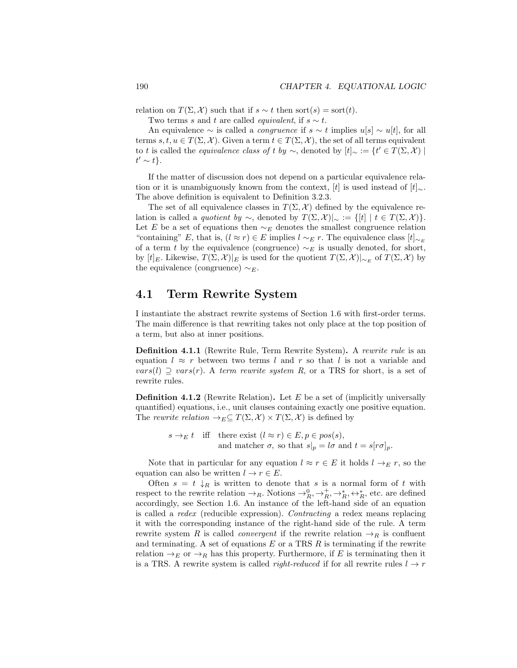relation on  $T(\Sigma, \mathcal{X})$  such that if  $s \sim t$  then sort(s) = sort(t).

Two terms s and t are called *equivalent*, if  $s \sim t$ .

An equivalence  $\sim$  is called a *congruence* if  $s \sim t$  implies  $u[s] \sim u[t]$ , for all terms s, t,  $u \in T(\Sigma, \mathcal{X})$ . Given a term  $t \in T(\Sigma, \mathcal{X})$ , the set of all terms equivalent to t is called the *equivalence class of t by*  $\sim$ , denoted by  $[t]_{\sim} := \{ t' \in T(\Sigma, \mathcal{X}) \mid$  $t' \sim t$ .

If the matter of discussion does not depend on a particular equivalence relation or it is unambiguously known from the context, [t] is used instead of  $[t]_{\sim}$ . The above definition is equivalent to Definition 3.2.3.

The set of all equivalence classes in  $T(\Sigma, \mathcal{X})$  defined by the equivalence relation is called a *quotient by* ∼, denoted by  $T(\Sigma, \mathcal{X})|_{\sim} := \{ [t] | t \in T(\Sigma, \mathcal{X}) \}.$ Let E be a set of equations then  $\sim_E$  denotes the smallest congruence relation "containing" E, that is,  $(l \approx r) \in E$  implies  $l \sim_E r$ . The equivalence class  $[t]_{\sim_E}$ of a term t by the equivalence (congruence)  $\sim_E$  is usually denoted, for short, by  $[t]_E$ . Likewise,  $T(\Sigma, \mathcal{X})|_E$  is used for the quotient  $T(\Sigma, \mathcal{X})|_{\sim_E}$  of  $T(\Sigma, \mathcal{X})$  by the equivalence (congruence)  $\sim_E$ .

## 4.1 Term Rewrite System

I instantiate the abstract rewrite systems of Section 1.6 with first-order terms. The main difference is that rewriting takes not only place at the top position of a term, but also at inner positions.

Definition 4.1.1 (Rewrite Rule, Term Rewrite System). A rewrite rule is an equation  $l \approx r$  between two terms l and r so that l is not a variable and  $vars(l) \supseteq vars(r)$ . A term rewrite system R, or a TRS for short, is a set of rewrite rules.

**Definition 4.1.2** (Rewrite Relation). Let  $E$  be a set of (implicitly universally quantified) equations, i.e., unit clauses containing exactly one positive equation. The rewrite relation  $\rightarrow_E \subseteq T(\Sigma, \mathcal{X}) \times T(\Sigma, \mathcal{X})$  is defined by

$$
s \to_E t \quad \text{iff} \quad \text{there exist } (l \approx r) \in E, p \in pos(s),
$$
  
and matcher  $\sigma$ , so that  $s|_p = l\sigma$  and  $t = s[r\sigma]_p$ .

Note that in particular for any equation  $l \approx r \in E$  it holds  $l \to_{E} r$ , so the equation can also be written  $l \to r \in E$ .

Often  $s = t \downarrow_R$  is written to denote that s is a normal form of t with respect to the rewrite relation  $\to_R$ . Notions  $\to_R^0$ ,  $\to_R^+$ ,  $\to_R^*, \leftrightarrow_R^*$ , etc. are defined accordingly, see Section 1.6. An instance of the left-hand side of an equation is called a redex (reducible expression). Contracting a redex means replacing it with the corresponding instance of the right-hand side of the rule. A term rewrite system R is called *convergent* if the rewrite relation  $\rightarrow_R$  is confluent and terminating. A set of equations  $E$  or a TRS  $R$  is terminating if the rewrite relation  $\rightarrow_E$  or  $\rightarrow_R$  has this property. Furthermore, if E is terminating then it is a TRS. A rewrite system is called *right-reduced* if for all rewrite rules  $l \rightarrow r$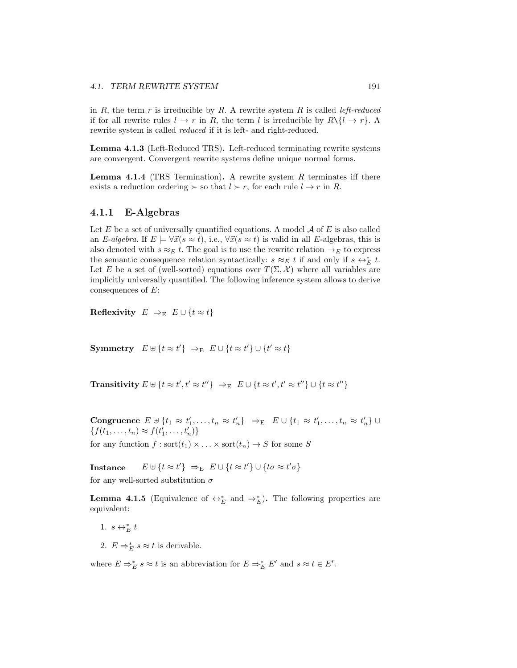in R, the term  $r$  is irreducible by R. A rewrite system R is called *left-reduced* if for all rewrite rules  $l \to r$  in R, the term l is irreducible by  $R \setminus \{l \to r\}$ . A rewrite system is called reduced if it is left- and right-reduced.

Lemma 4.1.3 (Left-Reduced TRS). Left-reduced terminating rewrite systems are convergent. Convergent rewrite systems define unique normal forms.

**Lemma 4.1.4** (TRS Termination). A rewrite system  $R$  terminates iff there exists a reduction ordering  $\succ$  so that  $l \succ r$ , for each rule  $l \rightarrow r$  in R.

## 4.1.1 E-Algebras

Let  $E$  be a set of universally quantified equations. A model  $A$  of  $E$  is also called an E-algebra. If  $E \models \forall \vec{x}(s \approx t)$ , i.e.,  $\forall \vec{x}(s \approx t)$  is valid in all E-algebras, this is also denoted with  $s \approx_E t$ . The goal is to use the rewrite relation  $\rightarrow_E$  to express the semantic consequence relation syntactically:  $s \approx_E t$  if and only if  $s \leftrightarrow_E^* t$ . Let E be a set of (well-sorted) equations over  $T(\Sigma, \mathcal{X})$  where all variables are implicitly universally quantified. The following inference system allows to derive consequences of  $E$ :

Reflexivity  $E \Rightarrow_E E \cup \{t \approx t\}$ 

Symmetry  $E \uplus \{t \approx t'\} \Rightarrow_E E \cup \{t \approx t'\} \cup \{t' \approx t\}$ 

Transitivity  $E \uplus \{t \approx t', t' \approx t''\} \Rightarrow_E E \cup \{t \approx t', t' \approx t''\} \cup \{t \approx t''\}$ 

Congruence  $E \uplus \{t_1 \approx t'_1, \ldots, t_n \approx t'_n\} \Rightarrow_E E \cup \{t_1 \approx t'_1, \ldots, t_n \approx t'_n\} \cup$  $\{f(t_1, ..., t_n) \approx f(t'_1, ..., t'_n)\}\$ for any function  $f : \text{sort}(t_1) \times \ldots \times \text{sort}(t_n) \to S$  for some S

Instance  $E \uplus \{t \approx t'\} \Rightarrow_E E \cup \{t \approx t'\} \cup \{t\sigma \approx t'\sigma\}$ for any well-sorted substitution  $\sigma$ 

**Lemma 4.1.5** (Equivalence of  $\leftrightarrow_E^*$  and  $\Rightarrow_E^*$ ). The following properties are equivalent:

- 1.  $s \leftrightarrow_E^* t$
- 2.  $E \Rightarrow_{E}^{*} s \approx t$  is derivable.

where  $E \Rightarrow_{E}^{*} s \approx t$  is an abbreviation for  $E \Rightarrow_{E}^{*} E'$  and  $s \approx t \in E'$ .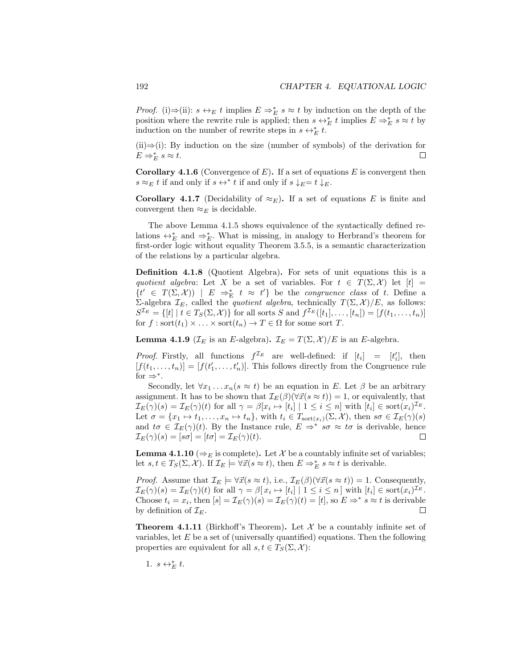*Proof.* (i)⇒(ii):  $s \leftrightarrow_E t$  implies  $E \Rightarrow_E^* s \approx t$  by induction on the depth of the position where the rewrite rule is applied; then  $s \leftrightarrow^*_{E} t$  implies  $E \Rightarrow^*_{E} s \approx t$  by induction on the number of rewrite steps in  $s \leftrightarrow_{E}^* t$ .

 $(ii) \Rightarrow (i)$ : By induction on the size (number of symbols) of the derivation for  $E \Rightarrow_E^* s \approx t.$ П

**Corollary 4.1.6** (Convergence of  $E$ ). If a set of equations  $E$  is convergent then  $s \approx_E t$  if and only if  $s \leftrightarrow^* t$  if and only if  $s \downarrow_E = t \downarrow_E$ .

**Corollary 4.1.7** (Decidability of  $\approx_E$ ). If a set of equations E is finite and convergent then  $\approx_E$  is decidable.

The above Lemma 4.1.5 shows equivalence of the syntactically defined relations  $\leftrightarrow_E^*$  and  $\Rightarrow_E^*$ . What is missing, in analogy to Herbrand's theorem for first-order logic without equality Theorem 3.5.5, is a semantic characterization of the relations by a particular algebra.

Definition 4.1.8 (Quotient Algebra). For sets of unit equations this is a quotient algebra: Let X be a set of variables. For  $t \in T(\Sigma, \mathcal{X})$  let  $[t] =$  $\{t' \in T(\Sigma, \mathcal{X})\}$  |  $E \Rightarrow^*_{E} t \approx t' \}$  be the *congruence class* of t. Define a Σ-algebra  $\mathcal{I}_E$ , called the *quotient algebra*, technically  $T(\Sigma, \mathcal{X})/E$ , as follows:  $S^{\mathcal{I}_E} = \{ [t] \mid t \in T_S(\Sigma, \mathcal{X}) \}$  for all sorts S and  $f^{\mathcal{I}_E}([t_1], \dots, [t_n]) = [f(t_1, \dots, t_n)]$ for  $f : \text{sort}(t_1) \times \ldots \times \text{sort}(t_n) \to T \in \Omega$  for some sort T.

**Lemma 4.1.9** ( $\mathcal{I}_E$  is an E-algebra).  $\mathcal{I}_E = T(\Sigma, \mathcal{X})/E$  is an E-algebra.

*Proof.* Firstly, all functions  $f^{\mathcal{I}_E}$  are well-defined: if  $[t_i] = [t'_i]$ , then  $[f(t_1,...,t_n)] = [f(t'_1,...,t'_n)]$ . This follows directly from the Congruence rule for  $\Rightarrow^*$ .

Secondly, let  $\forall x_1 \dots x_n (s \approx t)$  be an equation in E. Let  $\beta$  be an arbitrary assignment. It has to be shown that  $\mathcal{I}_{E}(\beta)(\forall \vec{x}(s \approx t)) = 1$ , or equivalently, that  $\mathcal{I}_{E}(\gamma)(s) = \mathcal{I}_{E}(\gamma)(t)$  for all  $\gamma = \beta[x_i \mapsto [t_i] \mid 1 \leq i \leq n]$  with  $[t_i] \in \text{sort}(x_i)^{\mathcal{I}_{E}}$ . Let  $\sigma = \{x_1 \mapsto t_1, \ldots, x_n \mapsto t_n\}$ , with  $t_i \in T_{\text{sort}(x_i)}(\Sigma, \mathcal{X})$ , then  $s\sigma \in \mathcal{I}_E(\gamma)(s)$ and  $t\sigma \in \mathcal{I}_E(\gamma)(t)$ . By the Instance rule,  $E \Rightarrow^* s\sigma \approx t\sigma$  is derivable, hence  $\mathcal{I}_{E}(\gamma)(s) = [s\sigma] = [t\sigma] = \mathcal{I}_{E}(\gamma)(t).$  $\Box$ 

**Lemma 4.1.10** ( $\Rightarrow$  is complete). Let X be a countably infinite set of variables; let  $s, t \in T_S(\Sigma, \mathcal{X})$ . If  $\mathcal{I}_E \models \forall \vec{x}(s \approx t)$ , then  $E \Rightarrow^*_{E} s \approx t$  is derivable.

*Proof.* Assume that  $\mathcal{I}_E \models \forall \vec{x}(s \approx t)$ , i.e.,  $\mathcal{I}_E(\beta)(\forall \vec{x}(s \approx t)) = 1$ . Consequently,  $\mathcal{I}_{E}(\gamma)(s) = \mathcal{I}_{E}(\gamma)(t)$  for all  $\gamma = \beta[x_i \mapsto [t_i] \mid 1 \leq i \leq n]$  with  $[t_i] \in \text{sort}(x_i)^{\mathcal{I}_{E}}$ . Choose  $t_i = x_i$ , then  $[s] = \mathcal{I}_E(\gamma)(s) = \mathcal{I}_E(\gamma)(t) = [t]$ , so  $E \Rightarrow^* s \approx t$  is derivable by definition of  $\mathcal{I}_E$ .  $\Box$ 

**Theorem 4.1.11** (Birkhoff's Theorem). Let  $\mathcal{X}$  be a countably infinite set of variables, let  $E$  be a set of (universally quantified) equations. Then the following properties are equivalent for all  $s, t \in T_S(\Sigma, \mathcal{X})$ :

1.  $s \leftrightarrow_E^* t$ .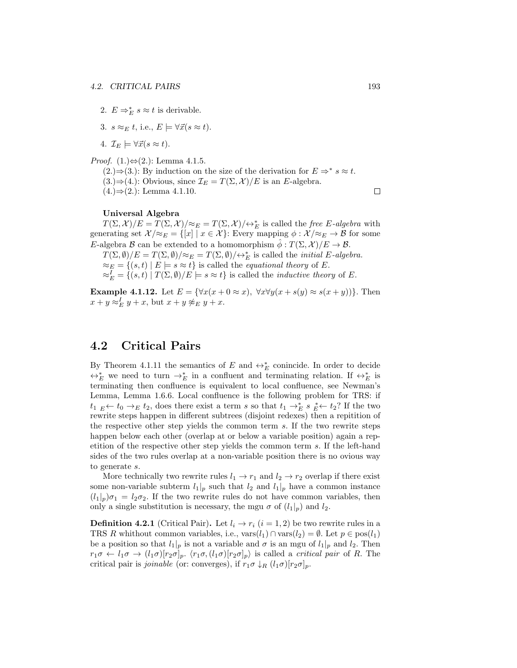- 2.  $E \Rightarrow_{E}^{*} s \approx t$  is derivable.
- 3.  $s \approx_E t$ , i.e.,  $E \models \forall \vec{x} (s \approx t)$ .

4.  $\mathcal{I}_E \models \forall \vec{x}(s \approx t).$ 

*Proof.* (1.)⇔(2.): Lemma 4.1.5.

 $(2.)\Rightarrow (3.)$ : By induction on the size of the derivation for  $E \Rightarrow^* s \approx t$ .  $(3.)\Rightarrow (4.)$ : Obvious, since  $\mathcal{I}_E = T(\Sigma, \mathcal{X})/E$  is an E-algebra.  $(4.)\Rightarrow (2.)$ : Lemma 4.1.10.

#### Universal Algebra

 $T(\Sigma, \mathcal{X})/E = T(\Sigma, \mathcal{X})/\approx_E T(\Sigma, \mathcal{X})/\leftrightarrow_E^*$  is called the *free E-algebra* with generating set  $\mathcal{X}/\approx_E = \{ [x] \mid x \in \mathcal{X} \}$ : Every mapping  $\phi : \mathcal{X}/\approx_E \to \mathcal{B}$  for some E-algebra B can be extended to a homomorphism  $\phi: T(\Sigma, \mathcal{X})/E \to \mathcal{B}$ .

 $T(\Sigma, \emptyset)/E = T(\Sigma, \emptyset)/\approx_E T(\Sigma, \emptyset)/\leftrightarrow_E^*$  is called the *initial* E-algebra.  $\approx_E = \{(s, t) | E \models s \approx t\}$  is called the *equational theory* of E.  $\approx_E^I = \{(s, t) | T(\Sigma, \emptyset)/E \models s \approx t\}$  is called the *inductive theory* of E.

Example 4.1.12. Let  $E = \{ \forall x(x + 0 \approx x), \ \forall x \forall y(x + s(y) \approx s(x + y)) \}.$  Then  $x + y \approx_E^L y + x$ , but  $x + y \not\approx_E y + x$ .

## 4.2 Critical Pairs

By Theorem 4.1.11 the semantics of E and  $\leftrightarrow_E^*$  conincide. In order to decide  $\leftrightarrow_E^*$  we need to turn  $\rightarrow_E^*$  in a confluent and terminating relation. If  $\leftrightarrow_E^*$  is terminating then confluence is equivalent to local confluence, see Newman's Lemma, Lemma 1.6.6. Local confluence is the following problem for TRS: if  $t_1$   $\underset{E}{\leftarrow}$   $t_0 \rightarrow_E t_2$ , does there exist a term s so that  $t_1 \rightarrow_E^* s_E^* \leftarrow t_2$ ? If the two rewrite steps happen in different subtrees (disjoint redexes) then a repitition of the respective other step yields the common term s. If the two rewrite steps happen below each other (overlap at or below a variable position) again a repetition of the respective other step yields the common term s. If the left-hand sides of the two rules overlap at a non-variable position there is no ovious way to generate s.

More technically two rewrite rules  $l_1 \rightarrow r_1$  and  $l_2 \rightarrow r_2$  overlap if there exist some non-variable subterm  $l_1|_p$  such that  $l_2$  and  $l_1|_p$  have a common instance  $(l_1|_p)\sigma_1 = l_2\sigma_2$ . If the two rewrite rules do not have common variables, then only a single substitution is necessary, the mgu  $\sigma$  of  $(l_1|_p)$  and  $l_2$ .

**Definition 4.2.1** (Critical Pair). Let  $l_i \rightarrow r_i$   $(i = 1, 2)$  be two rewrite rules in a TRS R whithout common variables, i.e.,  $\text{vars}(l_1) \cap \text{vars}(l_2) = \emptyset$ . Let  $p \in \text{pos}(l_1)$ be a position so that  $l_1|_p$  is not a variable and  $\sigma$  is an mgu of  $l_1|_p$  and  $l_2$ . Then  $r_1\sigma \leftarrow l_1\sigma \rightarrow (l_1\sigma)[r_2\sigma]_p$ .  $\langle r_1\sigma, (l_1\sigma)[r_2\sigma]_p$  is called a *critical pair* of R. The critical pair is *joinable* (or: converges), if  $r_1\sigma \downarrow_R (l_1\sigma)[r_2\sigma]_p$ .

 $\Box$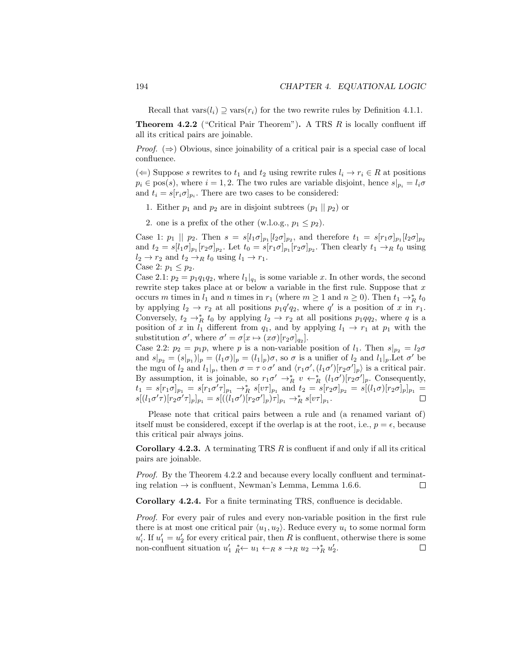Recall that vars $(l_i) \supseteq \text{vars}(r_i)$  for the two rewrite rules by Definition 4.1.1.

**Theorem 4.2.2** ("Critical Pair Theorem"). A TRS  $R$  is locally confluent iff all its critical pairs are joinable.

*Proof.*  $(\Rightarrow)$  Obvious, since joinability of a critical pair is a special case of local confluence.

(←) Suppose s rewrites to  $t_1$  and  $t_2$  using rewrite rules  $l_i \rightarrow r_i \in R$  at positions  $p_i \in \text{pos}(s)$ , where  $i = 1, 2$ . The two rules are variable disjoint, hence  $s|_{p_i} = l_i \sigma$ and  $t_i = s[r_i \sigma]_{p_i}$ . There are two cases to be considered:

- 1. Either  $p_1$  and  $p_2$  are in disjoint subtrees  $(p_1 || p_2)$  or
- 2. one is a prefix of the other (w.l.o.g.,  $p_1 \leq p_2$ ).

Case 1:  $p_1 \parallel p_2$ . Then  $s = s[l_1 \sigma]_{p_1} [l_2 \sigma]_{p_2}$ , and therefore  $t_1 = s[r_1 \sigma]_{p_1} [l_2 \sigma]_{p_2}$ and  $t_2 = s[l_1 \sigma]_{p_1} [r_2 \sigma]_{p_2}$ . Let  $t_0 = s[r_1 \sigma]_{p_1} [r_2 \sigma]_{p_2}$ . Then clearly  $t_1 \rightarrow_R t_0$  using  $l_2 \rightarrow r_2$  and  $t_2 \rightarrow_R t_0$  using  $l_1 \rightarrow r_1$ .

Case 2:  $p_1 \leq p_2$ .

Case 2.1:  $p_2 = p_1 q_1 q_2$ , where  $l_1|_{q_1}$  is some variable x. In other words, the second rewrite step takes place at or below a variable in the first rule. Suppose that  $x$ occurs m times in  $l_1$  and n times in  $r_1$  (where  $m \ge 1$  and  $n \ge 0$ ). Then  $t_1 \to_R^* t_0$ by applying  $l_2 \to r_2$  at all positions  $p_1 q' q_2$ , where q' is a position of x in  $r_1$ . Conversely,  $t_2 \rightarrow_R^* t_0$  by applying  $l_2 \rightarrow r_2$  at all positions  $p_1qq_2$ , where q is a position of x in  $l_1$  different from  $q_1$ , and by applying  $l_1 \rightarrow r_1$  at  $p_1$  with the substitution  $\sigma'$ , where  $\sigma' = \sigma[x \mapsto (x\sigma)[r_2\sigma]_{q_2}].$ 

Case 2.2:  $p_2 = p_1p$ , where p is a non-variable position of  $l_1$ . Then  $s|_{p_2} = l_2\sigma$ and  $s|_{p_2} = (s|_{p_1})|_p = (l_1 \sigma)|_p = (l_1|_p)\sigma$ , so  $\sigma$  is a unifier of  $l_2$  and  $l_1|_p$ . Let  $\sigma'$  be the mgu of  $l_2$  and  $l_1|_p$ , then  $\sigma = \tau \circ \sigma'$  and  $\langle r_1 \sigma', (l_1 \sigma') [r_2 \sigma']_p \rangle$  is a critical pair. By assumption, it is joinable, so  $r_1 \sigma' \rightarrow_R^* v \leftarrow_R^* (l_1 \sigma') [r_2 \sigma']_p$ . Consequently,  $t_1 = s[r_1\sigma]_{p_1} = s[r_1\sigma'\tau]_{p_1} \rightarrow_R^* s[v\tau]_{p_1}$  and  $t_2 = s[r_2\sigma]_{p_2} = s[(l_1\sigma)[r_2\sigma]_p]_{p_1} =$  $s[(l_1\sigma'\tau)[r_2\sigma'\tau]_p]_{p_1} = s[((l_1\sigma')[r_2\sigma']_p)\tau]_{p_1} \to_R^* s[v\tau]_{p_1}.$ 

Please note that critical pairs between a rule and (a renamed variant of) itself must be considered, except if the overlap is at the root, i.e.,  $p = \epsilon$ , because this critical pair always joins.

**Corollary 4.2.3.** A terminating TRS  $R$  is confluent if and only if all its critical pairs are joinable.

Proof. By the Theorem 4.2.2 and because every locally confluent and terminating relation  $\rightarrow$  is confluent, Newman's Lemma, Lemma 1.6.6.  $\Box$ 

Corollary 4.2.4. For a finite terminating TRS, confluence is decidable.

Proof. For every pair of rules and every non-variable position in the first rule there is at most one critical pair  $\langle u_1, u_2 \rangle$ . Reduce every  $u_i$  to some normal form  $u'_i$ . If  $u'_1 = u'_2$  for every critical pair, then R is confluent, otherwise there is some non-confluent situation  $u'_1 \stackrel{*}{R} \leftarrow u_1 \leftarrow_R s \rightarrow_R u_2 \rightarrow_R^* u'_2$ .  $\Box$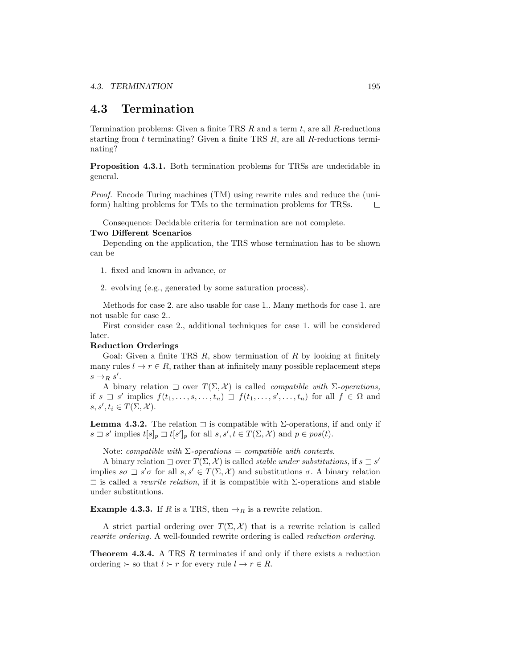## 4.3 Termination

Termination problems: Given a finite TRS  $R$  and a term  $t$ , are all  $R$ -reductions starting from  $t$  terminating? Given a finite TRS  $R$ , are all  $R$ -reductions terminating?

Proposition 4.3.1. Both termination problems for TRSs are undecidable in general.

Proof. Encode Turing machines (TM) using rewrite rules and reduce the (uniform) halting problems for TMs to the termination problems for TRSs.  $\Box$ 

Consequence: Decidable criteria for termination are not complete.

#### Two Different Scenarios

Depending on the application, the TRS whose termination has to be shown can be

- 1. fixed and known in advance, or
- 2. evolving (e.g., generated by some saturation process).

Methods for case 2. are also usable for case 1.. Many methods for case 1. are not usable for case 2..

First consider case 2., additional techniques for case 1. will be considered later.

#### Reduction Orderings

Goal: Given a finite TRS  $R$ , show termination of  $R$  by looking at finitely many rules  $l \to r \in R$ , rather than at infinitely many possible replacement steps  $s \rightarrow_R s'$ .

A binary relation  $\exists$  over  $T(\Sigma, \mathcal{X})$  is called *compatible with*  $\Sigma$ -operations, if  $s \supseteq s'$  implies  $f(t_1, \ldots, s, \ldots, t_n) \supseteq f(t_1, \ldots, s', \ldots, t_n)$  for all  $f \in \Omega$  and  $s, s', t_i \in T(\Sigma, \mathcal{X}).$ 

**Lemma 4.3.2.** The relation  $\exists$  is compatible with  $\Sigma$ -operations, if and only if  $s \sqsupset s'$  implies  $t[s]_p \sqsupset t[s']_p$  for all  $s, s', t \in T(\Sigma, \mathcal{X})$  and  $p \in pos(t)$ .

Note: compatible with  $\Sigma$ -operations = compatible with contexts.

A binary relation  $\Box$  over  $T(\Sigma, \mathcal{X})$  is called *stable under substitutions*, if  $s \Box s'$ implies  $s\sigma \rightrightarrows s'\sigma$  for all  $s, s' \in T(\Sigma, \mathcal{X})$  and substitutions  $\sigma$ . A binary relation  $\exists$  is called a *rewrite relation*, if it is compatible with  $\Sigma$ -operations and stable under substitutions.

**Example 4.3.3.** If R is a TRS, then  $\rightarrow_R$  is a rewrite relation.

A strict partial ordering over  $T(\Sigma, \mathcal{X})$  that is a rewrite relation is called rewrite ordering. A well-founded rewrite ordering is called reduction ordering.

Theorem 4.3.4. A TRS R terminates if and only if there exists a reduction ordering  $\succ$  so that  $l \succ r$  for every rule  $l \to r \in R$ .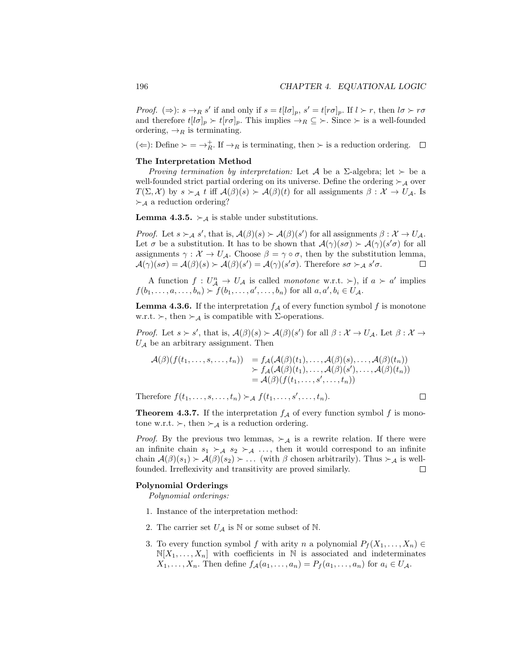*Proof.*  $(\Rightarrow) : s \to_R s'$  if and only if  $s = t[l\sigma]_p$ ,  $s' = t[r\sigma]_p$ . If  $l \succ r$ , then  $l\sigma \succ r\sigma$ and therefore  $t[l\sigma]_p \succ t[r\sigma]_p$ . This implies  $\rightarrow_R \subseteq \succ$ . Since  $\succ$  is a well-founded ordering,  $\rightarrow_R$  is terminating.

( $\Leftarrow$ ): Define  $\succ = \rightarrow_R^+$ . If  $\rightarrow_R$  is terminating, then  $\succ$  is a reduction ordering.

#### The Interpretation Method

Proving termination by interpretation: Let A be a  $\Sigma$ -algebra; let  $\succ$  be a well-founded strict partial ordering on its universe. Define the ordering  $\succ_A$  over  $T(\Sigma, \mathcal{X})$  by  $s \succ_{\mathcal{A}} t$  iff  $\mathcal{A}(\beta)(s) \succ \mathcal{A}(\beta)(t)$  for all assignments  $\beta : \mathcal{X} \to U_{\mathcal{A}}$ . Is  $\succ_{\mathcal{A}}$  a reduction ordering?

**Lemma 4.3.5.**  $\succ_{\mathcal{A}}$  is stable under substitutions.

*Proof.* Let  $s \succ_A s'$ , that is,  $\mathcal{A}(\beta)(s) \succ \mathcal{A}(\beta)(s')$  for all assignments  $\beta : \mathcal{X} \to U_{\mathcal{A}}$ . Let  $\sigma$  be a substitution. It has to be shown that  $\mathcal{A}(\gamma)(s\sigma) \succ \mathcal{A}(\gamma)(s'\sigma)$  for all assignments  $\gamma : \mathcal{X} \to U_{\mathcal{A}}$ . Choose  $\beta = \gamma \circ \sigma$ , then by the substitution lemma,  $\mathcal{A}(\gamma)(s\sigma) = \mathcal{A}(\beta)(s) \succ \mathcal{A}(\beta)(s') = \mathcal{A}(\gamma)(s'\sigma)$ . Therefore  $s\sigma \succ_{\mathcal{A}} s'\sigma$ .  $\Box$ 

A function  $f: U_A^n \to U_A$  is called monotone w.r.t.  $\succ$ ), if  $a \succ a'$  implies  $f(b_1, ..., a, ..., b_n) > f(b_1, ..., a', ..., b_n)$  for all  $a, a', b_i \in U_{\mathcal{A}}$ .

**Lemma 4.3.6.** If the interpretation  $f_A$  of every function symbol f is monotone w.r.t.  $\succ$ , then  $\succ_A$  is compatible with  $\Sigma$ -operations.

*Proof.* Let  $s > s'$ , that is,  $\mathcal{A}(\beta)(s) > \mathcal{A}(\beta)(s')$  for all  $\beta : \mathcal{X} \to U_{\mathcal{A}}$ . Let  $\beta : \mathcal{X} \to$  $U_A$  be an arbitrary assignment. Then

$$
\mathcal{A}(\beta)(f(t_1,\ldots,s,\ldots,t_n)) = f_{\mathcal{A}}(\mathcal{A}(\beta)(t_1),\ldots,\mathcal{A}(\beta)(s),\ldots,\mathcal{A}(\beta)(t_n)) \n\succ f_{\mathcal{A}}(\mathcal{A}(\beta)(t_1),\ldots,\mathcal{A}(\beta)(s'),\ldots,\mathcal{A}(\beta)(t_n)) \n= \mathcal{A}(\beta)(f(t_1,\ldots,s',\ldots,t_n))
$$

Therefore  $f(t_1,\ldots,s,\ldots,t_n) \succ_{\mathcal{A}} f(t_1,\ldots,s',\ldots,t_n)$ .  $\Box$ 

**Theorem 4.3.7.** If the interpretation  $f_A$  of every function symbol f is monotone w.r.t.  $\succ$ , then  $\succ_A$  is a reduction ordering.

*Proof.* By the previous two lemmas,  $\succ_{\mathcal{A}}$  is a rewrite relation. If there were an infinite chain  $s_1 \succ_A s_2 \succ_A \ldots$ , then it would correspond to an infinite chain  $\mathcal{A}(\beta)(s_1) \succ \mathcal{A}(\beta)(s_2) \succ \ldots$  (with  $\beta$  chosen arbitrarily). Thus  $\succ_{\mathcal{A}}$  is wellfounded. Irreflexivity and transitivity are proved similarly. □

#### Polynomial Orderings

Polynomial orderings:

- 1. Instance of the interpretation method:
- 2. The carrier set  $U_A$  is  $\mathbb N$  or some subset of  $\mathbb N$ .
- 3. To every function symbol f with arity n a polynomial  $P_f(X_1, \ldots, X_n)$  $\mathbb{N}[X_1,\ldots,X_n]$  with coefficients in N is associated and indeterminates  $X_1, \ldots, X_n$ . Then define  $f_A(a_1, \ldots, a_n) = P_f(a_1, \ldots, a_n)$  for  $a_i \in U_A$ .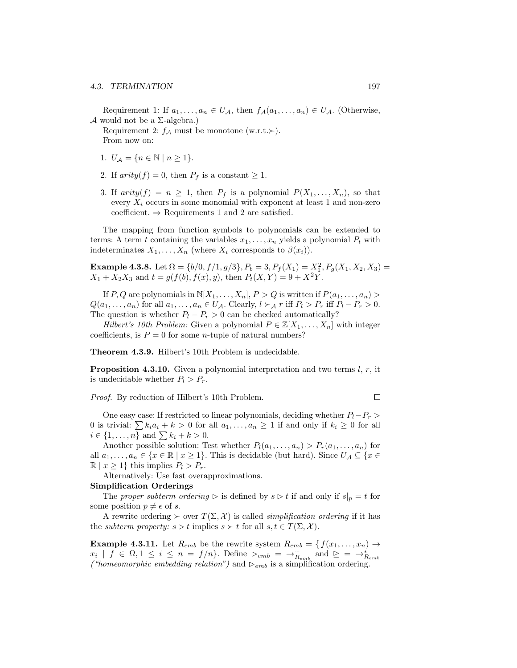Requirement 1: If  $a_1, \ldots, a_n \in U_{\mathcal{A}}$ , then  $f_{\mathcal{A}}(a_1, \ldots, a_n) \in U_{\mathcal{A}}$ . (Otherwise, A would not be a  $\Sigma$ -algebra.)

Requirement 2:  $f_A$  must be monotone (w.r.t. $\succ$ ). From now on:

- 1.  $U_A = \{n \in \mathbb{N} \mid n \geq 1\}.$
- 2. If  $arity(f) = 0$ , then  $P_f$  is a constant  $\geq 1$ .
- 3. If  $arity(f) = n \ge 1$ , then  $P_f$  is a polynomial  $P(X_1, \ldots, X_n)$ , so that every  $X_i$  occurs in some monomial with exponent at least 1 and non-zero coefficient.  $\Rightarrow$  Requirements 1 and 2 are satisfied.

The mapping from function symbols to polynomials can be extended to terms: A term t containing the variables  $x_1, \ldots, x_n$  yields a polynomial  $P_t$  with indeterminates  $X_1, \ldots, X_n$  (where  $X_i$  corresponds to  $\beta(x_i)$ ).

Example 4.3.8. Let  $\Omega = \{b/0, f/1, g/3\}, P_b = 3, P_f(X_1) = X_1^2, P_g(X_1, X_2, X_3) =$  $X_1 + X_2X_3$  and  $t = g(f(b), f(x), y)$ , then  $P_t(X, Y) = 9 + X^2Y$ .

If P, Q are polynomials in  $\mathbb{N}[X_1,\ldots,X_n], P > Q$  is written if  $P(a_1,\ldots,a_n) >$  $Q(a_1, \ldots, a_n)$  for all  $a_1, \ldots, a_n \in U_{\mathcal{A}}$ . Clearly,  $l \succ_{\mathcal{A}} r$  iff  $P_l > P_r$  iff  $P_l - P_r > 0$ . The question is whether  $P_l - P_r > 0$  can be checked automatically?

Hilbert's 10th Problem: Given a polynomial  $P \in \mathbb{Z}[X_1, \ldots, X_n]$  with integer coefficients, is  $P = 0$  for some *n*-tuple of natural numbers?

Theorem 4.3.9. Hilbert's 10th Problem is undecidable.

**Proposition 4.3.10.** Given a polynomial interpretation and two terms  $l, r$ , it is undecidable whether  $P_l > P_r$ .

Proof. By reduction of Hilbert's 10th Problem.

 $\Box$ 

One easy case: If restricted to linear polynomials, deciding whether  $P_l-P_r$ 0 is trivial:  $\sum k_i a_i + k > 0$  for all  $a_1, \ldots, a_n \ge 1$  if and only if  $k_i \ge 0$  for all  $i \in \{1, ..., n\}$  and  $\sum k_i + k > 0$ .

Another possible solution: Test whether  $P_l(a_1, \ldots, a_n) > P_r(a_1, \ldots, a_n)$  for all  $a_1, \ldots, a_n \in \{x \in \mathbb{R} \mid x \ge 1\}$ . This is decidable (but hard). Since  $U_A \subseteq \{x \in$  $\mathbb{R} \mid x \geq 1$ } this implies  $P_l > P_r$ .

Alternatively: Use fast overapproximations.

#### Simplification Orderings

The proper subterm ordering  $\triangleright$  is defined by  $s \triangleright t$  if and only if  $s|_p = t$  for some position  $p \neq \epsilon$  of s.

A rewrite ordering  $\succ$  over  $T(\Sigma, \mathcal{X})$  is called *simplification ordering* if it has the *subterm property:*  $s \triangleright t$  implies  $s \succ t$  for all  $s, t \in T(\Sigma, \mathcal{X})$ .

**Example 4.3.11.** Let  $R_{emb}$  be the rewrite system  $R_{emb} = \{f(x_1, \ldots, x_n) \rightarrow$  $x_i \mid f \in \Omega, 1 \leq i \leq n = f/n$ . Define  $\triangleright_{emb} = \rightarrow_{R_{emb}}^+$  and  $\trianglerighteq \implies_{R_{emb}}^+$ ("homeomorphic embedding relation") and  $\triangleright_{emb}$  is a simplification ordering.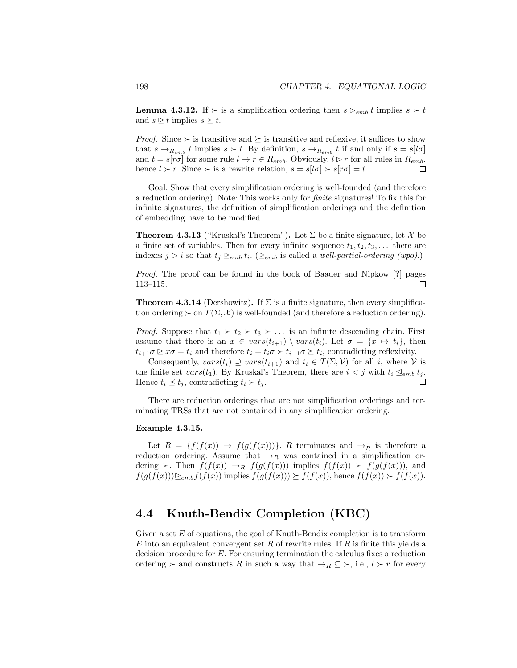**Lemma 4.3.12.** If  $\succ$  is a simplification ordering then  $s \succ_{emb} t$  implies  $s \succ t$ and  $s \geq t$  implies  $s \succeq t$ .

*Proof.* Since  $\succ$  is transitive and  $\succeq$  is transitive and reflexive, it suffices to show that  $s \to_{R_{emb}} t$  implies  $s \succ t$ . By definition,  $s \to_{R_{emb}} t$  if and only if  $s = s[l\sigma]$ and  $t = s[r\sigma]$  for some rule  $l \to r \in R_{emb}$ . Obviously,  $l \triangleright r$  for all rules in  $R_{emb}$ , hence  $l > r$ . Since  $\succ$  is a rewrite relation,  $s = s[l\sigma] \succ s[r\sigma] = t$ .

Goal: Show that every simplification ordering is well-founded (and therefore a reduction ordering). Note: This works only for finite signatures! To fix this for infinite signatures, the definition of simplification orderings and the definition of embedding have to be modified.

**Theorem 4.3.13** ("Kruskal's Theorem"). Let  $\Sigma$  be a finite signature, let X be a finite set of variables. Then for every infinite sequence  $t_1, t_2, t_3, \ldots$  there are indexes  $j > i$  so that  $t_j \geq_{emb} t_i$ . ( $\geq_{emb}$  is called a *well-partial-ordering (wpo)*.)

Proof. The proof can be found in the book of Baader and Nipkow [?] pages 113–115.  $\Box$ 

**Theorem 4.3.14** (Dershowitz). If  $\Sigma$  is a finite signature, then every simplification ordering  $\succ$  on  $T(\Sigma, \mathcal{X})$  is well-founded (and therefore a reduction ordering).

*Proof.* Suppose that  $t_1 \succ t_2 \succ t_3 \succ \ldots$  is an infinite descending chain. First assume that there is an  $x \in vars(t_{i+1}) \setminus vars(t_i)$ . Let  $\sigma = \{x \mapsto t_i\}$ , then  $t_{i+1}\sigma \triangleright x\sigma = t_i$  and therefore  $t_i = t_i\sigma \succ t_{i+1}\sigma \succeq t_i$ , contradicting reflexivity.

Consequently,  $vars(t_i) \supseteq vars(t_{i+1})$  and  $t_i \in T(\Sigma, V)$  for all i, where V is the finite set vars $(t_1)$ . By Kruskal's Theorem, there are  $i < j$  with  $t_i \leq_{emb} t_j$ . Hence  $t_i \preceq t_j$ , contradicting  $t_i \succ t_j$ . П

There are reduction orderings that are not simplification orderings and terminating TRSs that are not contained in any simplification ordering.

#### Example 4.3.15.

Let  $R = \{f(f(x)) \to f(g(f(x)))\}$ . R terminates and  $\to_R^+$  is therefore a reduction ordering. Assume that  $\rightarrow_R$  was contained in a simplification ordering  $\succ$ . Then  $f(f(x)) \to_R f(g(f(x)))$  implies  $f(f(x)) \succ f(g(f(x)))$ , and  $f(g(f(x)))\geq_{emb}f(f(x))$  implies  $f(g(f(x)))\geq f(f(x))$ , hence  $f(f(x))\geq f(f(x))$ .

## 4.4 Knuth-Bendix Completion (KBC)

Given a set  $E$  of equations, the goal of Knuth-Bendix completion is to transform  $E$  into an equivalent convergent set  $R$  of rewrite rules. If  $R$  is finite this yields a decision procedure for E. For ensuring termination the calculus fixes a reduction ordering  $\succ$  and constructs R in such a way that  $\rightarrow_R \subseteq \succ$ , i.e.,  $l \succ r$  for every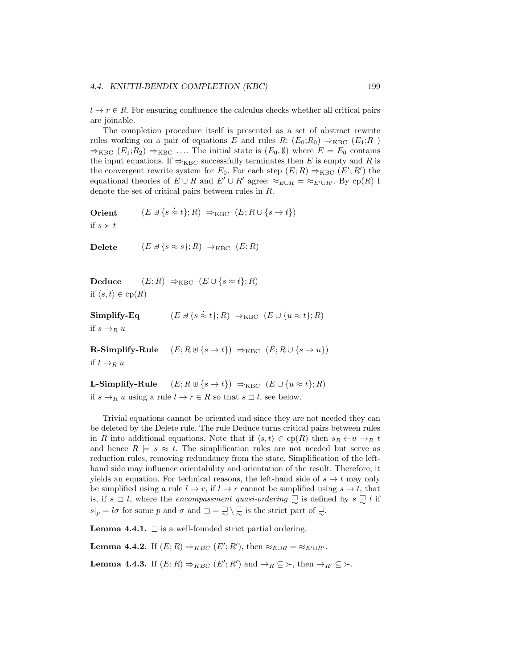$l \to r \in R$ . For ensuring confluence the calculus checks whether all critical pairs are joinable.

The completion procedure itself is presented as a set of abstract rewrite rules working on a pair of equations E and rules R:  $(E_0; R_0) \Rightarrow_{KBC} (E_1; R_1)$  $\Rightarrow_{KBC} (E_1; R_2) \Rightarrow_{KBC} \dots$  The initial state is  $(E_0, \emptyset)$  where  $E = E_0$  contains the input equations. If  $\Rightarrow_{KBC}$  successfully terminates then E is empty and R is the convergent rewrite system for  $E_0$ . For each step  $(E; R) \Rightarrow_{KBC} (E'; R')$  the equational theories of  $E \cup R$  and  $E' \cup R'$  agree:  $\approx_{E \cup R} = \approx_{E' \cup R'}$ . By cp(R) I denote the set of critical pairs between rules in R.

```
Orient (E \uplus \{ s \approx t \}; R) \Rightarrow_{KBC} (E; R \cup \{ s \rightarrow t \})if s \succ t
```
Delete  $(E \cup \{s \approx s\}; R) \Rightarrow_{KBC} (E; R)$ 

Deduce  $(E; R) \Rightarrow_{KBC} (E \cup \{s \approx t\}; R)$ if  $\langle s, t \rangle \in \text{cp}(R)$ 

 $Simplify-Eq$  $\dot{\approx} t$ ; R)  $\Rightarrow_{KBC} (E \cup \{u \approx t\}; R)$ if  $s \rightarrow_R u$ 

R-Simplify-Rule  $(E; R \cup \{s \to t\}) \Rightarrow_{KBC} (E; R \cup \{s \to u\})$ if  $t \rightarrow_R u$ 

**L-Simplify-Rule**  $(E; R \oplus \{s \to t\}) \Rightarrow_{KBC} (E \cup \{u \approx t\}; R)$ if  $s \to_R u$  using a rule  $l \to r \in R$  so that  $s \sqsupset l$ , see below.

Trivial equations cannot be oriented and since they are not needed they can be deleted by the Delete rule. The rule Deduce turns critical pairs between rules in R into additional equations. Note that if  $\langle s, t \rangle \in cp(R)$  then  $s_R \leftarrow u \rightarrow_R t$ and hence  $R \models s \approx t$ . The simplification rules are not needed but serve as reduction rules, removing redundancy from the state. Simplification of the lefthand side may influence orientability and orientation of the result. Therefore, it yields an equation. For technical reasons, the left-hand side of  $s \to t$  may only be simplified using a rule  $l \to r$ , if  $l \to r$  cannot be simplified using  $s \to t$ , that is, if  $s \supseteq l$ , where the *encompassment quasi-ordering*  $\supseteq$  is defined by  $s \supseteq l$  if  $s|_p = l\sigma$  for some p and  $\sigma$  and  $\Box = \Box \setminus \Box$  is the strict part of  $\Box$ .

**Lemma 4.4.1.**  $\Box$  is a well-founded strict partial ordering.

**Lemma 4.4.2.** If  $(E; R) \Rightarrow_{KBC} (E'; R')$ , then  $\approx_{E \cup R} = \approx_{E' \cup R'}$ .

**Lemma 4.4.3.** If  $(E; R) \Rightarrow_{KBC} (E'; R')$  and  $\rightarrow_R \subseteq \rightarrow$ , then  $\rightarrow_{R'} \subseteq \rightarrow$ .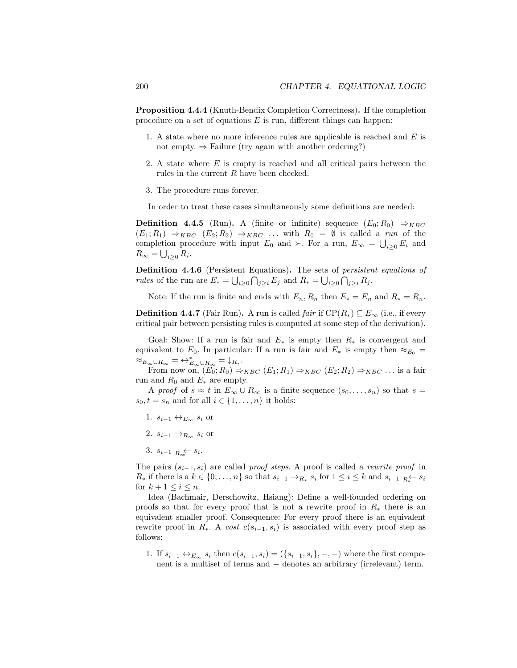Proposition 4.4.4 (Knuth-Bendix Completion Correctness). If the completion procedure on a set of equations  $E$  is run, different things can happen:

- 1. A state where no more inference rules are applicable is reached and E is not empty.  $\Rightarrow$  Failure (try again with another ordering?)
- 2. A state where  $E$  is empty is reached and all critical pairs between the rules in the current R have been checked.
- 3. The procedure runs forever.

In order to treat these cases simultaneously some definitions are needed:

**Definition 4.4.5** (Run). A (finite or infinite) sequence  $(E_0; R_0) \Rightarrow_{KBC}$  $(E_1; R_1) \Rightarrow_{KBC} (E_2; R_2) \Rightarrow_{KBC} ...$  with  $R_0 = \emptyset$  is called a run of the completion procedure with input  $E_0$  and  $\succ$ . For a run,  $E_{\infty} = \bigcup_{i \geq 0} E_i$  and  $R_{\infty} = \bigcup_{i \geq 0} R_i.$ 

Definition 4.4.6 (Persistent Equations). The sets of persistent equations of *rules* of the run are  $E_* = \bigcup_{i \geq 0} \bigcap_{j \geq i} E_j$  and  $R_* = \bigcup_{i \geq 0} \bigcap_{j \geq i} R_j$ .

Note: If the run is finite and ends with  $E_n, R_n$  then  $E_* = E_n$  and  $R_* = R_n$ .

**Definition 4.4.7** (Fair Run). A run is called *fair* if  $\text{CP}(R_*) \subseteq E_\infty$  (i.e., if every critical pair between persisting rules is computed at some step of the derivation).

Goal: Show: If a run is fair and  $E_*$  is empty then  $R_*$  is convergent and equivalent to  $E_0$ . In particular: If a run is fair and  $E_*$  is empty then  $\approx_{E_0}$  =  $\approx_{E_{\infty}\cup R_{\infty}}$  =  $\leftrightarrow_{E_{\infty}\cup R_{\infty}}$  =  $\downarrow_{R_*}$ .

From now on,  $(E_0; R_0) \Rightarrow_{KBC} (E_1; R_1) \Rightarrow_{KBC} (E_2; R_2) \Rightarrow_{KBC}$ ... is a fair run and  $R_0$  and  $E_*$  are empty.

A proof of  $s \approx t$  in  $E_{\infty} \cup R_{\infty}$  is a finite sequence  $(s_0, \ldots, s_n)$  so that  $s =$  $s_0, t = s_n$  and for all  $i \in \{1, \ldots, n\}$  it holds:

- 1.  $s_{i-1} \leftrightarrow_{E_{\infty}} s_i$  or
- 2.  $s_{i-1} \rightarrow_{R_{\infty}} s_i$  or
- 3.  $s_{i-1}$   $\underset{R_{\infty}}{\leftarrow}$   $s_i$ .

The pairs  $(s_{i-1}, s_i)$  are called proof steps. A proof is called a rewrite proof in  $R_*$  if there is a  $k \in \{0, \ldots, n\}$  so that  $s_{i-1} \to_{R_*} s_i$  for  $1 \leq i \leq k$  and  $s_{i-1} \underset{R_*}{\sim} s_i$ for  $k + 1 \leq i \leq n$ .

Idea (Bachmair, Derschowitz, Hsiang): Define a well-founded ordering on proofs so that for every proof that is not a rewrite proof in  $R_*$  there is an equivalent smaller proof. Consequence: For every proof there is an equivalent rewrite proof in  $R_{\ast}$ . A cost  $c(s_{i-1}, s_i)$  is associated with every proof step as follows:

1. If  $s_{i-1} \leftrightarrow_{E_\infty} s_i$  then  $c(s_{i-1}, s_i) = (\{s_{i-1}, s_i\}, -, -)$  where the first component is a multiset of terms and − denotes an arbitrary (irrelevant) term.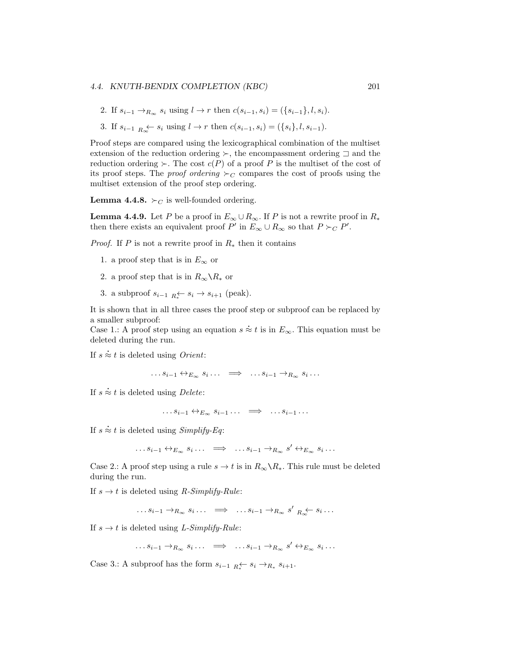2. If  $s_{i-1} \to_{R_{\infty}} s_i$  using  $l \to r$  then  $c(s_{i-1}, s_i) = (\{s_{i-1}\}, l, s_i)$ .

3. If  $s_{i-1}$   $_{R_\infty}$   $\leftarrow$   $s_i$  using  $l \to r$  then  $c(s_{i-1}, s_i) = (\{s_i\}, l, s_{i-1}).$ 

Proof steps are compared using the lexicographical combination of the multiset extension of the reduction ordering  $\succ$ , the encompassment ordering  $\sqsupset$  and the reduction ordering  $\succ$ . The cost  $c(P)$  of a proof P is the multiset of the cost of its proof steps. The *proof ordering*  $\succ_C$  compares the cost of proofs using the multiset extension of the proof step ordering.

**Lemma 4.4.8.**  $\succ_C$  is well-founded ordering.

**Lemma 4.4.9.** Let P be a proof in  $E_{\infty} \cup R_{\infty}$ . If P is not a rewrite proof in  $R_*$ then there exists an equivalent proof  $P'$  in  $E_{\infty} \cup R_{\infty}$  so that  $P \succ_C P'$ .

*Proof.* If P is not a rewrite proof in  $R_*$  then it contains

- 1. a proof step that is in  $E_{\infty}$  or
- 2. a proof step that is in  $R_{\infty} \backslash R_*$  or
- 3. a subproof  $s_{i-1}$   $\underset{R}{\kappa} \leftarrow s_i \rightarrow s_{i+1}$  (peak).

It is shown that in all three cases the proof step or subproof can be replaced by a smaller subproof:

a smaller subproof:<br>Case 1.: A proof step using an equation  $s \approx t$  is in  $E_{\infty}$ . This equation must be deleted during the run.

If  $s \approx t$  is deleted using *Orient*:

 $\dots s_{i-1} \leftrightarrow_{E_{\infty}} s_i \dots \implies \dots s_{i-1} \to_{R_{\infty}} s_i \dots$ 

If  $s \approx t$  is deleted using *Delete*:

 $\ldots s_{i-1} \leftrightarrow_{E_{\infty}} s_{i-1} \ldots \implies \ldots s_{i-1} \ldots$ 

If  $s \approx t$  is deleted using *Simplify-Eq*:

 $\dots s_{i-1} \leftrightarrow_{E_{\infty}} s_i \dots \implies \dots s_{i-1} \to_{R_{\infty}} s' \leftrightarrow_{E_{\infty}} s_i \dots$ 

Case 2.: A proof step using a rule  $s \to t$  is in  $R_{\infty} \backslash R_*$ . This rule must be deleted during the run.

If  $s \rightarrow t$  is deleted using *R-Simplify-Rule*:

 $\dots s_{i-1} \rightarrow_{R_{\infty}} s_i \dots \implies \dots s_{i-1} \rightarrow_{R_{\infty}} s'_{R_{\infty}} \leftarrow s_i \dots$ 

If  $s \to t$  is deleted using L-Simplify-Rule:

 $\dots s_{i-1} \rightarrow_{R_{\infty}} s_i \dots \implies \dots s_{i-1} \rightarrow_{R_{\infty}} s' \leftrightarrow_{E_{\infty}} s_i \dots$ 

Case 3.: A subproof has the form  $s_{i-1}$   $_{R} \leftarrow s_i \rightarrow_{R_*} s_{i+1}$ .